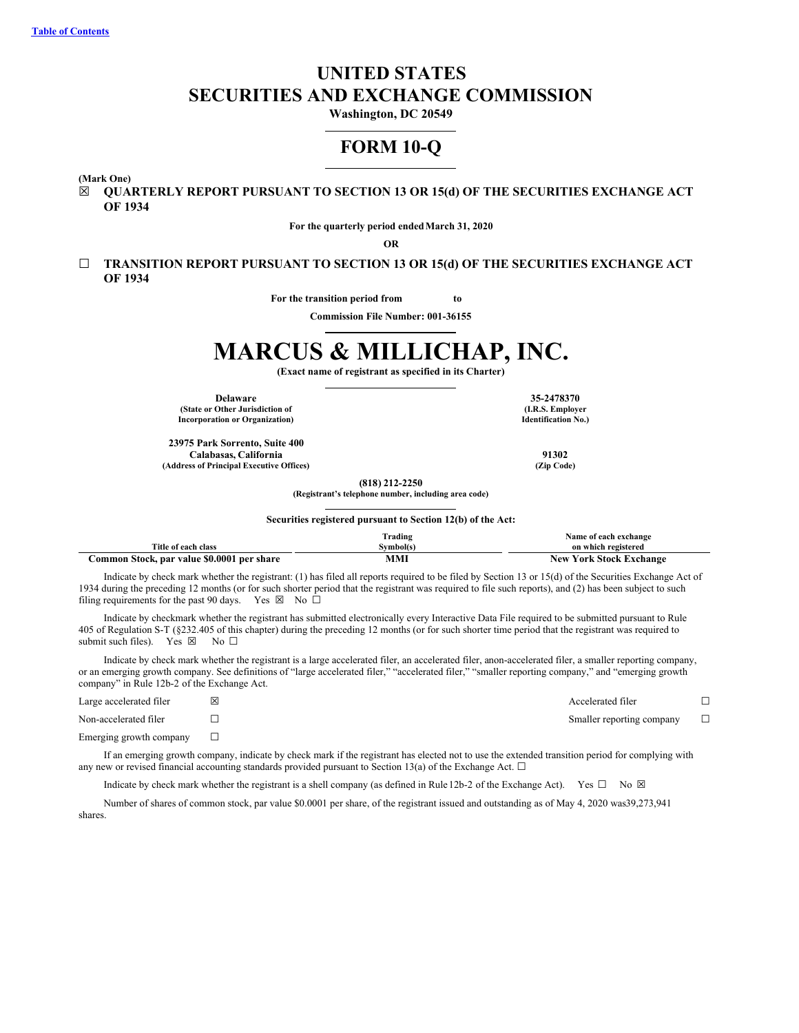# **UNITED STATES SECURITIES AND EXCHANGE COMMISSION**

**Washington, DC 20549**

# **FORM 10-Q**

**(Mark One)**

# ☒ **QUARTERLY REPORT PURSUANT TO SECTION 13 OR 15(d) OF THE SECURITIES EXCHANGE ACT OF 1934**

**For the quarterly period endedMarch 31, 2020**

**OR**

☐ **TRANSITION REPORT PURSUANT TO SECTION 13 OR 15(d) OF THE SECURITIES EXCHANGE ACT OF 1934**

**For the transition period from to**

**Commission File Number: 001-36155**

# **MARCUS & MILLICHAP, INC.**

**(Exact name of registrant as specified in its Charter)**

**Delaware 35-2478370 (State or Other Jurisdiction of Incorporation or Organization)**

**23975 Park Sorrento, Suite 400 Calabasas, California 91302 (Address of Principal Executive Offices) (Zip Code)**

**(I.R.S. Employer Identification No.)**

**(818) 212-2250**

**(Registrant's telephone number, including area code)**

**Securities registered pursuant to Section 12(b) of the Act:**

|                                            | <b>frading</b> | Name of each exchange          |
|--------------------------------------------|----------------|--------------------------------|
| Title of each class                        | Svmbol(s)      | on which registered            |
| Common Stock, par value \$0.0001 per share | MМ             | <b>New York Stock Exchange</b> |

Indicate by check mark whether the registrant: (1) has filed all reports required to be filed by Section 13 or 15(d) of the Securities Exchange Act of 1934 during the preceding 12 months (or for such shorter period that the registrant was required to file such reports), and (2) has been subject to such filing requirements for the past 90 days. Yes  $\boxtimes$  No  $\Box$ 

Indicate by checkmark whether the registrant has submitted electronically every Interactive Data File required to be submitted pursuant to Rule 405 of Regulation S-T (§232.405 of this chapter) during the preceding 12 months (or for such shorter time period that the registrant was required to submit such files). Yes  $\boxtimes$  No  $\square$ 

Indicate by check mark whether the registrant is a large accelerated filer, an accelerated filer, anon-accelerated filer, a smaller reporting company, or an emerging growth company. See definitions of "large accelerated filer," "accelerated filer," "smaller reporting company," and "emerging growth company" in Rule 12b-2 of the Exchange Act.

| Large accelerated filer | Accelerated filer         |  |
|-------------------------|---------------------------|--|
| Non-accelerated filer   | Smaller reporting company |  |
| Emerging growth company |                           |  |

If an emerging growth company, indicate by check mark if the registrant has elected not to use the extended transition period for complying with any new or revised financial accounting standards provided pursuant to Section 13(a) of the Exchange Act.  $\Box$ 

Indicate by check mark whether the registrant is a shell company (as defined in Rule 12b-2 of the Exchange Act). Yes  $\Box$  No  $\boxtimes$ 

Number of shares of common stock, par value \$0.0001 per share, of the registrant issued and outstanding as of May 4, 2020 was39,273,941 shares.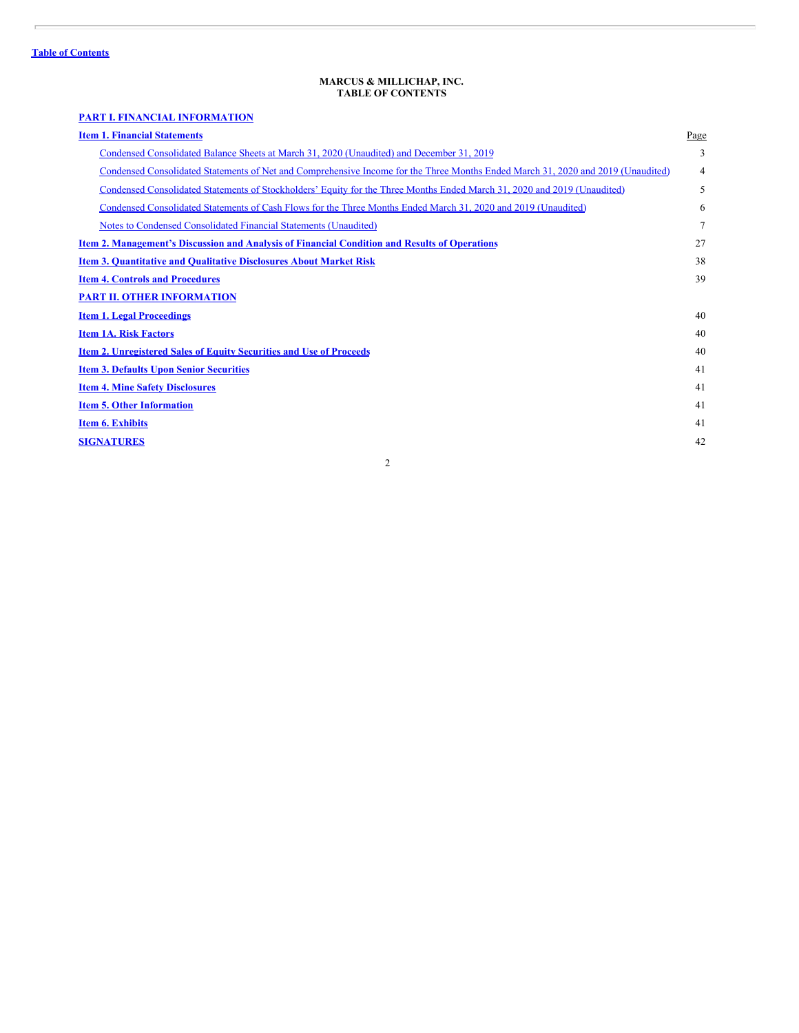#### **MARCUS & MILLICHAP, INC. TABLE OF CONTENTS**

<span id="page-1-0"></span>

| <b>PART I. FINANCIAL INFORMATION</b>                                                                                             |                |
|----------------------------------------------------------------------------------------------------------------------------------|----------------|
| <b>Item 1. Financial Statements</b>                                                                                              | Page           |
| Condensed Consolidated Balance Sheets at March 31, 2020 (Unaudited) and December 31, 2019                                        | 3              |
| Condensed Consolidated Statements of Net and Comprehensive Income for the Three Months Ended March 31, 2020 and 2019 (Unaudited) | $\overline{4}$ |
| Condensed Consolidated Statements of Stockholders' Equity for the Three Months Ended March 31, 2020 and 2019 (Unaudited)         | 5              |
| Condensed Consolidated Statements of Cash Flows for the Three Months Ended March 31, 2020 and 2019 (Unaudited)                   | 6              |
| Notes to Condensed Consolidated Financial Statements (Unaudited)                                                                 | 7              |
| <u>Item 2. Management's Discussion and Analysis of Financial Condition and Results of Operations</u>                             | 27             |
| <b>Item 3. Quantitative and Qualitative Disclosures About Market Risk</b>                                                        | 38             |
| <b>Item 4. Controls and Procedures</b>                                                                                           | 39             |
| <b>PART II. OTHER INFORMATION</b>                                                                                                |                |
| <b>Item 1. Legal Proceedings</b>                                                                                                 | 40             |
| <b>Item 1A. Risk Factors</b>                                                                                                     | 40             |
| <b>Item 2. Unregistered Sales of Equity Securities and Use of Proceeds</b>                                                       | 40             |
| <b>Item 3. Defaults Upon Senior Securities</b>                                                                                   | 41             |
| <b>Item 4. Mine Safety Disclosures</b>                                                                                           | 41             |
| <b>Item 5. Other Information</b>                                                                                                 | 41             |
| <b>Item 6. Exhibits</b>                                                                                                          | 41             |
| <b>SIGNATURES</b>                                                                                                                | 42             |
|                                                                                                                                  |                |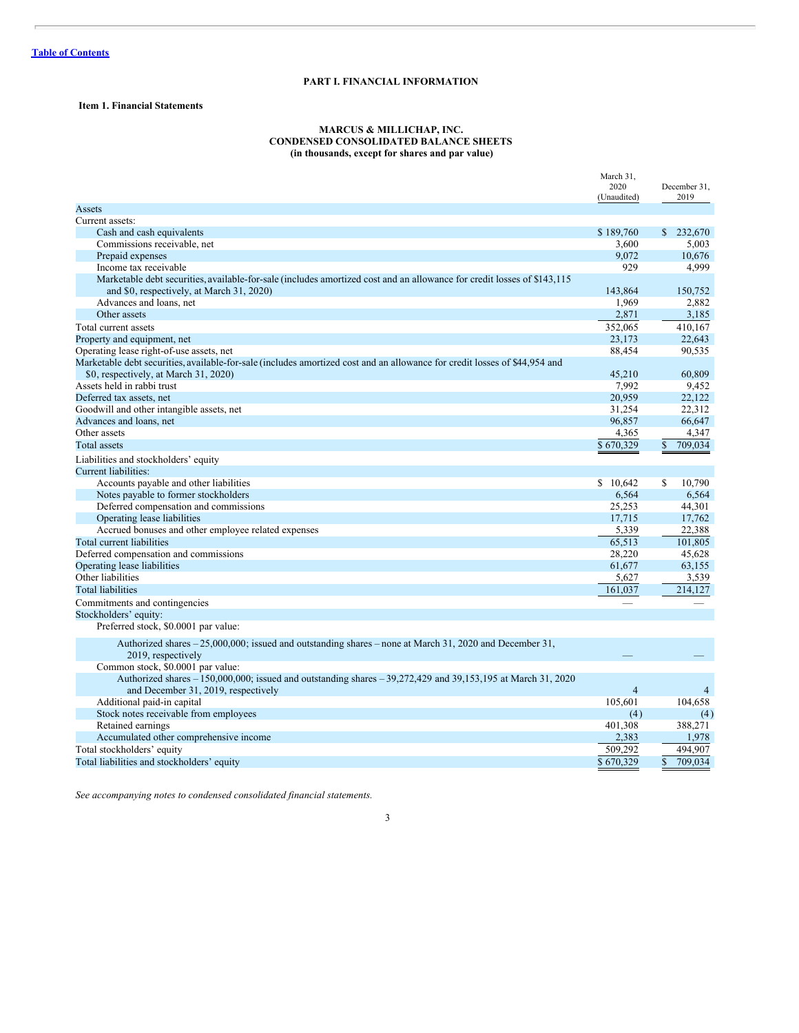### **PART I. FINANCIAL INFORMATION**

#### <span id="page-2-1"></span><span id="page-2-0"></span>**Item 1. Financial Statements**

#### **MARCUS & MILLICHAP, INC. CONDENSED CONSOLIDATED BALANCE SHEETS (in thousands, except for shares and par value)**

|                                                                                                                                                     | March 31,<br>2020<br>(Unaudited) | December 31,<br>2019 |
|-----------------------------------------------------------------------------------------------------------------------------------------------------|----------------------------------|----------------------|
| Assets                                                                                                                                              |                                  |                      |
| Current assets:                                                                                                                                     |                                  |                      |
| Cash and cash equivalents                                                                                                                           | \$189,760                        | \$<br>232,670        |
| Commissions receivable, net                                                                                                                         | 3,600                            | 5.003                |
| Prepaid expenses                                                                                                                                    | 9,072                            | 10,676               |
| Income tax receivable                                                                                                                               | 929                              | 4,999                |
| Marketable debt securities, available-for-sale (includes amortized cost and an allowance for credit losses of \$143,115                             |                                  |                      |
| and \$0, respectively, at March 31, 2020)                                                                                                           | 143,864                          | 150,752              |
| Advances and loans, net                                                                                                                             | 1,969                            | 2,882                |
| Other assets                                                                                                                                        | 2,871                            | 3,185                |
| Total current assets                                                                                                                                | 352,065                          | 410.167              |
| Property and equipment, net                                                                                                                         | 23,173                           | 22,643               |
| Operating lease right-of-use assets, net                                                                                                            | 88,454                           | 90,535               |
| Marketable debt securities, available-for-sale (includes amortized cost and an allowance for credit losses of \$44,954 and                          |                                  |                      |
| \$0, respectively, at March 31, 2020)                                                                                                               | 45,210                           | 60,809               |
| Assets held in rabbi trust                                                                                                                          | 7,992                            | 9,452                |
| Deferred tax assets, net                                                                                                                            | 20,959                           | 22,122               |
| Goodwill and other intangible assets, net                                                                                                           | 31,254                           | 22,312               |
| Advances and loans, net                                                                                                                             | 96,857                           | 66,647               |
| Other assets                                                                                                                                        | 4,365                            | 4,347                |
| <b>Total</b> assets                                                                                                                                 | \$670,329                        | \$<br>709,034        |
| Liabilities and stockholders' equity                                                                                                                |                                  |                      |
| <b>Current liabilities:</b>                                                                                                                         |                                  |                      |
| Accounts payable and other liabilities                                                                                                              | \$10,642                         | \$<br>10,790         |
| Notes payable to former stockholders                                                                                                                | 6,564                            | 6,564                |
| Deferred compensation and commissions                                                                                                               | 25,253                           | 44,301               |
| Operating lease liabilities                                                                                                                         | 17,715                           | 17,762               |
| Accrued bonuses and other employee related expenses                                                                                                 | 5,339                            | 22,388               |
| Total current liabilities                                                                                                                           | 65,513                           | 101,805              |
| Deferred compensation and commissions                                                                                                               | 28,220                           | 45,628               |
| Operating lease liabilities                                                                                                                         | 61,677                           | 63,155               |
| Other liabilities                                                                                                                                   | 5,627                            | 3,539                |
| <b>Total liabilities</b>                                                                                                                            | 161,037                          | 214,127              |
| Commitments and contingencies                                                                                                                       |                                  |                      |
| Stockholders' equity:                                                                                                                               |                                  |                      |
| Preferred stock, \$0.0001 par value:                                                                                                                |                                  |                      |
| Authorized shares -25,000,000; issued and outstanding shares – none at March 31, 2020 and December 31,                                              |                                  |                      |
| 2019, respectively                                                                                                                                  |                                  |                      |
| Common stock, \$0.0001 par value:                                                                                                                   |                                  |                      |
| Authorized shares – 150,000,000; issued and outstanding shares – 39,272,429 and 39,153,195 at March 31, 2020<br>and December 31, 2019, respectively | $\overline{4}$                   | $\overline{4}$       |
| Additional paid-in capital                                                                                                                          | 105,601                          | 104,658              |
| Stock notes receivable from employees                                                                                                               | (4)                              | (4)                  |
| Retained earnings                                                                                                                                   | 401,308                          | 388,271              |
| Accumulated other comprehensive income                                                                                                              | 2,383                            | 1,978                |
| Total stockholders' equity                                                                                                                          | 509.292                          | 494.907              |
| Total liabilities and stockholders' equity                                                                                                          | \$670,329                        | \$<br>709,034        |

*See accompanying notes to condensed consolidated financial statements.*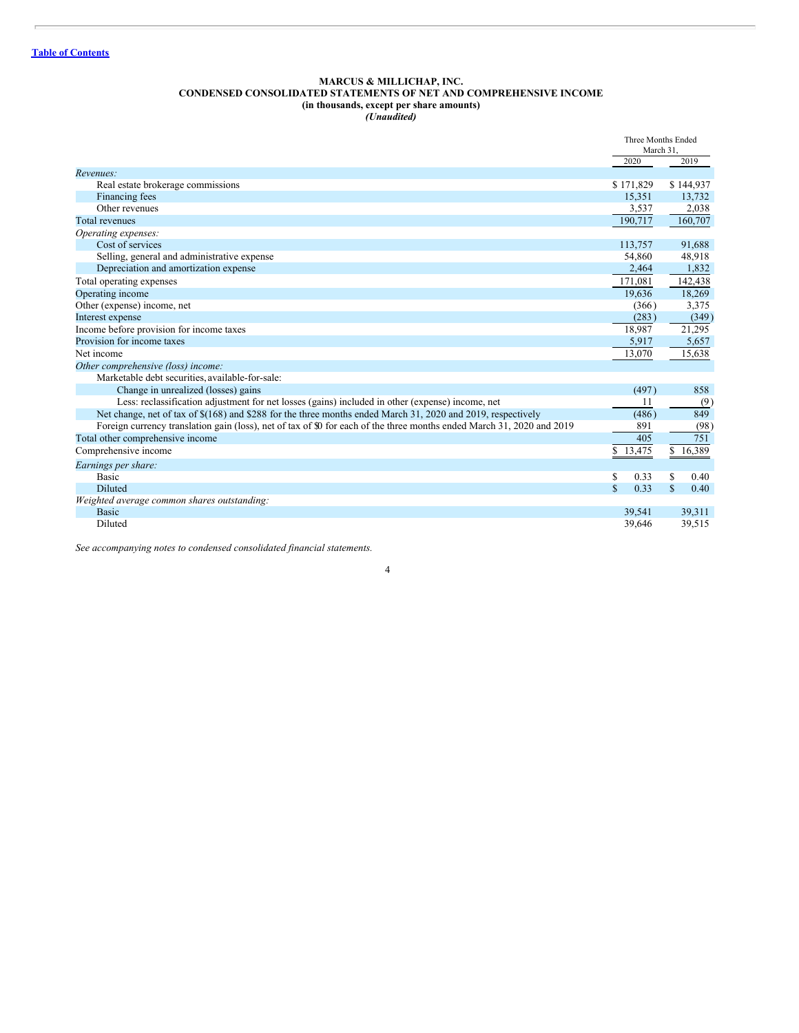# **MARCUS & MILLICHAP, INC.**

#### **CONDENSED CONSOLIDATED STATEMENTS OF NET AND COMPREHENSIVE INCOME (in thousands, except per share amounts)**

*(Unaudited)*

<span id="page-3-0"></span>

|                                                                                                                        |                    | Three Months Ended<br>March 31, |                    |           |
|------------------------------------------------------------------------------------------------------------------------|--------------------|---------------------------------|--------------------|-----------|
|                                                                                                                        |                    | 2020                            |                    | 2019      |
| Revenues:                                                                                                              |                    |                                 |                    |           |
| Real estate brokerage commissions                                                                                      |                    | \$171,829                       |                    | \$144,937 |
| Financing fees                                                                                                         |                    | 15,351                          |                    | 13,732    |
| Other revenues                                                                                                         |                    | 3,537                           |                    | 2,038     |
| <b>Total revenues</b>                                                                                                  |                    | 190,717                         |                    | 160,707   |
| Operating expenses:                                                                                                    |                    |                                 |                    |           |
| Cost of services                                                                                                       |                    | 113,757                         |                    | 91,688    |
| Selling, general and administrative expense                                                                            |                    | 54,860                          |                    | 48,918    |
| Depreciation and amortization expense                                                                                  |                    | 2,464                           |                    | 1,832     |
| Total operating expenses                                                                                               |                    | 171,081                         |                    | 142,438   |
| Operating income                                                                                                       |                    | 19.636                          |                    | 18,269    |
| Other (expense) income, net                                                                                            |                    | (366)                           |                    | 3,375     |
| Interest expense                                                                                                       |                    | (283)                           |                    | (349)     |
| Income before provision for income taxes                                                                               |                    | 18.987                          |                    | 21,295    |
| Provision for income taxes                                                                                             |                    | 5,917                           |                    | 5,657     |
| Net income                                                                                                             |                    | 13,070                          |                    | 15,638    |
| Other comprehensive (loss) income:                                                                                     |                    |                                 |                    |           |
| Marketable debt securities, available-for-sale:                                                                        |                    |                                 |                    |           |
| Change in unrealized (losses) gains                                                                                    |                    | (497)                           |                    | 858       |
| Less: reclassification adjustment for net losses (gains) included in other (expense) income, net                       |                    | 11                              |                    | (9)       |
| Net change, net of tax of \$(168) and \$288 for the three months ended March 31, 2020 and 2019, respectively           |                    | (486)                           |                    | 849       |
| Foreign currency translation gain (loss), net of tax of \$0 for each of the three months ended March 31, 2020 and 2019 |                    | 891                             |                    | (98)      |
| Total other comprehensive income                                                                                       |                    | 405                             |                    | 751       |
| Comprehensive income                                                                                                   | S.                 | 13,475                          |                    | \$16,389  |
| Earnings per share:                                                                                                    |                    |                                 |                    |           |
| <b>Basic</b>                                                                                                           | \$                 | 0.33                            | S                  | 0.40      |
| <b>Diluted</b>                                                                                                         | $\mathbf{\hat{S}}$ | 0.33                            | $\mathbf{\hat{S}}$ | 0.40      |
| Weighted average common shares outstanding:                                                                            |                    |                                 |                    |           |
| <b>Basic</b>                                                                                                           |                    | 39.541                          |                    | 39,311    |
| Diluted                                                                                                                |                    | 39,646                          |                    | 39,515    |

*See accompanying notes to condensed consolidated financial statements.*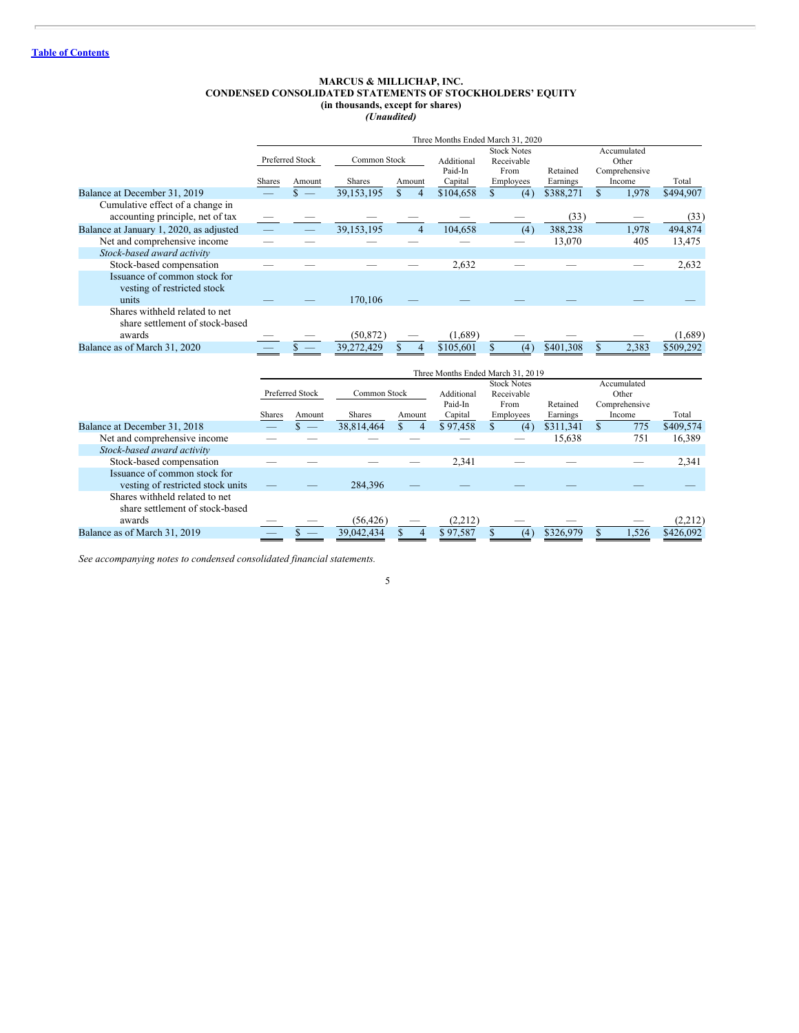#### **MARCUS & MILLICHAP, INC. CONDENSED CONSOLIDATED STATEMENTS OF STOCKHOLDERS' EQUITY (in thousands, except for shares)** *(Unaudited)*

<span id="page-4-0"></span>

|                                                                      |        |                        |               |                                |            | Three Months Ended March 31, 2020 |           |                      |           |
|----------------------------------------------------------------------|--------|------------------------|---------------|--------------------------------|------------|-----------------------------------|-----------|----------------------|-----------|
|                                                                      |        | Preferred Stock        | Common Stock  |                                | Additional | <b>Stock Notes</b><br>Receivable  |           | Accumulated<br>Other |           |
|                                                                      |        |                        |               |                                | Paid-In    | From                              | Retained  | Comprehensive        |           |
|                                                                      | Shares | Amount                 | Shares        | Amount                         | Capital    | Employees                         | Earnings  | Income               | Total     |
| Balance at December 31, 2019                                         |        | $s -$                  | 39,153,195    | $\mathbf{s}$<br>$\overline{4}$ | \$104,658  | $\mathbf S$<br>(4)                | \$388,271 | \$<br>1,978          | \$494,907 |
| Cumulative effect of a change in<br>accounting principle, net of tax |        |                        |               |                                |            |                                   | (33)      |                      | (33)      |
| Balance at January 1, 2020, as adjusted                              |        |                        | 39,153,195    | $\overline{4}$                 | 104,658    | (4)                               | 388,238   | 1.978                | 494,874   |
| Net and comprehensive income                                         |        |                        |               |                                |            |                                   | 13,070    | 405                  | 13,475    |
| Stock-based award activity                                           |        |                        |               |                                |            |                                   |           |                      |           |
| Stock-based compensation                                             |        |                        |               |                                | 2,632      |                                   |           |                      | 2,632     |
| Issuance of common stock for<br>vesting of restricted stock          |        |                        |               |                                |            |                                   |           |                      |           |
| units                                                                |        |                        | 170,106       |                                |            |                                   |           |                      |           |
| Shares withheld related to net<br>share settlement of stock-based    |        |                        |               |                                |            |                                   |           |                      |           |
| awards                                                               |        |                        | (50, 872)     |                                | (1,689)    |                                   |           |                      | (1,689)   |
| Balance as of March 31, 2020                                         |        |                        | 39,272,429    |                                | \$105,601  | (4)                               | \$401,308 | \$<br>2,383          | \$509,292 |
|                                                                      |        |                        |               |                                |            | Three Months Ended March 31, 2019 |           |                      |           |
|                                                                      |        |                        |               |                                |            | <b>Stock Notes</b>                |           | Accumulated          |           |
|                                                                      |        | <b>Preferred Stock</b> | Common Stock  |                                | Additional | Receivable                        |           | Other                |           |
|                                                                      |        |                        |               |                                | Paid-In    | From                              | Retained  | Comprehensive        |           |
|                                                                      | Shares | Amount                 | <b>Shares</b> | Amount                         | Capital    | Employees                         | Earnings  | Income               | Total     |
| Balance at December 31, 2018                                         |        | $s -$                  | 38,814,464    | $\mathbb{S}$<br>$\overline{4}$ | \$97,458   | $\mathbf S$<br>(4)                | \$311,341 | $\mathbf S$<br>775   | \$409,574 |
| Net and comprehensive income                                         |        |                        |               |                                |            |                                   | 15,638    | 751                  | 16,389    |
| Stock-based award activity                                           |        |                        |               |                                |            |                                   |           |                      |           |
| Stock-based compensation                                             |        |                        |               |                                | 2,341      |                                   |           |                      | 2,341     |
| Issuance of common stock for                                         |        |                        |               |                                |            |                                   |           |                      |           |
| vesting of restricted stock units                                    |        |                        | 284.396       |                                |            |                                   |           |                      |           |
| Shares withheld related to net<br>share settlement of stock-based    |        |                        |               |                                |            |                                   |           |                      |           |
| awards                                                               |        |                        | (56, 426)     |                                | (2,212)    |                                   |           |                      | (2,212)   |
| Balance as of March 31, 2019                                         |        | \$.                    | 39,042,434    | $\overline{4}$                 | \$97,587   | (4)<br>\$                         | \$326,979 | \$<br>1,526          | \$426,092 |

*See accompanying notes to condensed consolidated financial statements.*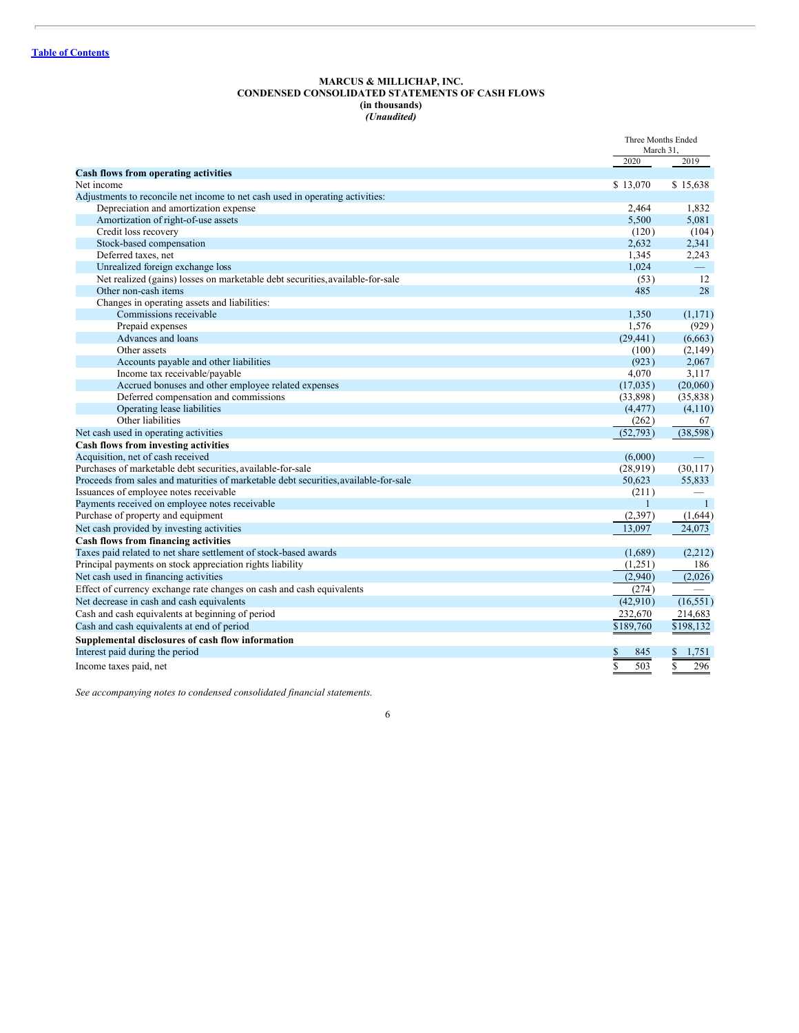#### **MARCUS & MILLICHAP, INC. CONDENSED CONSOLIDATED STATEMENTS OF CASH FLOWS (in thousands)** *(Unaudited)*

<span id="page-5-0"></span>

|                                                                                      | Three Months Ended<br>March 31, |                                   |
|--------------------------------------------------------------------------------------|---------------------------------|-----------------------------------|
|                                                                                      | 2020                            | 2019                              |
| <b>Cash flows from operating activities</b>                                          |                                 |                                   |
| Net income                                                                           | \$13,070                        | \$15,638                          |
| Adjustments to reconcile net income to net cash used in operating activities:        |                                 |                                   |
| Depreciation and amortization expense                                                | 2.464                           | 1.832                             |
| Amortization of right-of-use assets                                                  | 5,500                           | 5,081                             |
| Credit loss recovery                                                                 |                                 |                                   |
| Stock-based compensation                                                             | (120)<br>2,632                  | (104)<br>2,341                    |
| Deferred taxes, net                                                                  | 1,345                           |                                   |
| Unrealized foreign exchange loss                                                     | 1,024                           | 2,243<br>$\overline{\phantom{0}}$ |
| Net realized (gains) losses on marketable debt securities, available-for-sale        |                                 | 12                                |
| Other non-cash items                                                                 | (53)                            | 28                                |
|                                                                                      | 485                             |                                   |
| Changes in operating assets and liabilities:<br>Commissions receivable               |                                 |                                   |
|                                                                                      | 1,350<br>1,576                  | (1,171)                           |
| Prepaid expenses<br>Advances and loans                                               |                                 | (929)                             |
| Other assets                                                                         | (29, 441)                       | (6,663)                           |
|                                                                                      | (100)                           | (2,149)                           |
| Accounts payable and other liabilities                                               | (923)<br>4,070                  | 2,067                             |
| Income tax receivable/payable<br>Accrued bonuses and other employee related expenses |                                 | 3,117                             |
| Deferred compensation and commissions                                                | (17,035)<br>(33,898)            | (20,060)                          |
| Operating lease liabilities                                                          | (4, 477)                        | (35, 838)<br>(4,110)              |
| Other liabilities                                                                    | (262)                           | 67                                |
|                                                                                      |                                 |                                   |
| Net cash used in operating activities                                                | (52, 793)                       | (38, 598)                         |
| Cash flows from investing activities                                                 |                                 |                                   |
| Acquisition, net of cash received                                                    | (6,000)                         |                                   |
| Purchases of marketable debt securities, available-for-sale                          | (28,919)                        | (30, 117)                         |
| Proceeds from sales and maturities of marketable debt securities, available-for-sale | 50,623                          | 55,833                            |
| Issuances of employee notes receivable                                               | (211)                           |                                   |
| Payments received on employee notes receivable                                       | $\mathbf{1}$                    | $\overline{1}$                    |
| Purchase of property and equipment                                                   | (2,397)                         | (1,644)                           |
| Net cash provided by investing activities                                            | 13,097                          | 24,073                            |
| Cash flows from financing activities                                                 |                                 |                                   |
| Taxes paid related to net share settlement of stock-based awards                     | (1,689)                         | (2,212)                           |
| Principal payments on stock appreciation rights liability                            | (1,251)                         | 186                               |
| Net cash used in financing activities                                                | (2,940)                         | (2,026)                           |
| Effect of currency exchange rate changes on cash and cash equivalents                | (274)                           |                                   |
| Net decrease in cash and cash equivalents                                            | (42,910)                        | (16, 551)                         |
| Cash and cash equivalents at beginning of period                                     | 232,670                         | 214,683                           |
| Cash and cash equivalents at end of period                                           | \$189,760                       | \$198,132                         |
| Supplemental disclosures of cash flow information                                    |                                 |                                   |
| Interest paid during the period                                                      | 845<br>\$                       | \$<br>1,751                       |
| Income taxes paid, net                                                               | \$<br>503                       | \$<br>296                         |
|                                                                                      |                                 |                                   |

*See accompanying notes to condensed consolidated financial statements.*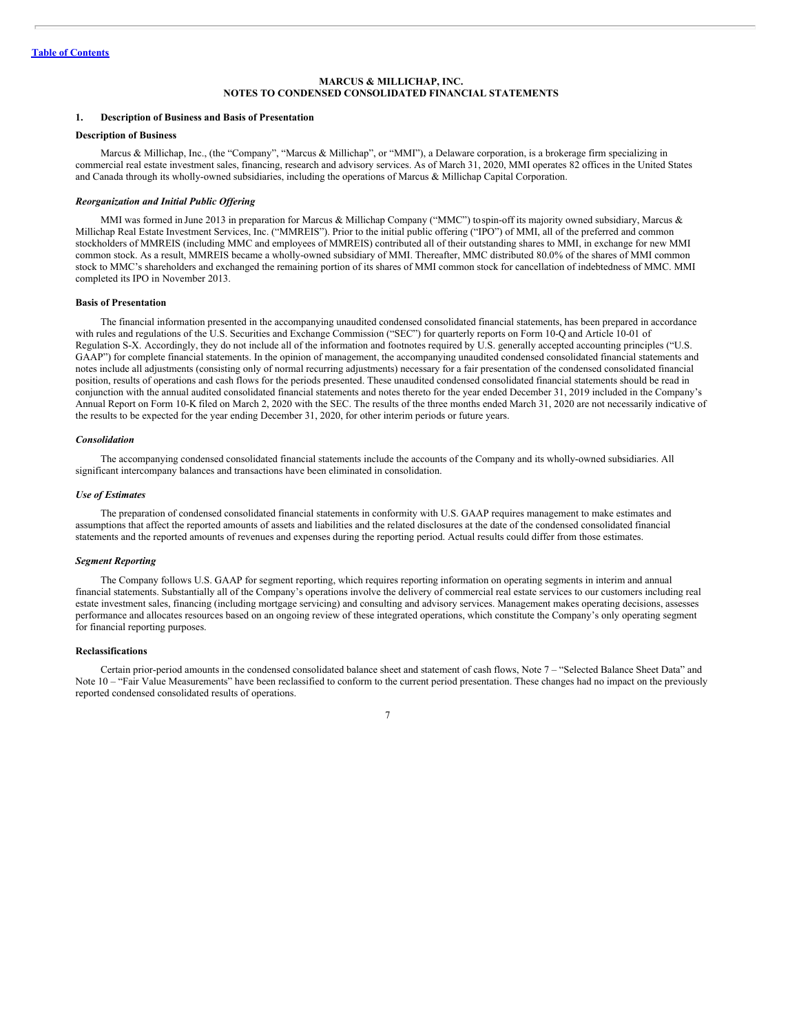#### <span id="page-6-0"></span>**1. Description of Business and Basis of Presentation**

#### **Description of Business**

Marcus & Millichap, Inc., (the "Company", "Marcus & Millichap", or "MMI"), a Delaware corporation, is a brokerage firm specializing in commercial real estate investment sales, financing, research and advisory services. As of March 31, 2020, MMI operates 82 offices in the United States and Canada through its wholly-owned subsidiaries, including the operations of Marcus & Millichap Capital Corporation.

#### *Reorganization and Initial Public Of ering*

MMI was formed in June 2013 in preparation for Marcus & Millichap Company ("MMC") tospin-off its majority owned subsidiary, Marcus & Millichap Real Estate Investment Services, Inc. ("MMREIS"). Prior to the initial public offering ("IPO") of MMI, all of the preferred and common stockholders of MMREIS (including MMC and employees of MMREIS) contributed all of their outstanding shares to MMI, in exchange for new MMI common stock. As a result, MMREIS became a wholly-owned subsidiary of MMI. Thereafter, MMC distributed 80.0% of the shares of MMI common stock to MMC's shareholders and exchanged the remaining portion of its shares of MMI common stock for cancellation of indebtedness of MMC. MMI completed its IPO in November 2013.

#### **Basis of Presentation**

The financial information presented in the accompanying unaudited condensed consolidated financial statements, has been prepared in accordance with rules and regulations of the U.S. Securities and Exchange Commission ("SEC") for quarterly reports on Form 10-Q and Article 10-01 of Regulation S-X. Accordingly, they do not include all of the information and footnotes required by U.S. generally accepted accounting principles ("U.S. GAAP") for complete financial statements. In the opinion of management, the accompanying unaudited condensed consolidated financial statements and notes include all adjustments (consisting only of normal recurring adjustments) necessary for a fair presentation of the condensed consolidated financial position, results of operations and cash flows for the periods presented. These unaudited condensed consolidated financial statements should be read in conjunction with the annual audited consolidated financial statements and notes thereto for the year ended December 31, 2019 included in the Company's Annual Report on Form 10-K filed on March 2, 2020 with the SEC. The results of the three months ended March 31, 2020 are not necessarily indicative of the results to be expected for the year ending December 31, 2020, for other interim periods or future years.

#### *Consolidation*

The accompanying condensed consolidated financial statements include the accounts of the Company and its wholly-owned subsidiaries. All significant intercompany balances and transactions have been eliminated in consolidation.

#### *Use of Estimates*

The preparation of condensed consolidated financial statements in conformity with U.S. GAAP requires management to make estimates and assumptions that affect the reported amounts of assets and liabilities and the related disclosures at the date of the condensed consolidated financial statements and the reported amounts of revenues and expenses during the reporting period. Actual results could differ from those estimates.

#### *Segment Reporting*

The Company follows U.S. GAAP for segment reporting, which requires reporting information on operating segments in interim and annual financial statements. Substantially all of the Company's operations involve the delivery of commercial real estate services to our customers including real estate investment sales, financing (including mortgage servicing) and consulting and advisory services. Management makes operating decisions, assesses performance and allocates resources based on an ongoing review of these integrated operations, which constitute the Company's only operating segment for financial reporting purposes.

#### **Reclassifications**

Certain prior-period amounts in the condensed consolidated balance sheet and statement of cash flows, Note 7 – "Selected Balance Sheet Data" and Note 10 – "Fair Value Measurements" have been reclassified to conform to the current period presentation. These changes had no impact on the previously reported condensed consolidated results of operations.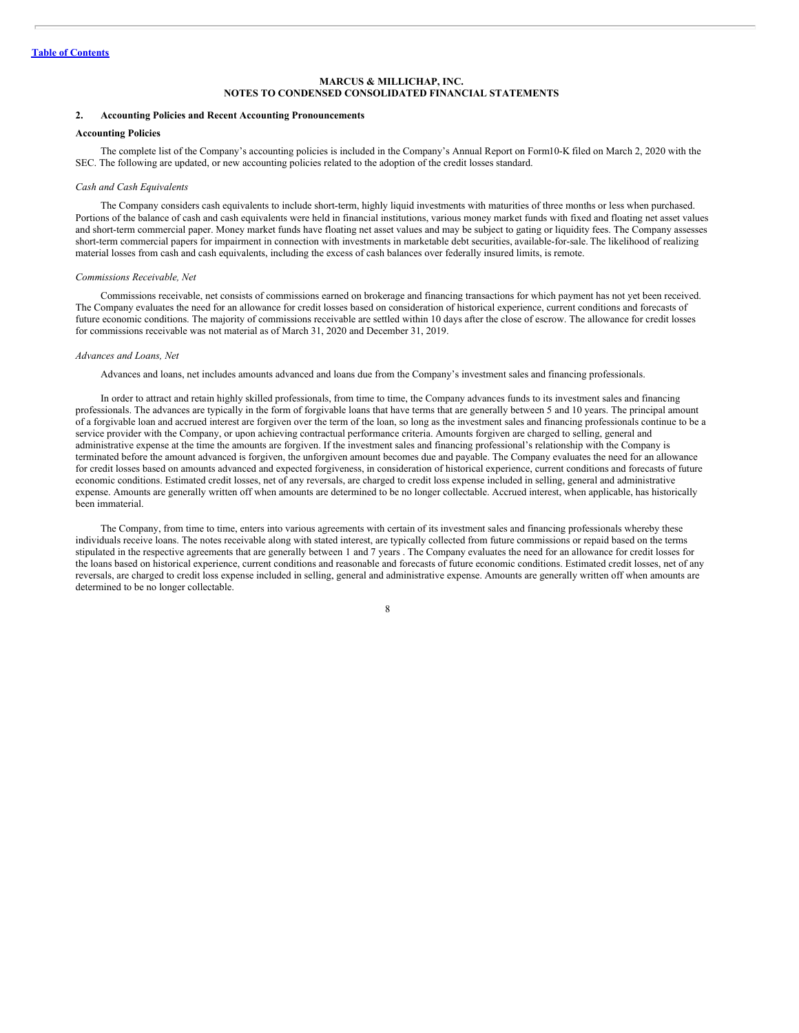#### **2. Accounting Policies and Recent Accounting Pronouncements**

#### **Accounting Policies**

The complete list of the Company's accounting policies is included in the Company's Annual Report on Form10-K filed on March 2, 2020 with the SEC. The following are updated, or new accounting policies related to the adoption of the credit losses standard.

#### *Cash and Cash Equivalents*

The Company considers cash equivalents to include short-term, highly liquid investments with maturities of three months or less when purchased. Portions of the balance of cash and cash equivalents were held in financial institutions, various money market funds with fixed and floating net asset values and short-term commercial paper. Money market funds have floating net asset values and may be subject to gating or liquidity fees. The Company assesses short-term commercial papers for impairment in connection with investments in marketable debt securities, available-for-sale. The likelihood of realizing material losses from cash and cash equivalents, including the excess of cash balances over federally insured limits, is remote.

#### *Commissions Receivable, Net*

Commissions receivable, net consists of commissions earned on brokerage and financing transactions for which payment has not yet been received. The Company evaluates the need for an allowance for credit losses based on consideration of historical experience, current conditions and forecasts of future economic conditions. The majority of commissions receivable are settled within 10 days after the close of escrow. The allowance for credit losses for commissions receivable was not material as of March 31, 2020 and December 31, 2019.

#### *Advances and Loans, Net*

Advances and loans, net includes amounts advanced and loans due from the Company's investment sales and financing professionals.

In order to attract and retain highly skilled professionals, from time to time, the Company advances funds to its investment sales and financing professionals. The advances are typically in the form of forgivable loans that have terms that are generally between 5 and 10 years. The principal amount of a forgivable loan and accrued interest are forgiven over the term of the loan, so long as the investment sales and financing professionals continue to be a service provider with the Company, or upon achieving contractual performance criteria. Amounts forgiven are charged to selling, general and administrative expense at the time the amounts are forgiven. If the investment sales and financing professional's relationship with the Company is terminated before the amount advanced is forgiven, the unforgiven amount becomes due and payable. The Company evaluates the need for an allowance for credit losses based on amounts advanced and expected forgiveness, in consideration of historical experience, current conditions and forecasts of future economic conditions. Estimated credit losses, net of any reversals, are charged to credit loss expense included in selling, general and administrative expense. Amounts are generally written off when amounts are determined to be no longer collectable. Accrued interest, when applicable, has historically been immaterial.

The Company, from time to time, enters into various agreements with certain of its investment sales and financing professionals whereby these individuals receive loans. The notes receivable along with stated interest, are typically collected from future commissions or repaid based on the terms stipulated in the respective agreements that are generally between 1 and 7 years . The Company evaluates the need for an allowance for credit losses for the loans based on historical experience, current conditions and reasonable and forecasts of future economic conditions. Estimated credit losses, net of any reversals, are charged to credit loss expense included in selling, general and administrative expense. Amounts are generally written off when amounts are determined to be no longer collectable.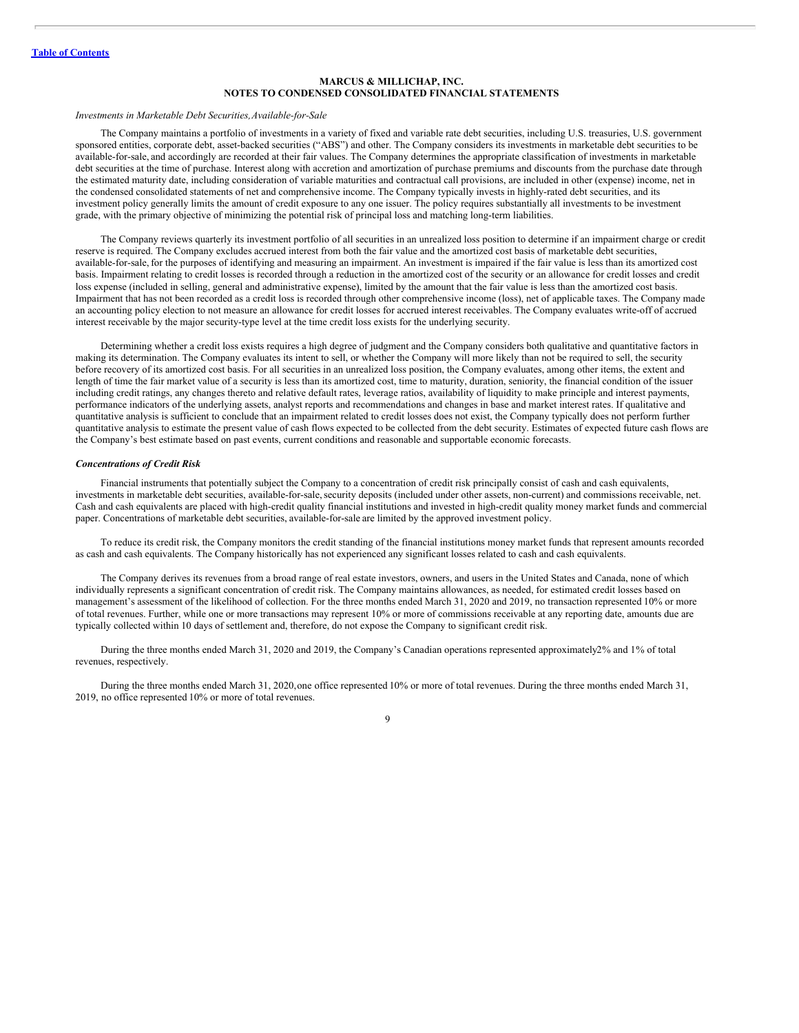#### *Investments in Marketable Debt Securities,Available-for-Sale*

The Company maintains a portfolio of investments in a variety of fixed and variable rate debt securities, including U.S. treasuries, U.S. government sponsored entities, corporate debt, asset-backed securities ("ABS") and other. The Company considers its investments in marketable debt securities to be available-for-sale, and accordingly are recorded at their fair values. The Company determines the appropriate classification of investments in marketable debt securities at the time of purchase. Interest along with accretion and amortization of purchase premiums and discounts from the purchase date through the estimated maturity date, including consideration of variable maturities and contractual call provisions, are included in other (expense) income, net in the condensed consolidated statements of net and comprehensive income. The Company typically invests in highly-rated debt securities, and its investment policy generally limits the amount of credit exposure to any one issuer. The policy requires substantially all investments to be investment grade, with the primary objective of minimizing the potential risk of principal loss and matching long-term liabilities.

The Company reviews quarterly its investment portfolio of all securities in an unrealized loss position to determine if an impairment charge or credit reserve is required. The Company excludes accrued interest from both the fair value and the amortized cost basis of marketable debt securities, available-for-sale,for the purposes of identifying and measuring an impairment. An investment is impaired if the fair value is less than its amortized cost basis. Impairment relating to credit losses is recorded through a reduction in the amortized cost of the security or an allowance for credit losses and credit loss expense (included in selling, general and administrative expense), limited by the amount that the fair value is less than the amortized cost basis. Impairment that has not been recorded as a credit loss is recorded through other comprehensive income (loss), net of applicable taxes. The Company made an accounting policy election to not measure an allowance for credit losses for accrued interest receivables. The Company evaluates write-off of accrued interest receivable by the major security-type level at the time credit loss exists for the underlying security.

Determining whether a credit loss exists requires a high degree of judgment and the Company considers both qualitative and quantitative factors in making its determination. The Company evaluates its intent to sell, or whether the Company will more likely than not be required to sell, the security before recovery of its amortized cost basis. For all securities in an unrealized loss position, the Company evaluates, among other items, the extent and length of time the fair market value of a security is less than its amortized cost, time to maturity, duration, seniority, the financial condition of the issuer including credit ratings, any changes thereto and relative default rates, leverage ratios, availability of liquidity to make principle and interest payments, performance indicators of the underlying assets, analyst reports and recommendations and changes in base and market interest rates. If qualitative and quantitative analysis is sufficient to conclude that an impairment related to credit losses does not exist, the Company typically does not perform further quantitative analysis to estimate the present value of cash flows expected to be collected from the debt security. Estimates of expected future cash flows are the Company's best estimate based on past events, current conditions and reasonable and supportable economic forecasts.

#### *Concentrations of Credit Risk*

Financial instruments that potentially subject the Company to a concentration of credit risk principally consist of cash and cash equivalents, investments in marketable debt securities, available-for-sale,security deposits (included under other assets, non-current) and commissions receivable, net. Cash and cash equivalents are placed with high-credit quality financial institutions and invested in high-credit quality money market funds and commercial paper. Concentrations of marketable debt securities, available-for-sale are limited by the approved investment policy.

To reduce its credit risk, the Company monitors the credit standing of the financial institutions money market funds that represent amounts recorded as cash and cash equivalents. The Company historically has not experienced any significant losses related to cash and cash equivalents.

The Company derives its revenues from a broad range of real estate investors, owners, and users in the United States and Canada, none of which individually represents a significant concentration of credit risk. The Company maintains allowances, as needed, for estimated credit losses based on management's assessment of the likelihood of collection. For the three months ended March 31, 2020 and 2019, no transaction represented 10% or more of total revenues. Further, while one or more transactions may represent 10% or more of commissions receivable at any reporting date, amounts due are typically collected within 10 days of settlement and, therefore, do not expose the Company to significant credit risk.

During the three months ended March 31, 2020 and 2019, the Company's Canadian operations represented approximately2% and 1% of total revenues, respectively.

During the three months ended March 31, 2020, one office represented 10% or more of total revenues. During the three months ended March 31, 2019, no office represented 10% or more of total revenues.

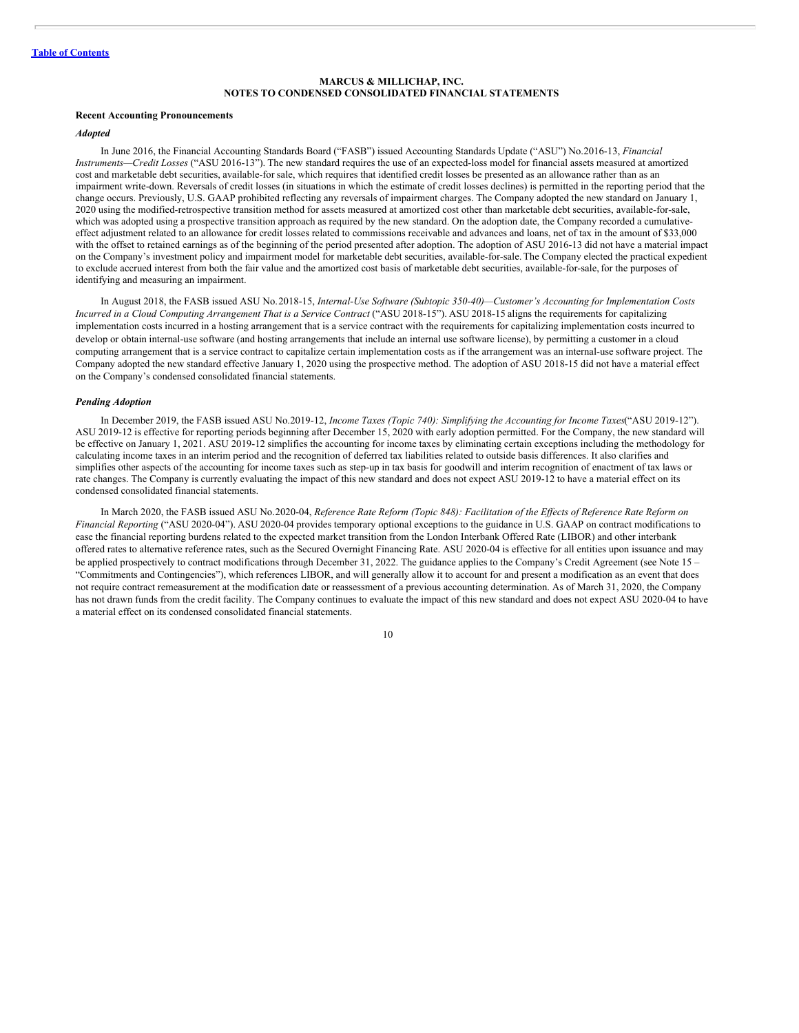#### **Recent Accounting Pronouncements**

#### *Adopted*

In June 2016, the Financial Accounting Standards Board ("FASB") issued Accounting Standards Update ("ASU") No.2016-13, *Financial Instruments—Credit Losses* ("ASU 2016-13"). The new standard requires the use of an expected-loss model for financial assets measured at amortized cost and marketable debt securities, available-for sale, which requires that identified credit losses be presented as an allowance rather than as an impairment write-down. Reversals of credit losses (in situations in which the estimate of credit losses declines) is permitted in the reporting period that the change occurs. Previously, U.S. GAAP prohibited reflecting any reversals of impairment charges. The Company adopted the new standard on January 1, 2020 using the modified-retrospective transition method for assets measured at amortized cost other than marketable debt securities, available-for-sale, which was adopted using a prospective transition approach as required by the new standard. On the adoption date, the Company recorded a cumulativeeffect adjustment related to an allowance for credit losses related to commissions receivable and advances and loans, net of tax in the amount of \$33,000 with the offset to retained earnings as of the beginning of the period presented after adoption. The adoption of ASU 2016-13 did not have a material impact on the Company's investment policy and impairment model for marketable debt securities, available-for-sale. The Company elected the practical expedient to exclude accrued interest from both the fair value and the amortized cost basis of marketable debt securities, available-for-sale, for the purposes of identifying and measuring an impairment.

In August 2018, the FASB issued ASU No.2018-15, *Internal-Use Software (Subtopic 350-40)—Customer's Accounting for Implementation Costs Incurred in a Cloud Computing Arrangement That is a Service Contract* ("ASU 2018-15"). ASU 2018-15 aligns the requirements for capitalizing implementation costs incurred in a hosting arrangement that is a service contract with the requirements for capitalizing implementation costs incurred to develop or obtain internal-use software (and hosting arrangements that include an internal use software license), by permitting a customer in a cloud computing arrangement that is a service contract to capitalize certain implementation costs as if the arrangement was an internal-use software project. The Company adopted the new standard effective January 1, 2020 using the prospective method. The adoption of ASU 2018-15 did not have a material effect on the Company's condensed consolidated financial statements.

#### *Pending Adoption*

In December 2019, the FASB issued ASU No.2019-12, *Income Taxes (Topic 740): Simplifying the Accounting for Income Taxes*("ASU 2019-12"). ASU 2019-12 is effective for reporting periods beginning after December 15, 2020 with early adoption permitted. For the Company, the new standard will be effective on January 1, 2021. ASU 2019-12 simplifies the accounting for income taxes by eliminating certain exceptions including the methodology for calculating income taxes in an interim period and the recognition of deferred tax liabilities related to outside basis differences. It also clarifies and simplifies other aspects of the accounting for income taxes such as step-up in tax basis for goodwill and interim recognition of enactment of tax laws or rate changes. The Company is currently evaluating the impact of this new standard and does not expect ASU 2019-12 to have a material effect on its condensed consolidated financial statements.

In March 2020, the FASB issued ASU No.2020-04, Reference Rate Reform (Topic 848): Facilitation of the Effects of Reference Rate Reform on *Financial Reporting* ("ASU 2020-04"). ASU 2020-04 provides temporary optional exceptions to the guidance in U.S. GAAP on contract modifications to ease the financial reporting burdens related to the expected market transition from the London Interbank Offered Rate (LIBOR) and other interbank offered rates to alternative reference rates, such as the Secured Overnight Financing Rate. ASU 2020-04 is effective for all entities upon issuance and may be applied prospectively to contract modifications through December 31, 2022. The guidance applies to the Company's Credit Agreement (see Note 15 – "Commitments and Contingencies"), which references LIBOR, and will generally allow it to account for and present a modification as an event that does not require contract remeasurement at the modification date or reassessment of a previous accounting determination. As of March 31, 2020, the Company has not drawn funds from the credit facility. The Company continues to evaluate the impact of this new standard and does not expect ASU 2020-04 to have a material effect on its condensed consolidated financial statements.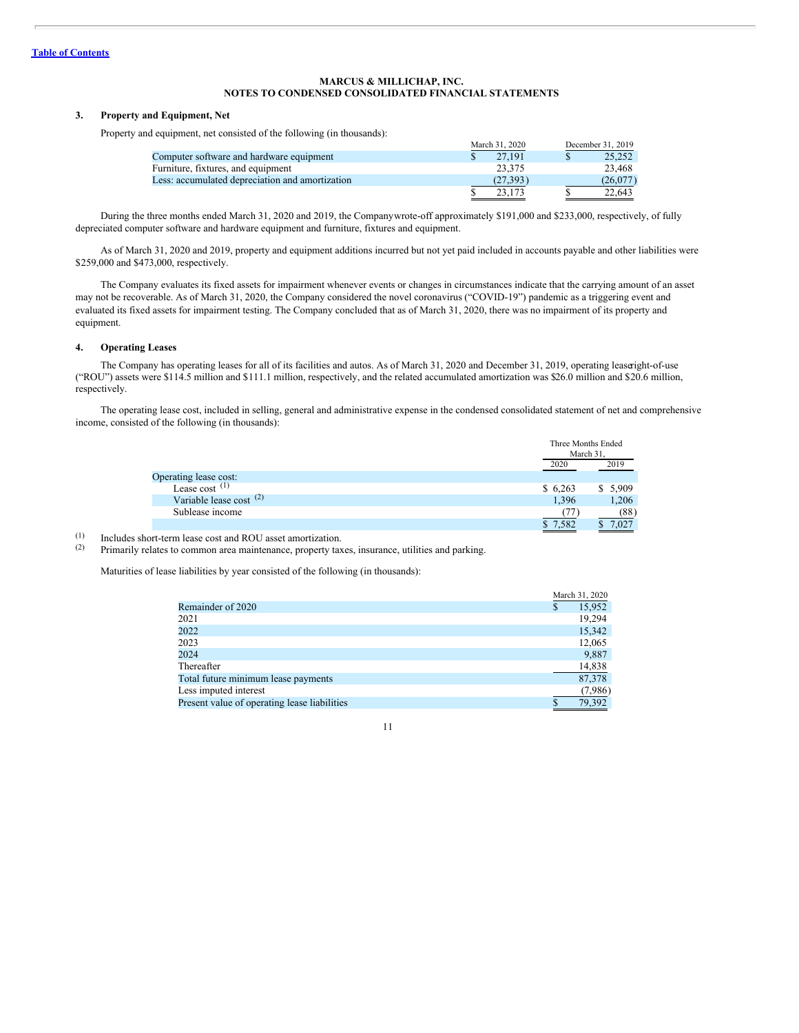#### **3. Property and Equipment, Net**

Property and equipment, net consisted of the following (in thousands):

| March 31, 2020 | December 31, 2019 |
|----------------|-------------------|
| 27.191         | 25,252            |
| 23.375         | 23,468            |
| (27.393)       | (26,077)          |
| 23.173         | 22.643            |
|                |                   |

During the three months ended March 31, 2020 and 2019, the Companywrote-off approximately \$191,000 and \$233,000, respectively, of fully depreciated computer software and hardware equipment and furniture, fixtures and equipment.

As of March 31, 2020 and 2019, property and equipment additions incurred but not yet paid included in accounts payable and other liabilities were \$259,000 and \$473,000, respectively.

The Company evaluates its fixed assets for impairment whenever events or changes in circumstances indicate that the carrying amount of an asset may not be recoverable. As of March 31, 2020, the Company considered the novel coronavirus ("COVID-19") pandemic as a triggering event and evaluated its fixed assets for impairment testing. The Company concluded that as of March 31, 2020, there was no impairment of its property and equipment.

#### **4. Operating Leases**

The Company has operating leases for all of its facilities and autos. As of March 31, 2020 and December 31, 2019, operating leaseright-of-use ("ROU") assets were \$114.5 million and \$111.1 million, respectively, and the related accumulated amortization was \$26.0 million and \$20.6 million, respectively.

The operating lease cost, included in selling, general and administrative expense in the condensed consolidated statement of net and comprehensive income, consisted of the following (in thousands):

|                                                    | Three Months Ended |       |
|----------------------------------------------------|--------------------|-------|
|                                                    | March 31.          |       |
|                                                    | 2020               | 2019  |
|                                                    |                    |       |
| Operating lease cost:<br>Lease cost <sup>(1)</sup> | \$6,263            | 5,909 |
| Variable lease cost $(2)$                          | 1,396              | 1,206 |
| Sublease income                                    |                    | (88)  |
|                                                    | 7,582              | 7.027 |

(1) Includes short-term lease cost and ROU asset amortization.<br>(2) Primarily relates to common area maintenance, property tax

Primarily relates to common area maintenance, property taxes, insurance, utilities and parking.

Maturities of lease liabilities by year consisted of the following (in thousands):

|                                              |   | March 31, 2020 |
|----------------------------------------------|---|----------------|
| Remainder of 2020                            | ъ | 15,952         |
| 2021                                         |   | 19.294         |
| 2022                                         |   | 15,342         |
| 2023                                         |   | 12,065         |
| 2024                                         |   | 9,887          |
| Thereafter                                   |   | 14,838         |
| Total future minimum lease payments          |   | 87,378         |
| Less imputed interest                        |   | (7,986)        |
| Present value of operating lease liabilities |   | 79.392         |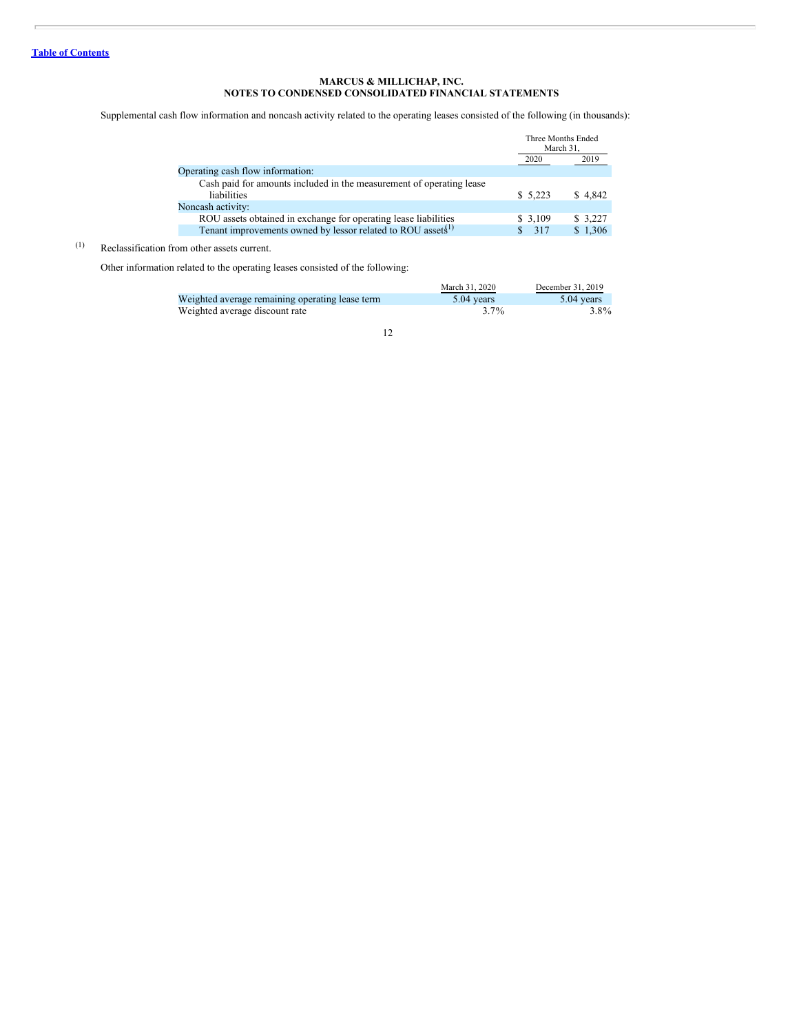Supplemental cash flow information and noncash activity related to the operating leases consisted of the following (in thousands):

|                                                                          | Three Months Ended<br>March 31. |         |
|--------------------------------------------------------------------------|---------------------------------|---------|
|                                                                          | 2020                            | 2019    |
| Operating cash flow information:                                         |                                 |         |
| Cash paid for amounts included in the measurement of operating lease     |                                 |         |
| liabilities                                                              | \$5,223                         | \$4.842 |
| Noncash activity:                                                        |                                 |         |
| ROU assets obtained in exchange for operating lease liabilities          | \$3,109                         | \$3,227 |
| Tenant improvements owned by lessor related to ROU assets <sup>[1]</sup> | 317                             | \$1,306 |

# (1) Reclassification from other assets current.

Other information related to the operating leases consisted of the following:

|                                                 | March 31, 2020 | December 31, 2019 |
|-------------------------------------------------|----------------|-------------------|
| Weighted average remaining operating lease term | $5.04$ years   | $5.04$ years      |
| Weighted average discount rate                  | $3.7\%$        | $3.8\%$           |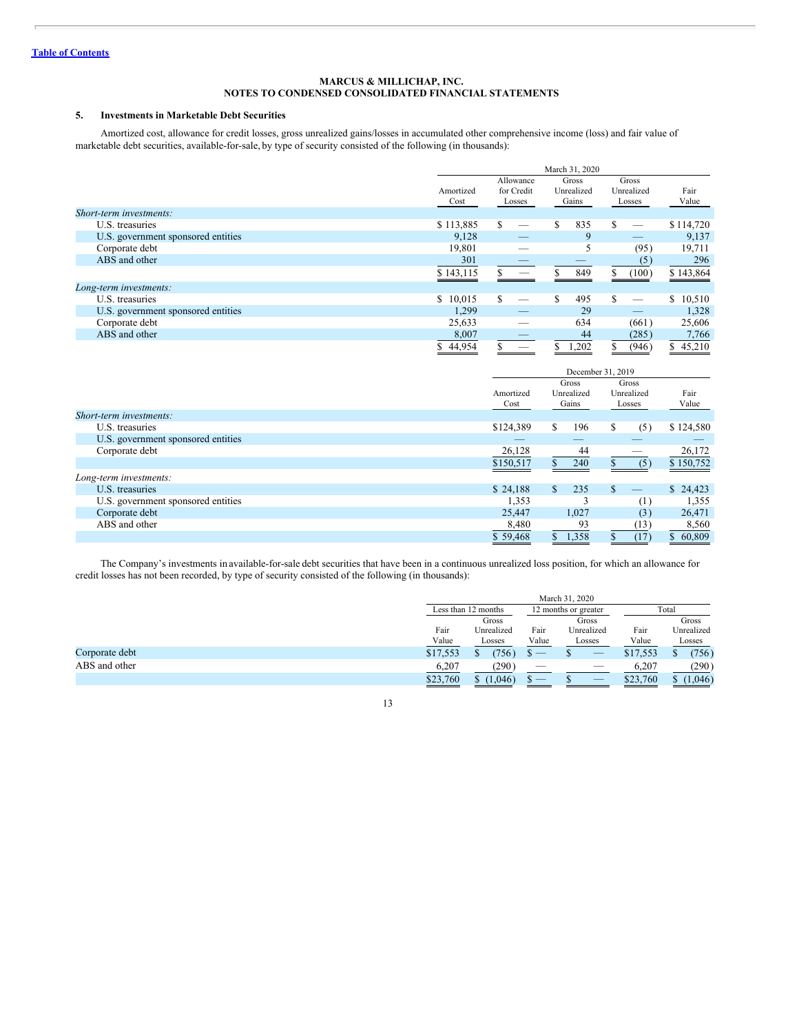#### **5. Investments in Marketable Debt Securities**

Amortized cost, allowance for credit losses, gross unrealized gains/losses in accumulated other comprehensive income (loss) and fair value of marketable debt securities, available-for-sale, by type of security consisted of the following (in thousands):

|                                    |           | March 31, 2020 |             |                               |           |  |  |
|------------------------------------|-----------|----------------|-------------|-------------------------------|-----------|--|--|
|                                    |           | Allowance      | Gross       | Gross                         |           |  |  |
|                                    | Amortized | for Credit     | Unrealized  | Unrealized                    | Fair      |  |  |
|                                    | Cost      | Losses         | Gains       | Losses                        | Value     |  |  |
| Short-term investments:            |           |                |             |                               |           |  |  |
| U.S. treasuries                    | \$113,885 | S<br>-         | S<br>835    |                               | \$114,720 |  |  |
| U.S. government sponsored entities | 9,128     |                | 9           | $\overline{\phantom{a}}$      | 9,137     |  |  |
| Corporate debt                     | 19,801    |                | 5           | (95)                          | 19,711    |  |  |
| ABS and other                      | 301       |                |             | (5)                           | 296       |  |  |
|                                    | \$143,115 |                | 849         | (100)<br>S.                   | \$143,864 |  |  |
| Long-term investments:             |           |                |             |                               |           |  |  |
| U.S. treasuries                    | \$10,015  |                | S<br>495    | $\overbrace{\phantom{12332}}$ | \$10,510  |  |  |
| U.S. government sponsored entities | 1.299     |                | 29          | _                             | 1,328     |  |  |
| Corporate debt                     | 25,633    |                | 634         | (661)                         | 25,606    |  |  |
| ABS and other                      | 8,007     |                | 44          | (285)                         | 7,766     |  |  |
|                                    | \$44,954  |                | 1,202<br>\$ | (946)<br>\$                   | \$45,210  |  |  |

|                                    |                   | December 31, 2019            |                                        |               |  |  |
|------------------------------------|-------------------|------------------------------|----------------------------------------|---------------|--|--|
|                                    | Amortized<br>Cost | Gross<br>Unrealized<br>Gains | Gross<br>Unrealized<br>Losses          | Fair<br>Value |  |  |
| Short-term investments:            |                   |                              |                                        |               |  |  |
| U.S. treasuries                    | \$124,389         | \$<br>196                    | \$<br>(5)                              | \$124,580     |  |  |
| U.S. government sponsored entities |                   |                              |                                        |               |  |  |
| Corporate debt                     | 26,128            | 44                           | _                                      | 26,172        |  |  |
|                                    | \$150,517         | 240                          | (5)                                    | \$150,752     |  |  |
| Long-term investments:             |                   |                              |                                        |               |  |  |
| U.S. treasuries                    | \$24,188          | 235<br>\$                    | \$.<br>$\qquad \qquad - \qquad \qquad$ | \$24,423      |  |  |
| U.S. government sponsored entities | 1,353             |                              | (1)                                    | 1,355         |  |  |
| Corporate debt                     | 25,447            | 1,027                        | (3)                                    | 26,471        |  |  |
| ABS and other                      | 8,480             | 93                           | (13)                                   | 8,560         |  |  |
|                                    | \$59,468          | 1,358                        | (17)                                   | \$60,809      |  |  |

The Company's investments in available-for-sale debt securities that have been in a continuous unrealized loss position, for which an allowance for credit losses has not been recorded, by type of security consisted of the following (in thousands):

|                |          | March 31, 2020              |        |                      |          |            |      |            |
|----------------|----------|-----------------------------|--------|----------------------|----------|------------|------|------------|
|                |          | Less than 12 months         |        | 12 months or greater |          | Total      |      |            |
|                |          | Gross<br>Unrealized<br>Fair |        | Gross                |          |            |      | Gross      |
|                |          |                             |        |                      | Fair     | Unrealized | Fair | Unrealized |
|                | Value    | Losses                      | Value  | Losses               | Value    | Losses     |      |            |
| Corporate debt | \$17,553 | (756)                       |        |                      | \$17,553 | (756)      |      |            |
| ABS and other  | 6,207    | (290)                       | $\sim$ |                      | 6,207    | (290)      |      |            |
|                | \$23,760 | .1,046                      |        |                      | \$23,760 | .1,046     |      |            |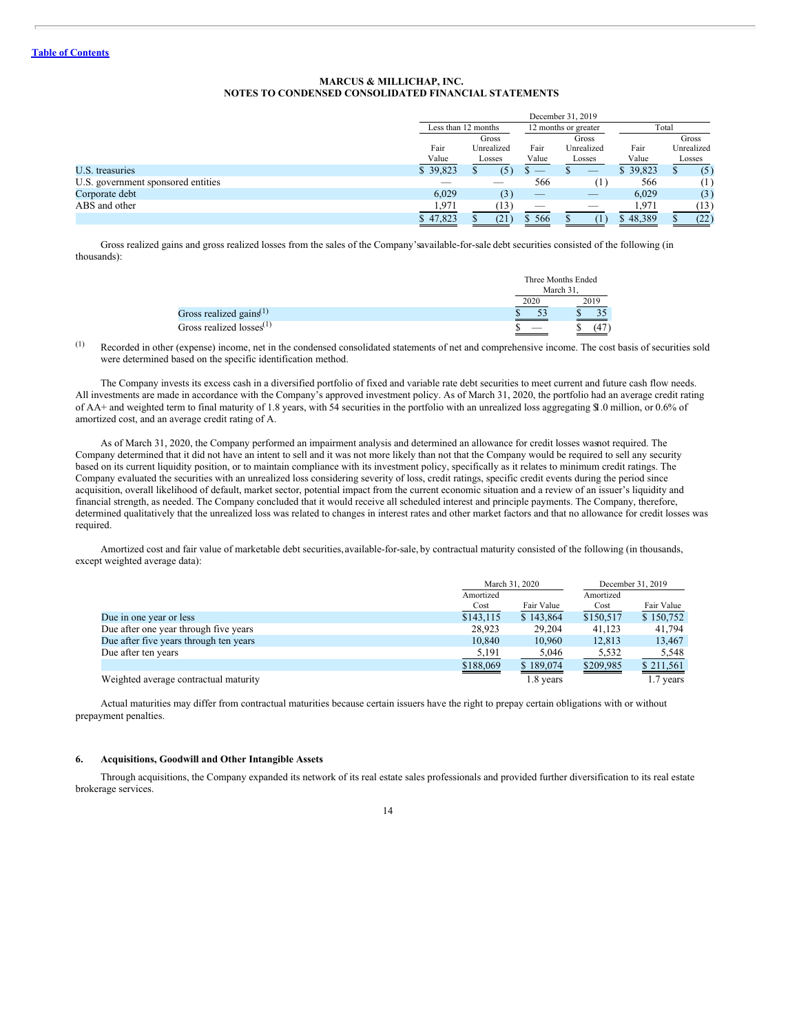|                                    | December 31, 2019 |                     |                          |                      |          |            |
|------------------------------------|-------------------|---------------------|--------------------------|----------------------|----------|------------|
|                                    |                   | Less than 12 months |                          | 12 months or greater |          | Total      |
|                                    |                   | Gross               |                          | Gross                |          | Gross      |
|                                    | Fair              | Unrealized          | Fair                     | Unrealized           | Fair     | Unrealized |
|                                    | Value             | Losses              | Value                    | Losses               | Value    | Losses     |
| U.S. treasuries                    | \$39,823          | (5)                 |                          |                      | \$39,823 | (5)        |
| U.S. government sponsored entities |                   | _                   | 566                      | (1)                  | 566      | (1)        |
| Corporate debt                     | 6,029             | (3)                 | $\overline{\phantom{a}}$ | _                    | 6,029    | (3)        |
| ABS and other                      | 1,971             | (13)                | $-$                      | _                    | 1,971    | (13)       |
|                                    | \$47,823          | (21)                | \$566                    |                      | \$48,389 | (22)       |

Gross realized gains and gross realized losses from the sales of the Company'savailable-for-sale debt securities consisted of the following (in thousands):

|                                                  |      | Three Months Ended<br>March 31. |
|--------------------------------------------------|------|---------------------------------|
|                                                  | 2020 | 2019                            |
| Gross realized gains <sup><math>(1)</math></sup> |      |                                 |
| Gross realized losses $(1)$                      |      | ٠4,                             |

(1) Recorded in other (expense) income, net in the condensed consolidated statements of net and comprehensive income. The cost basis of securities sold were determined based on the specific identification method.

The Company invests its excess cash in a diversified portfolio of fixed and variable rate debt securities to meet current and future cash flow needs. All investments are made in accordance with the Company's approved investment policy. As of March 31, 2020, the portfolio had an average credit rating of AA+ and weighted term to final maturity of 1.8 years, with 54 securities in the portfolio with an unrealized loss aggregating \$1.0 million, or 0.6% of amortized cost, and an average credit rating of A.

As of March 31, 2020, the Company performed an impairment analysis and determined an allowance for credit losses wasnot required. The Company determined that it did not have an intent to sell and it was not more likely than not that the Company would be required to sell any security based on its current liquidity position, or to maintain compliance with its investment policy, specifically as it relates to minimum credit ratings. The Company evaluated the securities with an unrealized loss considering severity of loss, credit ratings, specific credit events during the period since acquisition, overall likelihood of default, market sector, potential impact from the current economic situation and a review of an issuer's liquidity and financial strength, as needed. The Company concluded that it would receive all scheduled interest and principle payments. The Company, therefore, determined qualitatively that the unrealized loss was related to changes in interest rates and other market factors and that no allowance for credit losses was required.

Amortized cost and fair value of marketable debt securities,available-for-sale, by contractual maturity consisted of the following (in thousands, except weighted average data):

|                                        |           | March 31, 2020 | December 31, 2019 |            |  |
|----------------------------------------|-----------|----------------|-------------------|------------|--|
|                                        | Amortized |                |                   |            |  |
|                                        | Cost      | Fair Value     |                   | Fair Value |  |
| Due in one year or less                | \$143,115 | \$143,864      | \$150,517         | \$150,752  |  |
| Due after one year through five years  | 28.923    | 29.204         | 41,123            | 41,794     |  |
| Due after five years through ten years | 10.840    | 10.960         | 12.813            | 13.467     |  |
| Due after ten years                    | 5,191     | 5,046          | 5,532             | 5,548      |  |
|                                        | \$188,069 | \$189,074      | \$209,985         | \$211,561  |  |
| Weighted average contractual maturity  |           | 1.8 vears      |                   | 1.7 years  |  |

Actual maturities may differ from contractual maturities because certain issuers have the right to prepay certain obligations with or without prepayment penalties.

#### **6. Acquisitions, Goodwill and Other Intangible Assets**

Through acquisitions, the Company expanded its network of its real estate sales professionals and provided further diversification to its real estate brokerage services.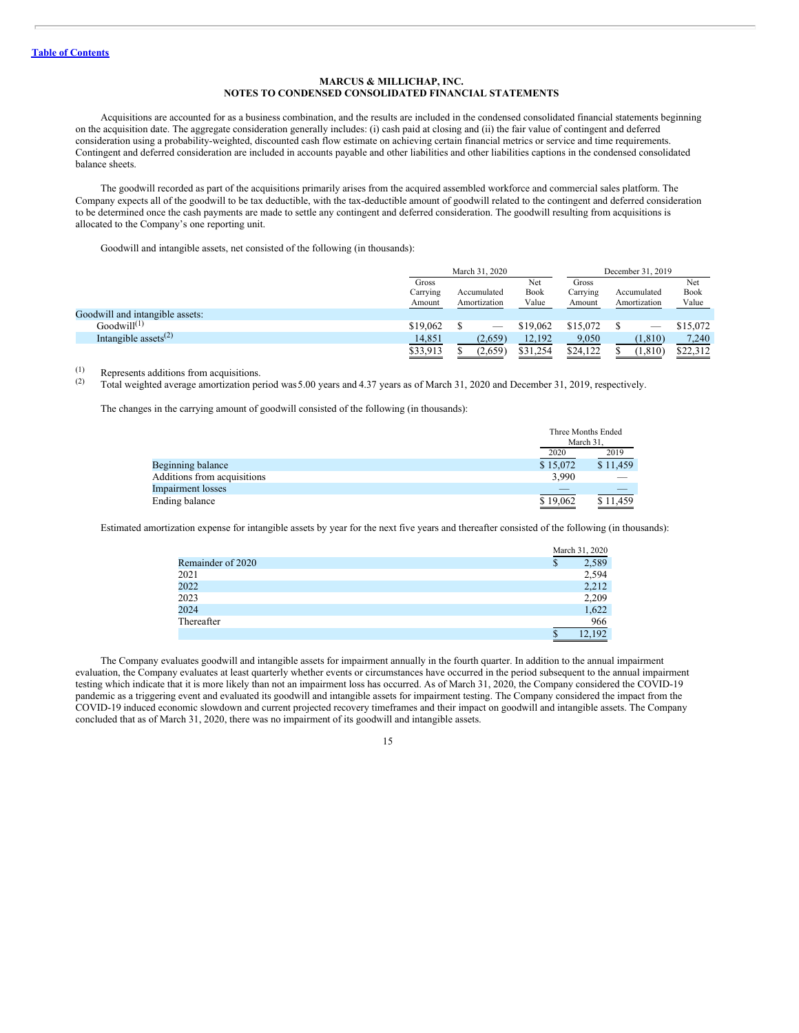Acquisitions are accounted for as a business combination, and the results are included in the condensed consolidated financial statements beginning on the acquisition date. The aggregate consideration generally includes: (i) cash paid at closing and (ii) the fair value of contingent and deferred consideration using a probability-weighted, discounted cash flow estimate on achieving certain financial metrics or service and time requirements. Contingent and deferred consideration are included in accounts payable and other liabilities and other liabilities captions in the condensed consolidated balance sheets.

The goodwill recorded as part of the acquisitions primarily arises from the acquired assembled workforce and commercial sales platform. The Company expects all of the goodwill to be tax deductible, with the tax-deductible amount of goodwill related to the contingent and deferred consideration to be determined once the cash payments are made to settle any contingent and deferred consideration. The goodwill resulting from acquisitions is allocated to the Company's one reporting unit.

Goodwill and intangible assets, net consisted of the following (in thousands):

|                                 |                 | March 31, 2020 |          |          | December 31, 2019 |          |  |
|---------------------------------|-----------------|----------------|----------|----------|-------------------|----------|--|
|                                 | Gross           |                | Net      | Gross    |                   | Net      |  |
|                                 | Carrying        | Accumulated    | Book     | Carrying | Accumulated       | Book     |  |
|                                 | Amount          | Amortization   | Value    | Amount   | Amortization      | Value    |  |
| Goodwill and intangible assets: |                 |                |          |          |                   |          |  |
| Goodwill <sup>(1)</sup>         | \$19,062        |                | \$19,062 | \$15,072 |                   | \$15,072 |  |
| Intangible assets $^{(2)}$      | 14,851          | (2,659)        | 12.192   | 9,050    | (1, 810)          | 7,240    |  |
|                                 | \$33,913<br>___ | (2,659)        | \$31,254 | \$24,122 | (1, 810)          | \$22,312 |  |

(1) Represents additions from acquisitions.<br>(2) Total weighted average amortization ne

(2) Total weighted average amortization period was5.00 years and 4.37 years as of March 31, 2020 and December 31, 2019, respectively.

The changes in the carrying amount of goodwill consisted of the following (in thousands):

|                             |          | Three Months Ended<br>March 31. |
|-----------------------------|----------|---------------------------------|
|                             | 2020     | 2019                            |
| Beginning balance           | \$15,072 | \$11,459                        |
| Additions from acquisitions | 3.990    | -                               |
| <b>Impairment</b> losses    |          |                                 |
| Ending balance              | \$19,062 | \$11,459                        |

Estimated amortization expense for intangible assets by year for the next five years and thereafter consisted of the following (in thousands):

|                   |   | March 31, 2020 |
|-------------------|---|----------------|
| Remainder of 2020 | S | 2,589          |
| 2021              |   | 2.594          |
| 2022              |   | 2,212          |
| 2023              |   | 2,209          |
| 2024              |   | 1,622          |
| Thereafter        |   | 966            |
|                   |   | 12.192         |

The Company evaluates goodwill and intangible assets for impairment annually in the fourth quarter. In addition to the annual impairment evaluation, the Company evaluates at least quarterly whether events or circumstances have occurred in the period subsequent to the annual impairment testing which indicate that it is more likely than not an impairment loss has occurred. As of March 31, 2020, the Company considered the COVID-19 pandemic as a triggering event and evaluated its goodwill and intangible assets for impairment testing. The Company considered the impact from the COVID-19 induced economic slowdown and current projected recovery timeframes and their impact on goodwill and intangible assets. The Company concluded that as of March 31, 2020, there was no impairment of its goodwill and intangible assets.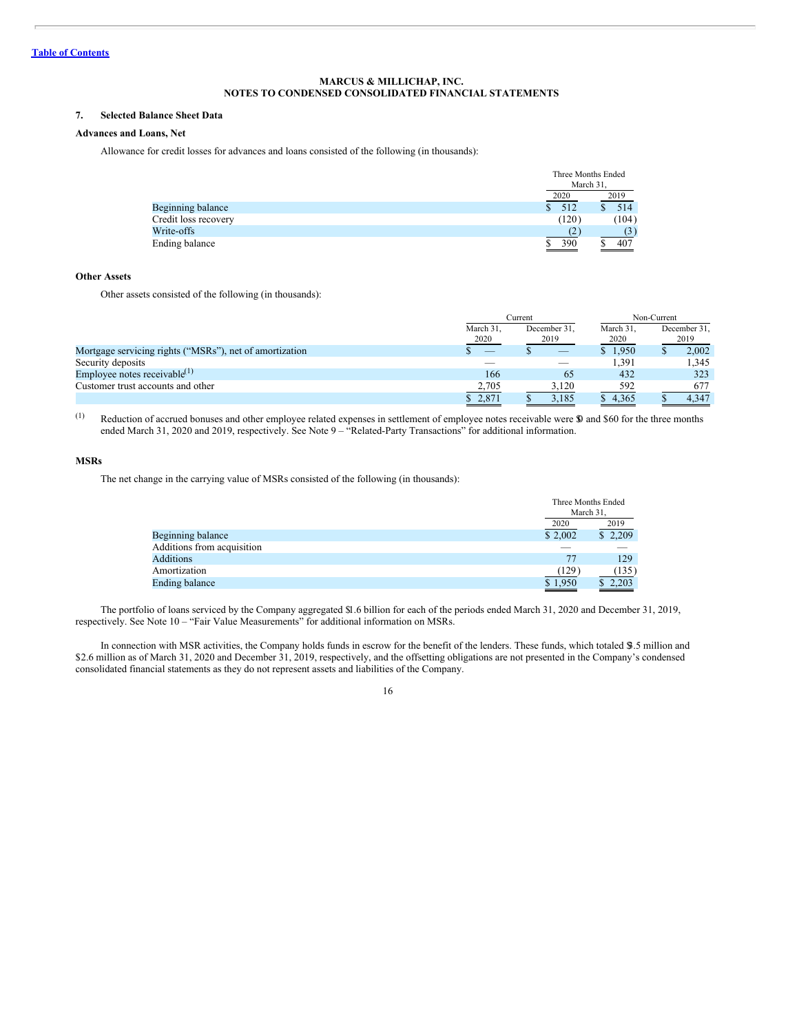#### **7. Selected Balance Sheet Data**

#### **Advances and Loans, Net**

Allowance for credit losses for advances and loans consisted of the following (in thousands):

|                      | Three Months Ended<br>March 31. |       |
|----------------------|---------------------------------|-------|
|                      | 2020                            | 2019  |
| Beginning balance    | 512                             | 514   |
| Credit loss recovery | (120)                           | (104) |
| Write-offs           |                                 |       |
| Ending balance       | 390                             | 407   |

#### **Other Assets**

Other assets consisted of the following (in thousands):

|                                                         |                   | Current |                      | Non-Current       |  |                      |  |
|---------------------------------------------------------|-------------------|---------|----------------------|-------------------|--|----------------------|--|
|                                                         | March 31.<br>2020 |         | December 31.<br>2019 | March 31,<br>2020 |  | December 31,<br>2019 |  |
| Mortgage servicing rights ("MSRs"), net of amortization |                   |         |                      | \$1,950           |  | 2.002                |  |
| Security deposits                                       |                   |         |                      | 1,391             |  | 1.345                |  |
| Employee notes receivable <sup>(1)</sup>                | 166               |         | 65                   | 432               |  | 323                  |  |
| Customer trust accounts and other                       | 2,705             |         | 3,120                | 592               |  | 677                  |  |
|                                                         | \$ 2.871          |         | 3.185                | \$4,365           |  | 4.347                |  |

(1) Reduction of accrued bonuses and other employee related expenses in settlement of employee notes receivable were \$0 and \$60 for the three months ended March 31, 2020 and 2019, respectively. See Note 9 – "Related-Party Transactions" for additional information.

#### **MSRs**

The net change in the carrying value of MSRs consisted of the following (in thousands):

|                            | Three Months Ended<br>March 31, |         |
|----------------------------|---------------------------------|---------|
|                            | 2020                            | 2019    |
| Beginning balance          | \$2,002                         | \$2,209 |
| Additions from acquisition |                                 |         |
| <b>Additions</b>           | 77                              | 129     |
| Amortization               | 129                             | (135    |
| <b>Ending balance</b>      | \$1,950                         | \$2,203 |
|                            |                                 |         |

The portfolio of loans serviced by the Company aggregated \$1.6 billion for each of the periods ended March 31, 2020 and December 31, 2019, respectively. See Note 10 – "Fair Value Measurements" for additional information on MSRs.

In connection with MSR activities, the Company holds funds in escrow for the benefit of the lenders. These funds, which totaled \$3.5 million and \$2.6 million as of March 31, 2020 and December 31, 2019, respectively, and the offsetting obligations are not presented in the Company's condensed consolidated financial statements as they do not represent assets and liabilities of the Company.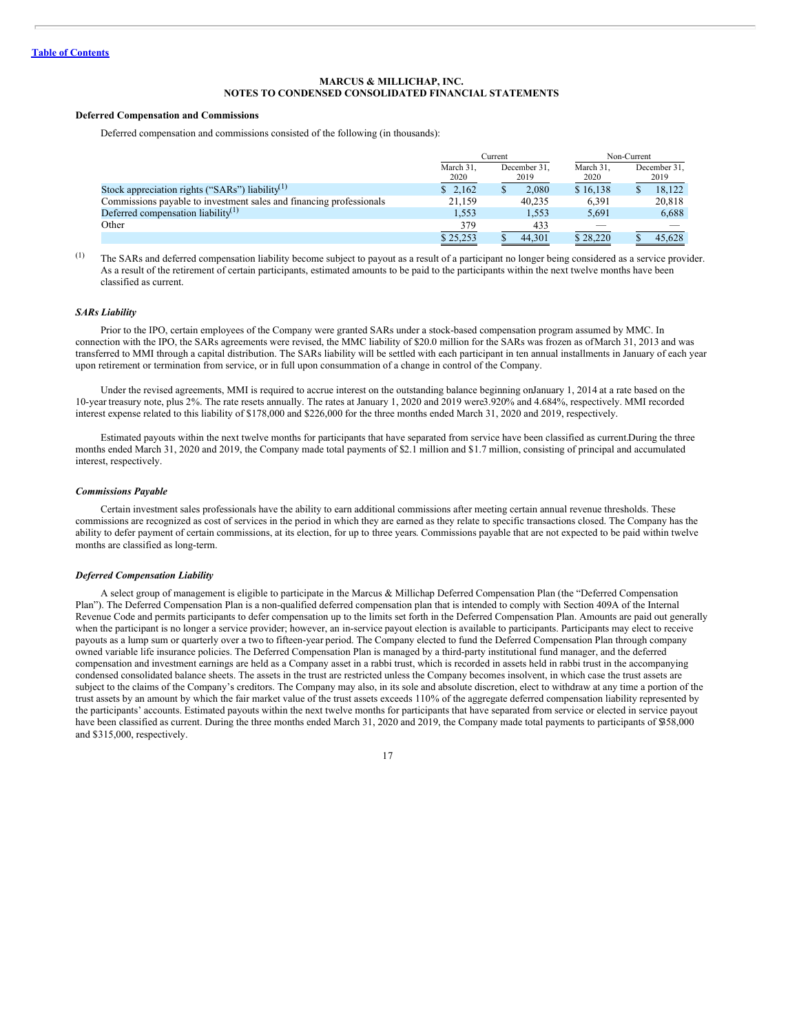#### **Deferred Compensation and Commissions**

Deferred compensation and commissions consisted of the following (in thousands):

|                                                                     |           | Current      | Non-Current |              |  |
|---------------------------------------------------------------------|-----------|--------------|-------------|--------------|--|
|                                                                     | March 31. | December 31, |             | December 31, |  |
|                                                                     | 2020      | 2019         | 2020        | 2019         |  |
| Stock appreciation rights ("SARs") liability <sup>(1)</sup>         | \$2,162   | 2.080        | \$16,138    | 18.122       |  |
| Commissions payable to investment sales and financing professionals | 21.159    | 40.235       | 6.391       | 20,818       |  |
| Deferred compensation liability <sup>(1)</sup>                      | 1.553     | 1.553        | 5.691       | 6,688        |  |
| Other                                                               | 379       | 433          |             |              |  |
|                                                                     | \$25,253  | 44.301       | \$28,220    | 45.628       |  |

(1) The SARs and deferred compensation liability become subject to payout as a result of a participant no longer being considered as a service provider. As a result of the retirement of certain participants, estimated amounts to be paid to the participants within the next twelve months have been classified as current.

#### *SARs Liability*

Prior to the IPO, certain employees of the Company were granted SARs under a stock-based compensation program assumed by MMC. In connection with the IPO, the SARs agreements were revised, the MMC liability of \$20.0 million for the SARs was frozen as ofMarch 31, 2013 and was transferred to MMI through a capital distribution. The SARs liability will be settled with each participant in ten annual installments in January of each year upon retirement or termination from service, or in full upon consummation of a change in control of the Company.

Under the revised agreements, MMI is required to accrue interest on the outstanding balance beginning onJanuary 1, 2014 at a rate based on the 10-year treasury note, plus 2%. The rate resets annually. The rates at January 1, 2020 and 2019 were3.920% and 4.684%, respectively. MMI recorded interest expense related to this liability of \$178,000 and \$226,000 for the three months ended March 31, 2020 and 2019, respectively.

Estimated payouts within the next twelve months for participants that have separated from service have been classified as current.During the three months ended March 31, 2020 and 2019, the Company made total payments of \$2.1 million and \$1.7 million, consisting of principal and accumulated interest, respectively.

#### *Commissions Payable*

Certain investment sales professionals have the ability to earn additional commissions after meeting certain annual revenue thresholds. These commissions are recognized as cost of services in the period in which they are earned as they relate to specific transactions closed. The Company has the ability to defer payment of certain commissions, at its election, for up to three years. Commissions payable that are not expected to be paid within twelve months are classified as long-term.

#### *Deferred Compensation Liability*

A select group of management is eligible to participate in the Marcus & Millichap Deferred Compensation Plan (the "Deferred Compensation Plan"). The Deferred Compensation Plan is a non-qualified deferred compensation plan that is intended to comply with Section 409A of the Internal Revenue Code and permits participants to defer compensation up to the limits set forth in the Deferred Compensation Plan. Amounts are paid out generally when the participant is no longer a service provider; however, an in-service payout election is available to participants. Participants may elect to receive payouts as a lump sum or quarterly over a two to fifteen-year period. The Company elected to fund the Deferred Compensation Plan through company owned variable life insurance policies. The Deferred Compensation Plan is managed by a third-party institutional fund manager, and the deferred compensation and investment earnings are held as a Company asset in a rabbi trust, which is recorded in assets held in rabbi trust in the accompanying condensed consolidated balance sheets. The assets in the trust are restricted unless the Company becomes insolvent, in which case the trust assets are subject to the claims of the Company's creditors. The Company may also, in its sole and absolute discretion, elect to withdraw at any time a portion of the trust assets by an amount by which the fair market value of the trust assets exceeds 110% of the aggregate deferred compensation liability represented by the participants' accounts. Estimated payouts within the next twelve months for participants that have separated from service or elected in service payout have been classified as current. During the three months ended March 31, 2020 and 2019, the Company made total payments to participants of \$38,000 and \$315,000, respectively.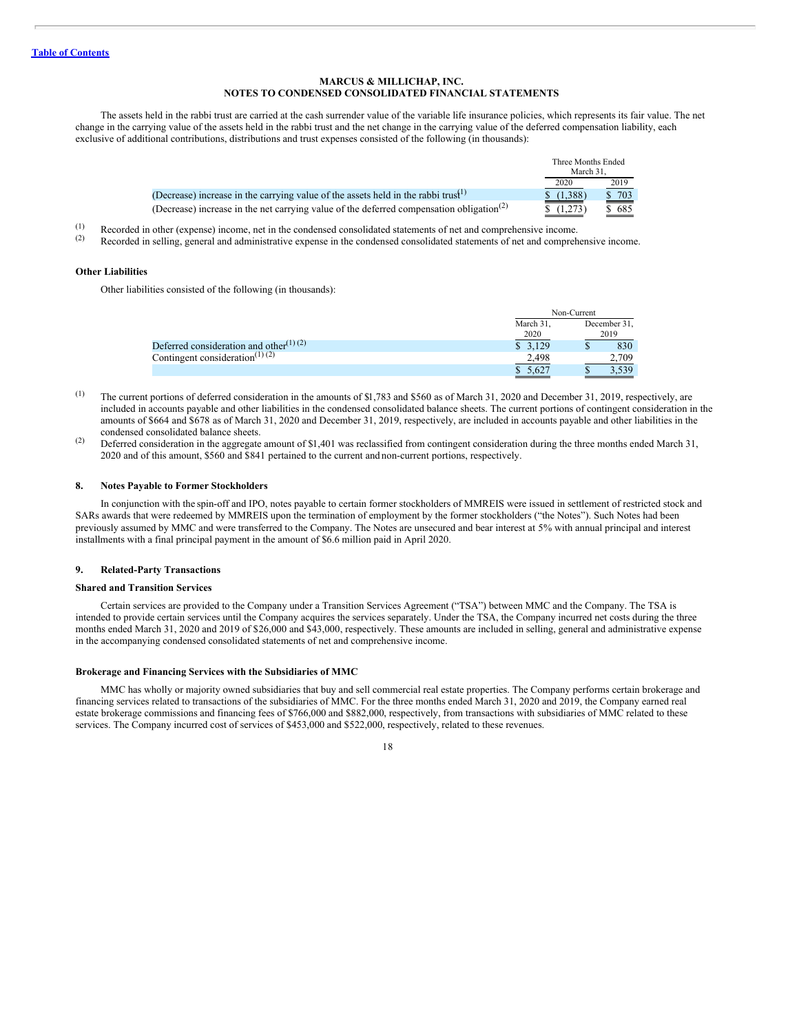The assets held in the rabbi trust are carried at the cash surrender value of the variable life insurance policies, which represents its fair value. The net change in the carrying value of the assets held in the rabbi trust and the net change in the carrying value of the deferred compensation liability, each exclusive of additional contributions, distributions and trust expenses consisted of the following (in thousands):

|                                                                                                      | Three Months Ended<br>March 31. |       |
|------------------------------------------------------------------------------------------------------|---------------------------------|-------|
|                                                                                                      | 2020                            | 2019  |
| (Decrease) increase in the carrying value of the assets held in the rabbi trust <sup>1)</sup>        | \$(1,388)                       | \$703 |
| (Decrease) increase in the net carrying value of the deferred compensation obligation <sup>(2)</sup> | (1,273)                         | \$685 |

(1) Recorded in other (expense) income, net in the condensed consolidated statements of net and comprehensive income.<br>(2) Peocrded in selling, general and edministrative expense in the condensed consolidated statements of

Recorded in selling, general and administrative expense in the condensed consolidated statements of net and comprehensive income.

#### **Other Liabilities**

Other liabilities consisted of the following (in thousands):

|                                            |           | Non-Current  |       |  |
|--------------------------------------------|-----------|--------------|-------|--|
|                                            | March 31, | December 31, |       |  |
|                                            | 2020      |              | 2019  |  |
| Deferred consideration and other $(1)(2)$  | \$3,129   |              | 830   |  |
| Contingent consideration <sup>(1)(2)</sup> | 2,498     |              | 2.709 |  |
|                                            |           |              | 3.539 |  |

- (1) The current portions of deferred consideration in the amounts of \$1,783 and \$560 as of March 31, 2020 and December 31, 2019, respectively, are included in accounts payable and other liabilities in the condensed consolidated balance sheets. The current portions of contingent consideration in the amounts of \$664 and \$678 as of March 31, 2020 and December 31, 2019, respectively, are included in accounts payable and other liabilities in the condensed consolidated balance sheets.
- <sup>(2)</sup> Deferred consideration in the aggregate amount of \$1,401 was reclassified from contingent consideration during the three months ended March 31, 2020 and of this amount, \$560 and \$841 pertained to the current and non-current portions, respectively.

#### **8. Notes Payable to Former Stockholders**

In conjunction with the spin-off and IPO, notes payable to certain former stockholders of MMREIS were issued in settlement of restricted stock and SARs awards that were redeemed by MMREIS upon the termination of employment by the former stockholders ("the Notes"). Such Notes had been previously assumed by MMC and were transferred to the Company. The Notes are unsecured and bear interest at 5% with annual principal and interest installments with a final principal payment in the amount of \$6.6 million paid in April 2020.

#### **9. Related-Party Transactions**

#### **Shared and Transition Services**

Certain services are provided to the Company under a Transition Services Agreement ("TSA") between MMC and the Company. The TSA is intended to provide certain services until the Company acquires the services separately. Under the TSA, the Company incurred net costs during the three months ended March 31, 2020 and 2019 of \$26,000 and \$43,000, respectively. These amounts are included in selling, general and administrative expense in the accompanying condensed consolidated statements of net and comprehensive income.

#### **Brokerage and Financing Services with the Subsidiaries of MMC**

MMC has wholly or majority owned subsidiaries that buy and sell commercial real estate properties. The Company performs certain brokerage and financing services related to transactions of the subsidiaries of MMC. For the three months ended March 31, 2020 and 2019, the Company earned real estate brokerage commissions and financing fees of \$766,000 and \$882,000, respectively, from transactions with subsidiaries of MMC related to these services. The Company incurred cost of services of \$453,000 and \$522,000, respectively, related to these revenues.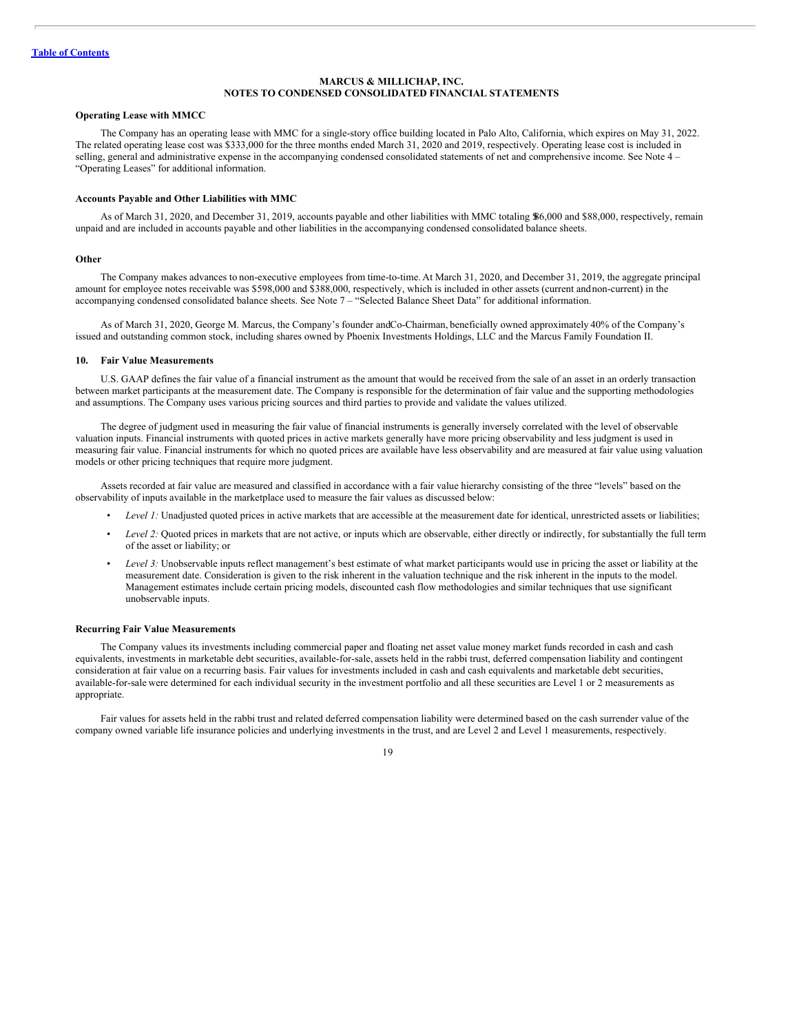#### **Operating Lease with MMCC**

The Company has an operating lease with MMC for a single-story office building located in Palo Alto, California, which expires on May 31, 2022. The related operating lease cost was \$333,000 for the three months ended March 31, 2020 and 2019, respectively. Operating lease cost is included in selling, general and administrative expense in the accompanying condensed consolidated statements of net and comprehensive income. See Note 4 – "Operating Leases" for additional information.

#### **Accounts Payable and Other Liabilities with MMC**

As of March 31, 2020, and December 31, 2019, accounts payable and other liabilities with MMC totaling \$86,000 and \$88,000, respectively, remain unpaid and are included in accounts payable and other liabilities in the accompanying condensed consolidated balance sheets.

#### **Other**

The Company makes advances to non-executive employees from time-to-time. At March 31, 2020, and December 31, 2019, the aggregate principal amount for employee notes receivable was \$598,000 and \$388,000, respectively, which is included in other assets (current andnon-current) in the accompanying condensed consolidated balance sheets. See Note 7 – "Selected Balance Sheet Data" for additional information.

As of March 31, 2020, George M. Marcus, the Company's founder andCo-Chairman, beneficially owned approximately 40% of the Company's issued and outstanding common stock, including shares owned by Phoenix Investments Holdings, LLC and the Marcus Family Foundation II.

#### **10. Fair Value Measurements**

U.S. GAAP defines the fair value of a financial instrument as the amount that would be received from the sale of an asset in an orderly transaction between market participants at the measurement date. The Company is responsible for the determination of fair value and the supporting methodologies and assumptions. The Company uses various pricing sources and third parties to provide and validate the values utilized.

The degree of judgment used in measuring the fair value of financial instruments is generally inversely correlated with the level of observable valuation inputs. Financial instruments with quoted prices in active markets generally have more pricing observability and less judgment is used in measuring fair value. Financial instruments for which no quoted prices are available have less observability and are measured at fair value using valuation models or other pricing techniques that require more judgment.

Assets recorded at fair value are measured and classified in accordance with a fair value hierarchy consisting of the three "levels" based on the observability of inputs available in the marketplace used to measure the fair values as discussed below:

- *Level 1:* Unadjusted quoted prices in active markets that are accessible at the measurement date for identical, unrestricted assets or liabilities;
- *Level 2:* Quoted prices in markets that are not active, or inputs which are observable, either directly or indirectly, for substantially the full term of the asset or liability; or
- Level 3: Unobservable inputs reflect management's best estimate of what market participants would use in pricing the asset or liability at the measurement date. Consideration is given to the risk inherent in the valuation technique and the risk inherent in the inputs to the model. Management estimates include certain pricing models, discounted cash flow methodologies and similar techniques that use significant unobservable inputs.

#### **Recurring Fair Value Measurements**

The Company values its investments including commercial paper and floating net asset value money market funds recorded in cash and cash equivalents, investments in marketable debt securities, available-for-sale, assets held in the rabbi trust, deferred compensation liability and contingent consideration at fair value on a recurring basis. Fair values for investments included in cash and cash equivalents and marketable debt securities, available-for-sale were determined for each individual security in the investment portfolio and all these securities are Level 1 or 2 measurements as appropriate.

Fair values for assets held in the rabbi trust and related deferred compensation liability were determined based on the cash surrender value of the company owned variable life insurance policies and underlying investments in the trust, and are Level 2 and Level 1 measurements, respectively.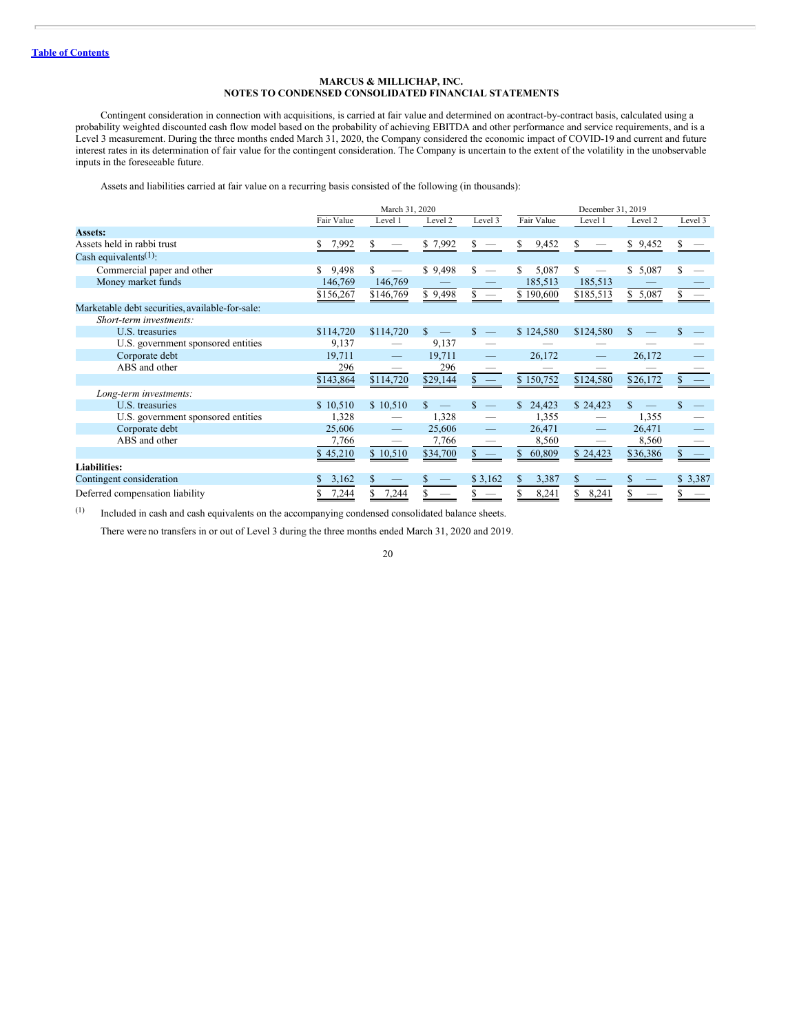Contingent consideration in connection with acquisitions, is carried at fair value and determined on acontract-by-contract basis, calculated using a probability weighted discounted cash flow model based on the probability of achieving EBITDA and other performance and service requirements, and is a Level 3 measurement. During the three months ended March 31, 2020, the Company considered the economic impact of COVID-19 and current and future interest rates in its determination of fair value for the contingent consideration. The Company is uncertain to the extent of the volatility in the unobservable inputs in the foreseeable future.

Assets and liabilities carried at fair value on a recurring basis consisted of the following (in thousands):

|                                                 |            | March 31, 2020<br>December 31, 2019 |          |                                     |             |           |          |         |
|-------------------------------------------------|------------|-------------------------------------|----------|-------------------------------------|-------------|-----------|----------|---------|
|                                                 | Fair Value | Level 1                             | Level 2  | Level 3                             | Fair Value  | Level 1   | Level 2  | Level 3 |
| <b>Assets:</b>                                  |            |                                     |          |                                     |             |           |          |         |
| Assets held in rabbi trust                      | 7,992<br>S |                                     | \$7,992  | S.<br>$\overbrace{\phantom{12333}}$ | 9,452<br>S. | S.        | \$9,452  |         |
| Cash equivalents <sup>(1)</sup> :               |            |                                     |          |                                     |             |           |          |         |
| Commercial paper and other                      | 9,498      | S.                                  | \$9,498  |                                     | 5,087<br>S. |           | \$5,087  |         |
| Money market funds                              | 146,769    | 146,769                             |          |                                     | 185,513     | 185,513   |          |         |
|                                                 | \$156,267  | \$146,769                           | \$9,498  |                                     | \$190,600   | \$185,513 | \$5,087  |         |
| Marketable debt securities, available-for-sale: |            |                                     |          |                                     |             |           |          |         |
| Short-term investments:                         |            |                                     |          |                                     |             |           |          |         |
| U.S. treasuries                                 | \$114,720  | \$114,720                           | S.       |                                     | \$124,580   | \$124,580 | \$       |         |
| U.S. government sponsored entities              | 9,137      |                                     | 9,137    |                                     |             |           |          |         |
| Corporate debt                                  | 19,711     |                                     | 19,711   |                                     | 26,172      |           | 26,172   |         |
| ABS and other                                   | 296        |                                     | 296      | _                                   |             |           |          |         |
|                                                 | \$143,864  | \$114,720                           | \$29,144 | $s =$                               | \$150,752   | \$124,580 | \$26,172 |         |
| Long-term investments:                          |            |                                     |          |                                     |             |           |          |         |
| U.S. treasuries                                 | \$10,510   | \$10,510                            |          |                                     | 24,423      | \$24,423  |          |         |
| U.S. government sponsored entities              | 1,328      |                                     | 1,328    |                                     | 1,355       |           | 1,355    |         |
| Corporate debt                                  | 25,606     |                                     | 25,606   |                                     | 26,471      |           | 26,471   |         |
| ABS and other                                   | 7,766      |                                     | 7,766    |                                     | 8,560       |           | 8,560    |         |
|                                                 | \$45,210   | \$10,510                            | \$34,700 |                                     | 60,809      | \$24,423  | \$36,386 |         |
| <b>Liabilities:</b>                             |            |                                     |          |                                     |             |           |          |         |
| Contingent consideration                        | 3,162      |                                     |          | \$3,162                             | 3,387       |           |          | \$3,387 |
| Deferred compensation liability                 | 7,244      | 7,244                               |          |                                     | 8,241       | 8,241     |          |         |

(1) Included in cash and cash equivalents on the accompanying condensed consolidated balance sheets.

There were no transfers in or out of Level 3 during the three months ended March 31, 2020 and 2019.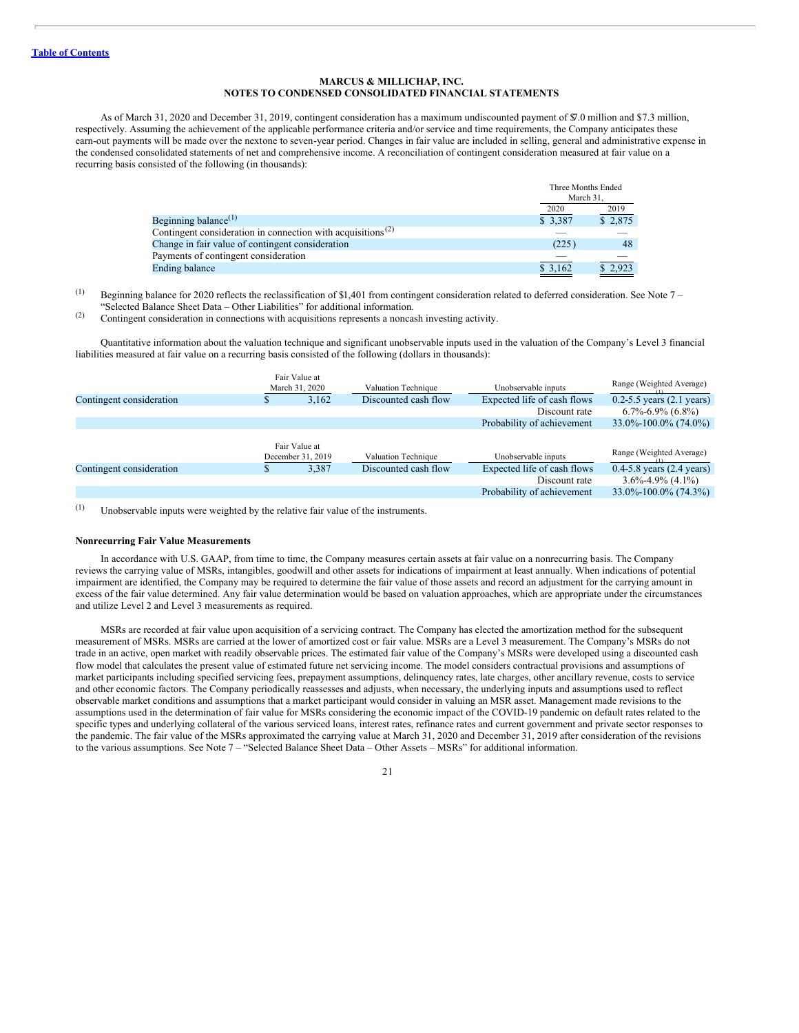As of March 31, 2020 and December 31, 2019, contingent consideration has a maximum undiscounted payment of \$7.0 million and \$7.3 million, respectively. Assuming the achievement of the applicable performance criteria and/or service and time requirements, the Company anticipates these earn-out payments will be made over the nextone to seven-year period. Changes in fair value are included in selling, general and administrative expense in the condensed consolidated statements of net and comprehensive income. A reconciliation of contingent consideration measured at fair value on a recurring basis consisted of the following (in thousands):

|                                                                         | Three Months Ended<br>March 31. |         |
|-------------------------------------------------------------------------|---------------------------------|---------|
|                                                                         | 2020                            | 2019    |
| Beginning balance $(1)$                                                 | \$3,387                         | \$2,875 |
| Contingent consideration in connection with acquisitions <sup>(2)</sup> |                                 |         |
| Change in fair value of contingent consideration                        | (225)                           | 48      |
| Payments of contingent consideration                                    |                                 |         |
| <b>Ending balance</b>                                                   | \$3,162                         | \$2,923 |

(1) Beginning balance for 2020 reflects the reclassification of \$1,401 from contingent consideration related to deferred consideration. See Note  $7 -$ "Selected Balance Sheet Data – Other Liabilities" for additional information.

(2) Contingent consideration in connections with acquisitions represents a noncash investing activity.

Quantitative information about the valuation technique and significant unobservable inputs used in the valuation of the Company's Level 3 financial liabilities measured at fair value on a recurring basis consisted of the following (dollars in thousands):

|                          | Fair Value at<br>March 31, 2020    | Valuation Technique  | Unobservable inputs         | Range (Weighted Average)        |
|--------------------------|------------------------------------|----------------------|-----------------------------|---------------------------------|
| Contingent consideration | 3,162<br>Φ                         | Discounted cash flow | Expected life of cash flows | $0.2 - 5.5$ years $(2.1$ years) |
|                          |                                    |                      | Discount rate               | $6.7\% - 6.9\%$ $(6.8\%)$       |
|                          |                                    |                      | Probability of achievement  | 33.0%-100.0% (74.0%)            |
|                          | Fair Value at<br>December 31, 2019 | Valuation Technique  | Unobservable inputs         | Range (Weighted Average)        |
| Contingent consideration | 3,387<br>Φ                         | Discounted cash flow | Expected life of cash flows | $0.4 - 5.8$ years $(2.4$ years) |
|                          |                                    |                      | Discount rate               | $3.6\% - 4.9\%$ (4.1%)          |
|                          |                                    |                      | Probability of achievement  | $33.0\% - 100.0\%$ (74.3%)      |

(1) Unobservable inputs were weighted by the relative fair value of the instruments.

#### **Nonrecurring Fair Value Measurements**

In accordance with U.S. GAAP, from time to time, the Company measures certain assets at fair value on a nonrecurring basis. The Company reviews the carrying value of MSRs, intangibles, goodwill and other assets for indications of impairment at least annually. When indications of potential impairment are identified, the Company may be required to determine the fair value of those assets and record an adjustment for the carrying amount in excess of the fair value determined. Any fair value determination would be based on valuation approaches, which are appropriate under the circumstances and utilize Level 2 and Level 3 measurements as required.

MSRs are recorded at fair value upon acquisition of a servicing contract. The Company has elected the amortization method for the subsequent measurement of MSRs. MSRs are carried at the lower of amortized cost or fair value. MSRs are a Level 3 measurement. The Company's MSRs do not trade in an active, open market with readily observable prices. The estimated fair value of the Company's MSRs were developed using a discounted cash flow model that calculates the present value of estimated future net servicing income. The model considers contractual provisions and assumptions of market participants including specified servicing fees, prepayment assumptions, delinquency rates, late charges, other ancillary revenue, costs to service and other economic factors. The Company periodically reassesses and adjusts, when necessary, the underlying inputs and assumptions used to reflect observable market conditions and assumptions that a market participant would consider in valuing an MSR asset. Management made revisions to the assumptions used in the determination of fair value for MSRs considering the economic impact of the COVID-19 pandemic on default rates related to the specific types and underlying collateral of the various serviced loans, interest rates, refinance rates and current government and private sector responses to the pandemic. The fair value of the MSRs approximated the carrying value at March 31, 2020 and December 31, 2019 after consideration of the revisions to the various assumptions. See Note 7 – "Selected Balance Sheet Data – Other Assets – MSRs" for additional information.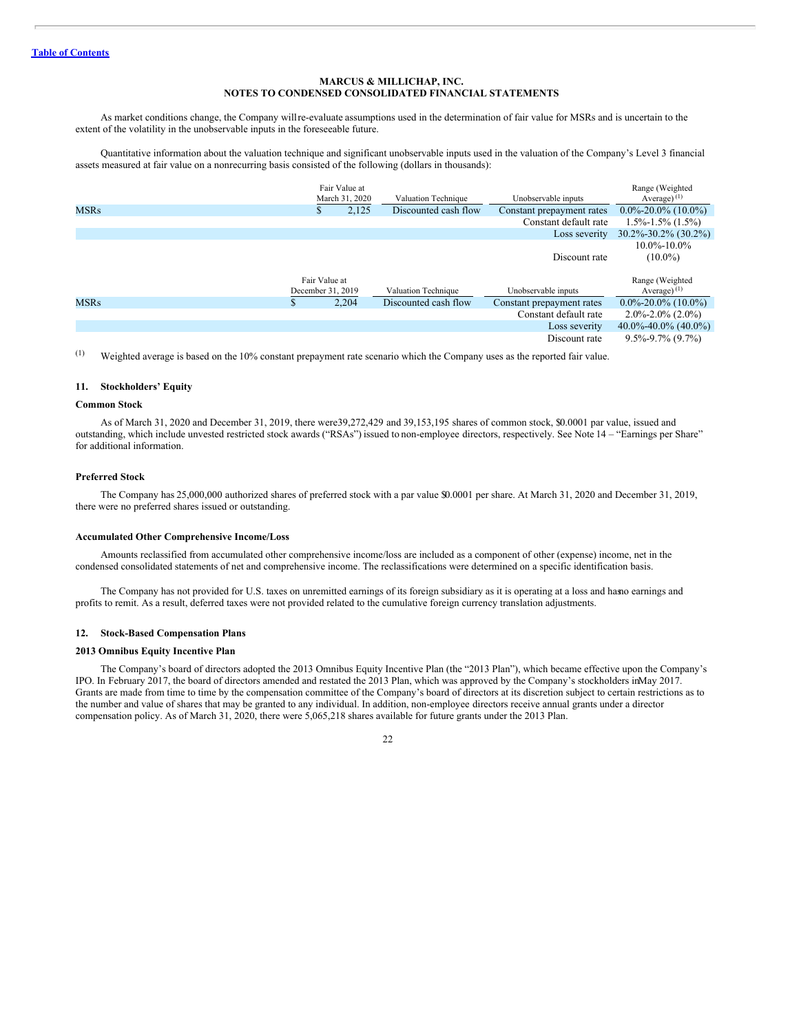As market conditions change, the Company willre-evaluate assumptions used in the determination of fair value for MSRs and is uncertain to the extent of the volatility in the unobservable inputs in the foreseeable future.

Quantitative information about the valuation technique and significant unobservable inputs used in the valuation of the Company's Level 3 financial assets measured at fair value on a nonrecurring basis consisted of the following (dollars in thousands):

|             |                   | Fair Value at<br>March 31, 2020 | Valuation Technique  | Unobservable inputs       | Range (Weighted<br>Average) $(1)$ |
|-------------|-------------------|---------------------------------|----------------------|---------------------------|-----------------------------------|
| <b>MSRs</b> | S                 | 2,125                           | Discounted cash flow | Constant prepayment rates | $0.0\% - 20.0\%$ (10.0%)          |
|             |                   |                                 |                      | Constant default rate     | $1.5\% - 1.5\% (1.5\%)$           |
|             |                   |                                 |                      | Loss severity             | $30.2\% - 30.2\%$ (30.2%)         |
|             |                   |                                 |                      | Discount rate             | $10.0\% - 10.0\%$<br>$(10.0\%)$   |
|             | Fair Value at     |                                 |                      |                           | Range (Weighted                   |
|             | December 31, 2019 |                                 | Valuation Technique  | Unobservable inputs       | Average $(1)$                     |
| <b>MSRs</b> |                   | 2.204                           | Discounted cash flow | Constant prepayment rates | $0.0\% - 20.0\%$ (10.0%)          |
|             |                   |                                 |                      | Constant default rate     | $2.0\% - 2.0\%$ (2.0%)            |
|             |                   |                                 |                      | Loss severity             | $40.0\% - 40.0\%$ (40.0%)         |
|             |                   |                                 |                      | Discount rate             | $9.5\% - 9.7\%$ (9.7%)            |

(1) Weighted average is based on the 10% constant prepayment rate scenario which the Company uses as the reported fair value.

#### **11. Stockholders' Equity**

#### **Common Stock**

As of March 31, 2020 and December 31, 2019, there were39,272,429 and 39,153,195 shares of common stock, \$0.0001 par value, issued and outstanding, which include unvested restricted stock awards ("RSAs") issued to non-employee directors, respectively. See Note 14 – "Earnings per Share" for additional information.

#### **Preferred Stock**

The Company has 25,000,000 authorized shares of preferred stock with a par value \$0.0001 per share. At March 31, 2020 and December 31, 2019, there were no preferred shares issued or outstanding.

#### **Accumulated Other Comprehensive Income/Loss**

Amounts reclassified from accumulated other comprehensive income/loss are included as a component of other (expense) income, net in the condensed consolidated statements of net and comprehensive income. The reclassifications were determined on a specific identification basis.

The Company has not provided for U.S. taxes on unremitted earnings of its foreign subsidiary as it is operating at a loss and hasno earnings and profits to remit. As a result, deferred taxes were not provided related to the cumulative foreign currency translation adjustments.

#### **12. Stock-Based Compensation Plans**

#### **2013 Omnibus Equity Incentive Plan**

The Company's board of directors adopted the 2013 Omnibus Equity Incentive Plan (the "2013 Plan"), which became effective upon the Company's IPO. In February 2017, the board of directors amended and restated the 2013 Plan, which was approved by the Company's stockholders inMay 2017. Grants are made from time to time by the compensation committee of the Company's board of directors at its discretion subject to certain restrictions as to the number and value of shares that may be granted to any individual. In addition, non-employee directors receive annual grants under a director compensation policy. As of March 31, 2020, there were 5,065,218 shares available for future grants under the 2013 Plan.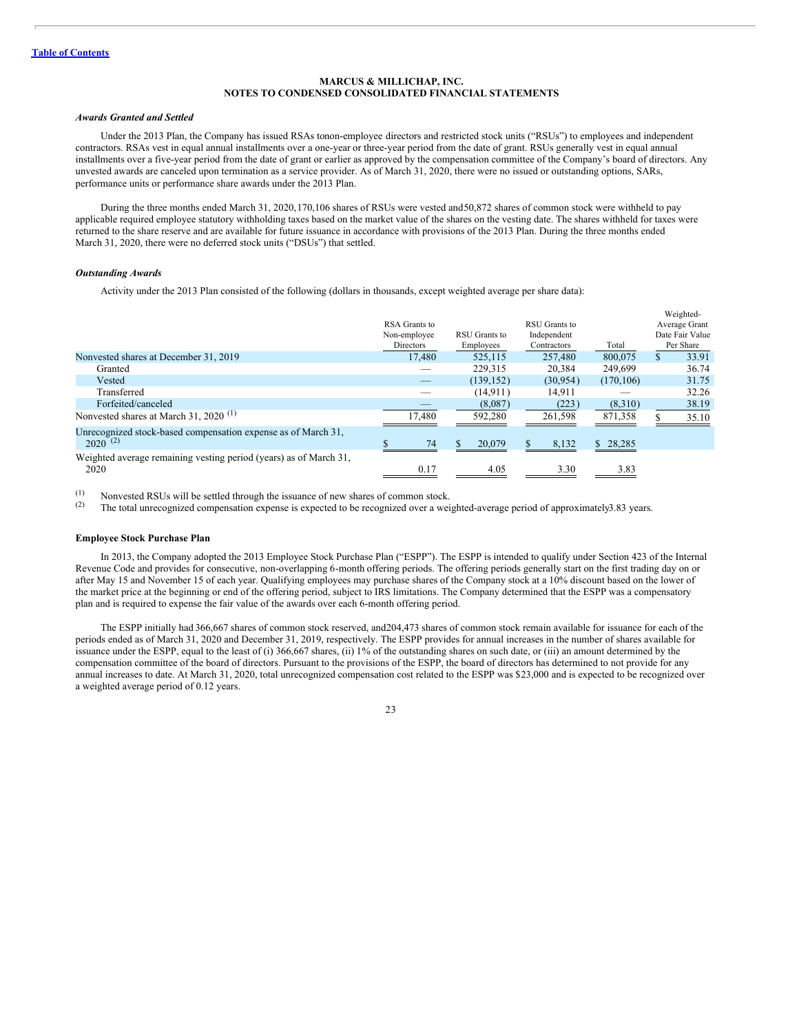#### *Awards Granted and Settled*

Under the 2013 Plan, the Company has issued RSAs tonon-employee directors and restricted stock units ("RSUs") to employees and independent contractors. RSAs vest in equal annual installments over a one-year or three-year period from the date of grant. RSUs generally vest in equal annual installments over a five-year period from the date of grant or earlier as approved by the compensation committee of the Company's board of directors. Any unvested awards are canceled upon termination as a service provider. As of March 31, 2020, there were no issued or outstanding options, SARs, performance units or performance share awards under the 2013 Plan.

During the three months ended March 31, 2020,170,106 shares of RSUs were vested and50,872 shares of common stock were withheld to pay applicable required employee statutory withholding taxes based on the market value of the shares on the vesting date. The shares withheld for taxes were returned to the share reserve and are available for future issuance in accordance with provisions of the 2013 Plan. During the three months ended March 31, 2020, there were no deferred stock units ("DSUs") that settled.

#### *Outstanding Awards*

Activity under the 2013 Plan consisted of the following (dollars in thousands, except weighted average per share data):

|                                                                               |                               |               |                              |              | Weighted-                        |
|-------------------------------------------------------------------------------|-------------------------------|---------------|------------------------------|--------------|----------------------------------|
|                                                                               | RSA Grants to<br>Non-employee | RSU Grants to | RSU Grants to<br>Independent |              | Average Grant<br>Date Fair Value |
|                                                                               | Directors                     | Employees     | Contractors                  | Total        | Per Share                        |
| Nonvested shares at December 31, 2019                                         | 17.480                        | 525,115       | 257,480                      | 800,075      | 33.91<br>S.                      |
| Granted                                                                       |                               | 229,315       | 20,384                       | 249,699      | 36.74                            |
| Vested                                                                        |                               | (139, 152)    | (30,954)                     | (170, 106)   | 31.75                            |
| Transferred                                                                   |                               | (14, 911)     | 14.911                       |              | 32.26                            |
| Forfeited/canceled                                                            |                               | (8,087)       | (223)                        | (8,310)      | 38.19                            |
| Nonvested shares at March 31, 2020 <sup>(1)</sup>                             | 17,480                        | 592.280       | 261.598                      | 871,358      | 35.10                            |
| Unrecognized stock-based compensation expense as of March 31,<br>$2020^{(2)}$ | 74                            | 20.079        | 8,132                        | 28,285<br>S. |                                  |
| Weighted average remaining vesting period (years) as of March 31,<br>2020     | 0.17                          | 4.05          | 3.30                         | 3.83         |                                  |

(1) Nonvested RSUs will be settled through the issuance of new shares of common stock.<br>
(2) The total unrecognized commencation expanse is expected to be recognized over a weight

The total unrecognized compensation expense is expected to be recognized over a weighted-average period of approximately3.83 years.

#### **Employee Stock Purchase Plan**

In 2013, the Company adopted the 2013 Employee Stock Purchase Plan ("ESPP"). The ESPP is intended to qualify under Section 423 of the Internal Revenue Code and provides for consecutive, non-overlapping 6-month offering periods. The offering periods generally start on the first trading day on or after May 15 and November 15 of each year. Qualifying employees may purchase shares of the Company stock at a 10% discount based on the lower of the market price at the beginning or end of the offering period, subject to IRS limitations. The Company determined that the ESPP was a compensatory plan and is required to expense the fair value of the awards over each 6-month offering period.

The ESPP initially had 366,667 shares of common stock reserved, and204,473 shares of common stock remain available for issuance for each of the periods ended as of March 31, 2020 and December 31, 2019, respectively. The ESPP provides for annual increases in the number of shares available for issuance under the ESPP, equal to the least of (i) 366,667 shares, (ii) 1% of the outstanding shares on such date, or (iii) an amount determined by the compensation committee of the board of directors. Pursuant to the provisions of the ESPP, the board of directors has determined to not provide for any annual increases to date. At March 31, 2020, total unrecognized compensation cost related to the ESPP was \$23,000 and is expected to be recognized over a weighted average period of 0.12 years.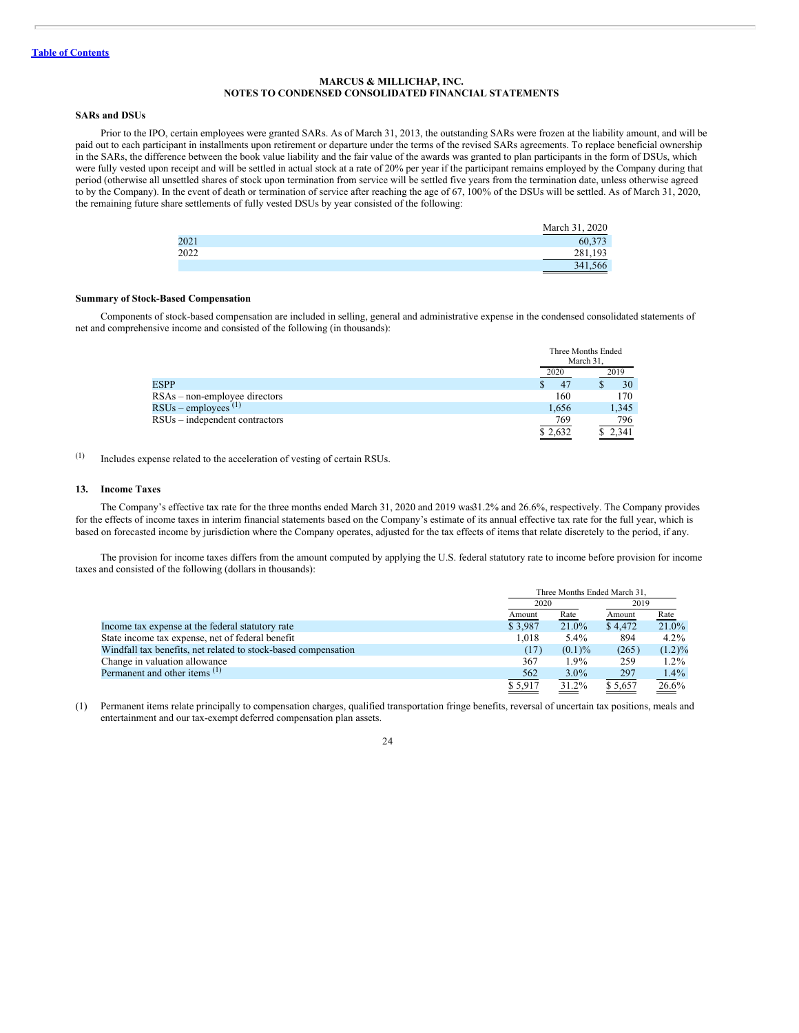#### **SARs and DSUs**

Prior to the IPO, certain employees were granted SARs. As of March 31, 2013, the outstanding SARs were frozen at the liability amount, and will be paid out to each participant in installments upon retirement or departure under the terms of the revised SARs agreements. To replace beneficial ownership in the SARs, the difference between the book value liability and the fair value of the awards was granted to plan participants in the form of DSUs, which were fully vested upon receipt and will be settled in actual stock at a rate of 20% per year if the participant remains employed by the Company during that period (otherwise all unsettled shares of stock upon termination from service will be settled five years from the termination date, unless otherwise agreed to by the Company). In the event of death or termination of service after reaching the age of 67, 100% of the DSUs will be settled. As of March 31, 2020, the remaining future share settlements of fully vested DSUs by year consisted of the following:

|      | March 31, 2020 |
|------|----------------|
| 2021 | 60,373         |
| 2022 | 281,193        |
|      | 341,566        |

#### **Summary of Stock-Based Compensation**

Components of stock-based compensation are included in selling, general and administrative expense in the condensed consolidated statements of net and comprehensive income and consisted of the following (in thousands):

|                                  |         | Three Months Ended |
|----------------------------------|---------|--------------------|
|                                  |         | March 31.          |
|                                  | 2020    | 2019               |
| <b>ESPP</b>                      | 47      | 30                 |
| $RSAs - non-employee$ directors  | 160     | 170                |
| $RSUs$ – employees $(1)$         | 1,656   | 1,345              |
| $RSUs$ – independent contractors | 769     | 796                |
|                                  | \$2,632 | 2.341              |

(1) Includes expense related to the acceleration of vesting of certain RSUs.

#### **13. Income Taxes**

The Company's effective tax rate for the three months ended March 31, 2020 and 2019 was31.2% and 26.6%, respectively. The Company provides for the effects of income taxes in interim financial statements based on the Company's estimate of its annual effective tax rate for the full year, which is based on forecasted income by jurisdiction where the Company operates, adjusted for the tax effects of items that relate discretely to the period, if any.

The provision for income taxes differs from the amount computed by applying the U.S. federal statutory rate to income before provision for income taxes and consisted of the following (dollars in thousands):

|                                                                |         | Three Months Ended March 31. |         |           |  |
|----------------------------------------------------------------|---------|------------------------------|---------|-----------|--|
|                                                                |         | 2020                         |         | 2019      |  |
|                                                                | Amount  | Rate                         | Amount  | Rate      |  |
| Income tax expense at the federal statutory rate               | \$3,987 | 21.0%                        | \$4,472 | 21.0%     |  |
| State income tax expense, net of federal benefit               | 1.018   | $5.4\%$                      | 894     | $4.2\%$   |  |
| Windfall tax benefits, net related to stock-based compensation | (17)    | $(0.1)\%$                    | (265)   | $(1.2)\%$ |  |
| Change in valuation allowance                                  | 367     | 1.9%                         | 259     | $1.2\%$   |  |
| Permanent and other items <sup>(1)</sup>                       | 562     | $3.0\%$                      | 297     | $1.4\%$   |  |
|                                                                | \$5.917 | 31.2%                        | \$5.657 | 26.6%     |  |

(1) Permanent items relate principally to compensation charges, qualified transportation fringe benefits, reversal of uncertain tax positions, meals and entertainment and our tax-exempt deferred compensation plan assets.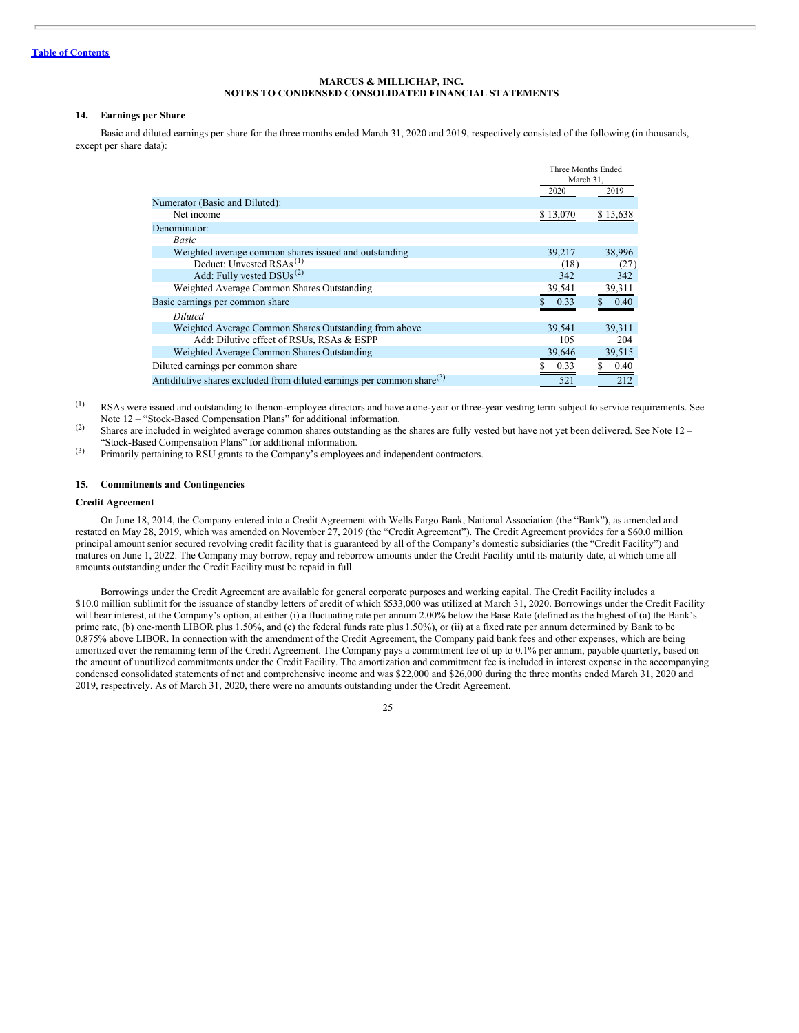#### **14. Earnings per Share**

Basic and diluted earnings per share for the three months ended March 31, 2020 and 2019, respectively consisted of the following (in thousands, except per share data):

|                                                                           | Three Months Ended |          |
|---------------------------------------------------------------------------|--------------------|----------|
|                                                                           | March 31,          |          |
|                                                                           | 2020               | 2019     |
| Numerator (Basic and Diluted):                                            |                    |          |
| Net income                                                                | \$13,070           | \$15,638 |
| Denominator:                                                              |                    |          |
| Basic                                                                     |                    |          |
| Weighted average common shares issued and outstanding                     | 39,217             | 38,996   |
| Deduct: Unvested RSAs <sup>(1)</sup>                                      | (18)               | (27)     |
| Add: Fully vested DSUs <sup>(2)</sup>                                     | 342                | 342      |
| Weighted Average Common Shares Outstanding                                | 39,541             | 39,311   |
| Basic earnings per common share                                           | 0.33               | 0.40     |
| <i>Diluted</i>                                                            |                    |          |
| Weighted Average Common Shares Outstanding from above                     | 39,541             | 39,311   |
| Add: Dilutive effect of RSUs, RSAs & ESPP                                 | 105                | 204      |
| Weighted Average Common Shares Outstanding                                | 39,646             | 39,515   |
| Diluted earnings per common share                                         | 0.33               | 0.40     |
| Antidilutive shares excluded from diluted earnings per common share $(3)$ | 521                | 212      |
|                                                                           |                    |          |

(1) RSAs were issued and outstanding to thenon-employee directors and have a one-year or three-year vesting term subject to service requirements. See Note 12 – "Stock-Based Compensation Plans" for additional information.

(2) Shares are included in weighted average common shares outstanding as the shares are fully vested but have not yet been delivered. See Note 12 – "Stock-Based Compensation Plans" for additional information.

(3) Primarily pertaining to RSU grants to the Company's employees and independent contractors.

#### **15. Commitments and Contingencies**

#### **Credit Agreement**

On June 18, 2014, the Company entered into a Credit Agreement with Wells Fargo Bank, National Association (the "Bank"), as amended and restated on May 28, 2019, which was amended on November 27, 2019 (the "Credit Agreement"). The Credit Agreement provides for a \$60.0 million principal amount senior secured revolving credit facility that is guaranteed by all of the Company's domestic subsidiaries (the "Credit Facility") and matures on June 1, 2022. The Company may borrow, repay and reborrow amounts under the Credit Facility until its maturity date, at which time all amounts outstanding under the Credit Facility must be repaid in full.

Borrowings under the Credit Agreement are available for general corporate purposes and working capital. The Credit Facility includes a \$10.0 million sublimit for the issuance of standby letters of credit of which \$533,000 was utilized at March 31, 2020. Borrowings under the Credit Facility will bear interest, at the Company's option, at either (i) a fluctuating rate per annum 2.00% below the Base Rate (defined as the highest of (a) the Bank's prime rate, (b) one-month LIBOR plus 1.50%, and (c) the federal funds rate plus 1.50%), or (ii) at a fixed rate per annum determined by Bank to be 0.875% above LIBOR. In connection with the amendment of the Credit Agreement, the Company paid bank fees and other expenses, which are being amortized over the remaining term of the Credit Agreement. The Company pays a commitment fee of up to 0.1% per annum, payable quarterly, based on the amount of unutilized commitments under the Credit Facility. The amortization and commitment fee is included in interest expense in the accompanying condensed consolidated statements of net and comprehensive income and was \$22,000 and \$26,000 during the three months ended March 31, 2020 and 2019, respectively. As of March 31, 2020, there were no amounts outstanding under the Credit Agreement.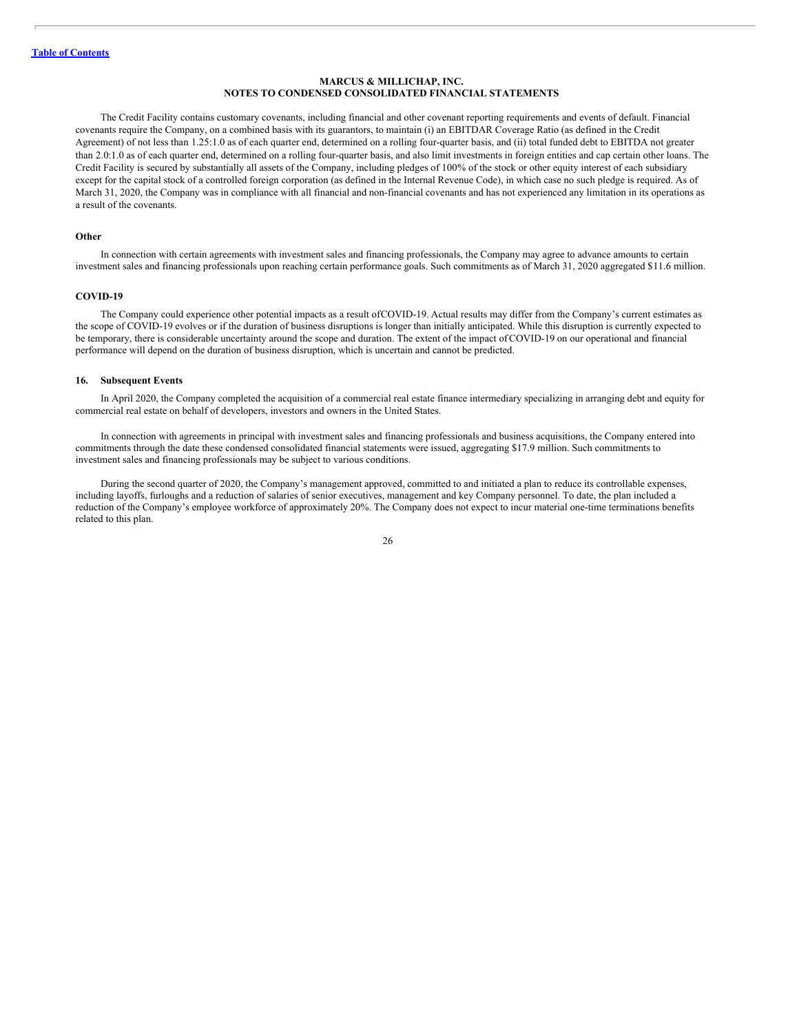The Credit Facility contains customary covenants, including financial and other covenant reporting requirements and events of default. Financial covenants require the Company, on a combined basis with its guarantors, to maintain (i) an EBITDAR Coverage Ratio (as defined in the Credit Agreement) of not less than 1.25:1.0 as of each quarter end, determined on a rolling four-quarter basis, and (ii) total funded debt to EBITDA not greater than 2.0:1.0 as of each quarter end, determined on a rolling four-quarter basis, and also limit investments in foreign entities and cap certain other loans. The Credit Facility is secured by substantially all assets of the Company, including pledges of 100% of the stock or other equity interest of each subsidiary except for the capital stock of a controlled foreign corporation (as defined in the Internal Revenue Code), in which case no such pledge is required. As of March 31, 2020, the Company was in compliance with all financial and non-financial covenants and has not experienced any limitation in its operations as a result of the covenants.

#### **Other**

In connection with certain agreements with investment sales and financing professionals, the Company may agree to advance amounts to certain investment sales and financing professionals upon reaching certain performance goals. Such commitments as of March 31, 2020 aggregated \$11.6 million.

#### **COVID-19**

The Company could experience other potential impacts as a result ofCOVID-19. Actual results may differ from the Company's current estimates as the scope of COVID-19 evolves or if the duration of business disruptions is longer than initially anticipated. While this disruption is currently expected to be temporary, there is considerable uncertainty around the scope and duration. The extent of the impact ofCOVID-19 on our operational and financial performance will depend on the duration of business disruption, which is uncertain and cannot be predicted.

#### **16. Subsequent Events**

In April 2020, the Company completed the acquisition of a commercial real estate finance intermediary specializing in arranging debt and equity for commercial real estate on behalf of developers, investors and owners in the United States.

In connection with agreements in principal with investment sales and financing professionals and business acquisitions, the Company entered into commitments through the date these condensed consolidated financial statements were issued, aggregating \$17.9 million. Such commitments to investment sales and financing professionals may be subject to various conditions.

During the second quarter of 2020, the Company's management approved, committed to and initiated a plan to reduce its controllable expenses, including layoffs, furloughs and a reduction of salaries of senior executives, management and key Company personnel. To date, the plan included a reduction of the Company's employee workforce of approximately 20%. The Company does not expect to incur material one-time terminations benefits related to this plan.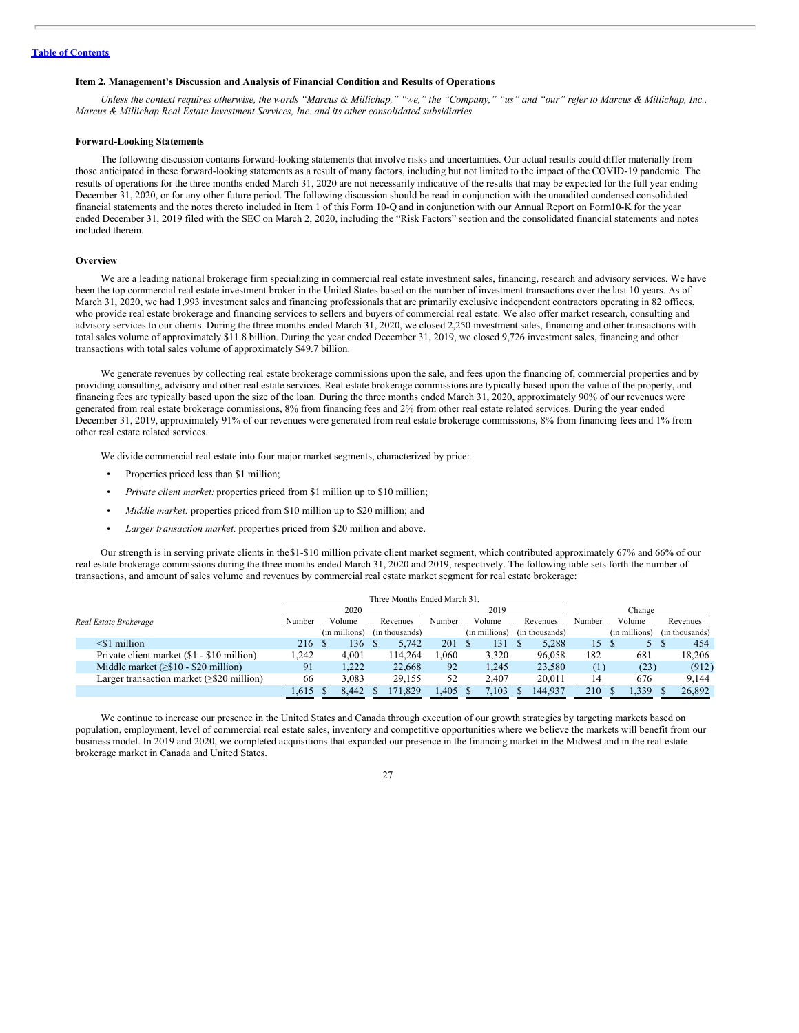#### <span id="page-26-0"></span>**Item 2. Management's Discussion and Analysis of Financial Condition and Results of Operations**

Unless the context requires otherwise, the words "Marcus & Millichap," "we," the "Company," "us" and "our" refer to Marcus & Millichap, Inc., *Marcus & Millichap Real Estate Investment Services, Inc. and its other consolidated subsidiaries.*

#### **Forward-Looking Statements**

The following discussion contains forward-looking statements that involve risks and uncertainties. Our actual results could differ materially from those anticipated in these forward-looking statements as a result of many factors, including but not limited to the impact of the COVID-19 pandemic. The results of operations for the three months ended March 31, 2020 are not necessarily indicative of the results that may be expected for the full year ending December 31, 2020, or for any other future period. The following discussion should be read in conjunction with the unaudited condensed consolidated financial statements and the notes thereto included in Item 1 of this Form 10-Q and in conjunction with our Annual Report on Form10-K for the year ended December 31, 2019 filed with the SEC on March 2, 2020, including the "Risk Factors" section and the consolidated financial statements and notes included therein.

#### **Overview**

We are a leading national brokerage firm specializing in commercial real estate investment sales, financing, research and advisory services. We have been the top commercial real estate investment broker in the United States based on the number of investment transactions over the last 10 years. As of March 31, 2020, we had 1,993 investment sales and financing professionals that are primarily exclusive independent contractors operating in 82 offices, who provide real estate brokerage and financing services to sellers and buyers of commercial real estate. We also offer market research, consulting and advisory services to our clients. During the three months ended March 31, 2020, we closed 2,250 investment sales, financing and other transactions with total sales volume of approximately \$11.8 billion. During the year ended December 31, 2019, we closed 9,726 investment sales, financing and other transactions with total sales volume of approximately \$49.7 billion.

We generate revenues by collecting real estate brokerage commissions upon the sale, and fees upon the financing of, commercial properties and by providing consulting, advisory and other real estate services. Real estate brokerage commissions are typically based upon the value of the property, and financing fees are typically based upon the size of the loan. During the three months ended March 31, 2020, approximately 90% of our revenues were generated from real estate brokerage commissions, 8% from financing fees and 2% from other real estate related services. During the year ended December 31, 2019, approximately 91% of our revenues were generated from real estate brokerage commissions, 8% from financing fees and 1% from other real estate related services.

We divide commercial real estate into four major market segments, characterized by price:

- Properties priced less than \$1 million;
- *Private client market:* properties priced from \$1 million up to \$10 million;
- *Middle market:* properties priced from \$10 million up to \$20 million; and
- *Larger transaction market:* properties priced from \$20 million and above.

Our strength is in serving private clients in the\$1-\$10 million private client market segment, which contributed approximately 67% and 66% of our real estate brokerage commissions during the three months ended March 31, 2020 and 2019, respectively. The following table sets forth the number of transactions, and amount of sales volume and revenues by commercial real estate market segment for real estate brokerage:

|                                               |        |               | Three Months Ended March 31. |        |               |                |        |                    |                |
|-----------------------------------------------|--------|---------------|------------------------------|--------|---------------|----------------|--------|--------------------|----------------|
|                                               |        | 2020          |                              |        | 2019          |                |        | Change             |                |
| Real Estate Brokerage                         | Number | Volume        | Revenues                     | Number | Volume        | Revenues       | Number | Volume             | Revenues       |
|                                               |        | (in millions) | (in thousands)               |        | (in millions) | (in thousands) |        | $(in$ millions $)$ | (in thousands) |
| $\leq$ 1 million                              | 216    | 136           | 5.742                        | 201    | 131           | 5.288          | 15 S   |                    | 454            |
| Private client market (\$1 - \$10 million)    | .242   | 4.001         | 114.264                      | .060   | 3.320         | 96.058         | 182    | 681                | 18.206         |
| Middle market $(\geq 10 - $20$ million)       | 91     | 1.222         | 22,668                       | 92     | .245          | 23,580         |        | (23)               | (912)          |
| Larger transaction market $(\geq 20$ million) | 66     | 3.083         | 29.155                       | 52     | 2.407         | 20.011         | 14     | 676                | 9,144          |
|                                               | 1,615  | 8.442         | 171.829                      | .405   | $\sqrt{.103}$ | 144.937        | 210    | 1,339              | 26,892         |

We continue to increase our presence in the United States and Canada through execution of our growth strategies by targeting markets based on population, employment, level of commercial real estate sales, inventory and competitive opportunities where we believe the markets will benefit from our business model. In 2019 and 2020, we completed acquisitions that expanded our presence in the financing market in the Midwest and in the real estate brokerage market in Canada and United States.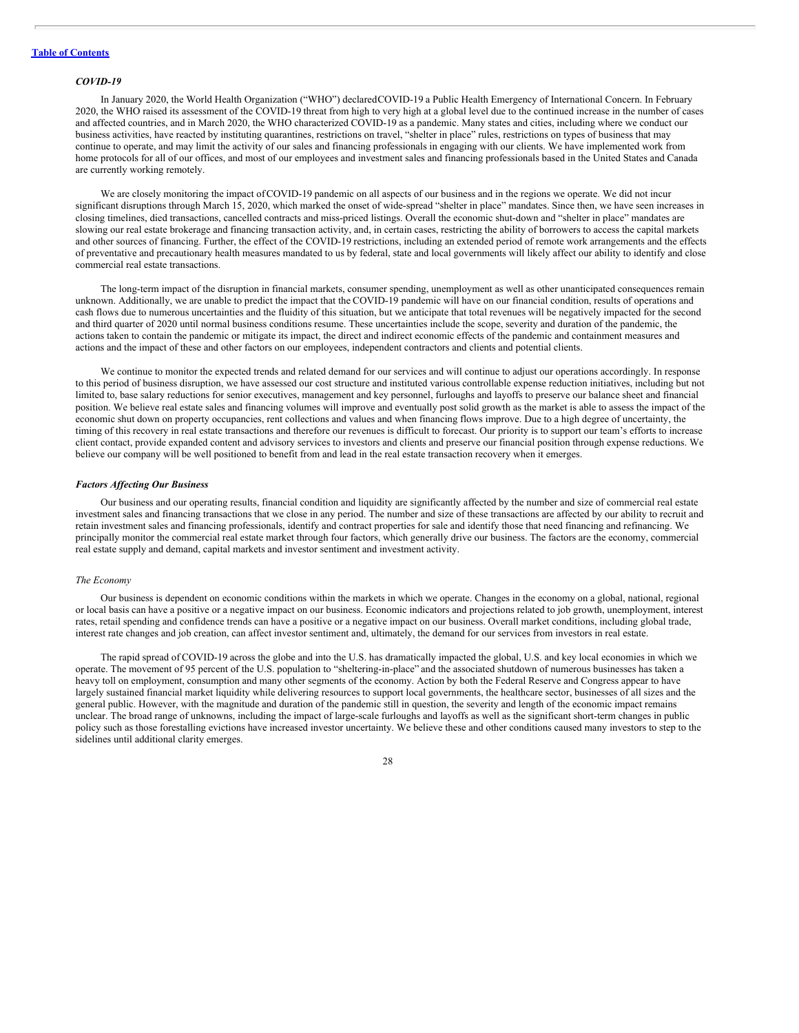#### *COVID-19*

In January 2020, the World Health Organization ("WHO") declaredCOVID-19 a Public Health Emergency of International Concern. In February 2020, the WHO raised its assessment of the COVID-19 threat from high to very high at a global level due to the continued increase in the number of cases and affected countries, and in March 2020, the WHO characterized COVID-19 as a pandemic. Many states and cities, including where we conduct our business activities, have reacted by instituting quarantines, restrictions on travel, "shelter in place" rules, restrictions on types of business that may continue to operate, and may limit the activity of our sales and financing professionals in engaging with our clients. We have implemented work from home protocols for all of our offices, and most of our employees and investment sales and financing professionals based in the United States and Canada are currently working remotely.

We are closely monitoring the impact of COVID-19 pandemic on all aspects of our business and in the regions we operate. We did not incur significant disruptions through March 15, 2020, which marked the onset of wide-spread "shelter in place" mandates. Since then, we have seen increases in closing timelines, died transactions, cancelled contracts and miss-priced listings. Overall the economic shut-down and "shelter in place" mandates are slowing our real estate brokerage and financing transaction activity, and, in certain cases, restricting the ability of borrowers to access the capital markets and other sources of financing. Further, the effect of the COVID-19 restrictions, including an extended period of remote work arrangements and the effects of preventative and precautionary health measures mandated to us by federal, state and local governments will likely affect our ability to identify and close commercial real estate transactions.

The long-term impact of the disruption in financial markets, consumer spending, unemployment as well as other unanticipated consequences remain unknown. Additionally, we are unable to predict the impact that the COVID-19 pandemic will have on our financial condition, results of operations and cash flows due to numerous uncertainties and the fluidity of this situation, but we anticipate that total revenues will be negatively impacted for the second and third quarter of 2020 until normal business conditions resume. These uncertainties include the scope, severity and duration of the pandemic, the actions taken to contain the pandemic or mitigate its impact, the direct and indirect economic effects of the pandemic and containment measures and actions and the impact of these and other factors on our employees, independent contractors and clients and potential clients.

We continue to monitor the expected trends and related demand for our services and will continue to adjust our operations accordingly. In response to this period of business disruption, we have assessed our cost structure and instituted various controllable expense reduction initiatives, including but not limited to, base salary reductions for senior executives, management and key personnel, furloughs and layoffs to preserve our balance sheet and financial position. We believe real estate sales and financing volumes will improve and eventually post solid growth as the market is able to assess the impact of the economic shut down on property occupancies, rent collections and values and when financing flows improve. Due to a high degree of uncertainty, the timing of this recovery in real estate transactions and therefore our revenues is difficult to forecast. Our priority is to support our team's efforts to increase client contact, provide expanded content and advisory services to investors and clients and preserve our financial position through expense reductions. We believe our company will be well positioned to benefit from and lead in the real estate transaction recovery when it emerges.

#### *Factors Af ecting Our Business*

Our business and our operating results, financial condition and liquidity are significantly affected by the number and size of commercial real estate investment sales and financing transactions that we close in any period. The number and size of these transactions are affected by our ability to recruit and retain investment sales and financing professionals, identify and contract properties for sale and identify those that need financing and refinancing. We principally monitor the commercial real estate market through four factors, which generally drive our business. The factors are the economy, commercial real estate supply and demand, capital markets and investor sentiment and investment activity.

#### *The Economy*

Our business is dependent on economic conditions within the markets in which we operate. Changes in the economy on a global, national, regional or local basis can have a positive or a negative impact on our business. Economic indicators and projections related to job growth, unemployment, interest rates, retail spending and confidence trends can have a positive or a negative impact on our business. Overall market conditions, including global trade, interest rate changes and job creation, can affect investor sentiment and, ultimately, the demand for our services from investors in real estate.

The rapid spread of COVID-19 across the globe and into the U.S. has dramatically impacted the global, U.S. and key local economies in which we operate. The movement of 95 percent of the U.S. population to "sheltering-in-place" and the associated shutdown of numerous businesses has taken a heavy toll on employment, consumption and many other segments of the economy. Action by both the Federal Reserve and Congress appear to have largely sustained financial market liquidity while delivering resources to support local governments, the healthcare sector, businesses of all sizes and the general public. However, with the magnitude and duration of the pandemic still in question, the severity and length of the economic impact remains unclear. The broad range of unknowns, including the impact of large-scale furloughs and layoffs as well as the significant short-term changes in public policy such as those forestalling evictions have increased investor uncertainty. We believe these and other conditions caused many investors to step to the sidelines until additional clarity emerges.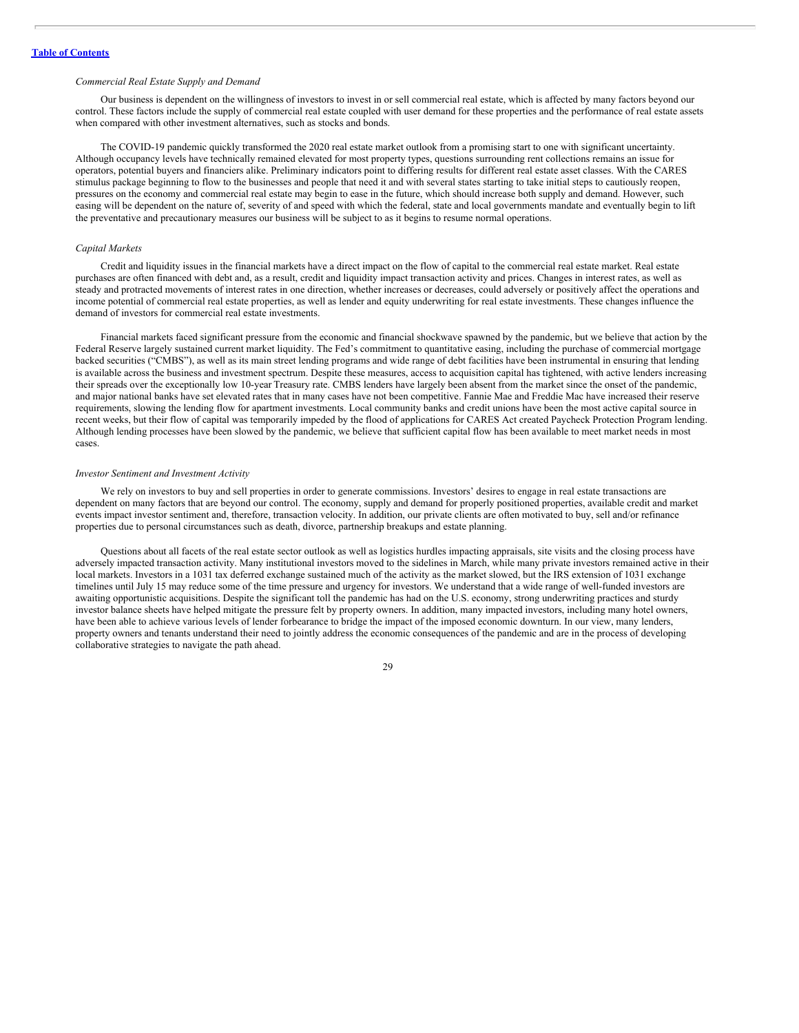#### *Commercial Real Estate Supply and Demand*

Our business is dependent on the willingness of investors to invest in or sell commercial real estate, which is affected by many factors beyond our control. These factors include the supply of commercial real estate coupled with user demand for these properties and the performance of real estate assets when compared with other investment alternatives, such as stocks and bonds.

The COVID-19 pandemic quickly transformed the 2020 real estate market outlook from a promising start to one with significant uncertainty. Although occupancy levels have technically remained elevated for most property types, questions surrounding rent collections remains an issue for operators, potential buyers and financiers alike. Preliminary indicators point to differing results for different real estate asset classes. With the CARES stimulus package beginning to flow to the businesses and people that need it and with several states starting to take initial steps to cautiously reopen, pressures on the economy and commercial real estate may begin to ease in the future, which should increase both supply and demand. However, such easing will be dependent on the nature of, severity of and speed with which the federal, state and local governments mandate and eventually begin to lift the preventative and precautionary measures our business will be subject to as it begins to resume normal operations.

#### *Capital Markets*

Credit and liquidity issues in the financial markets have a direct impact on the flow of capital to the commercial real estate market. Real estate purchases are often financed with debt and, as a result, credit and liquidity impact transaction activity and prices. Changes in interest rates, as well as steady and protracted movements of interest rates in one direction, whether increases or decreases, could adversely or positively affect the operations and income potential of commercial real estate properties, as well as lender and equity underwriting for real estate investments. These changes influence the demand of investors for commercial real estate investments.

Financial markets faced significant pressure from the economic and financial shockwave spawned by the pandemic, but we believe that action by the Federal Reserve largely sustained current market liquidity. The Fed's commitment to quantitative easing, including the purchase of commercial mortgage backed securities ("CMBS"), as well as its main street lending programs and wide range of debt facilities have been instrumental in ensuring that lending is available across the business and investment spectrum. Despite these measures, access to acquisition capital has tightened, with active lenders increasing their spreads over the exceptionally low 10-year Treasury rate. CMBS lenders have largely been absent from the market since the onset of the pandemic, and major national banks have set elevated rates that in many cases have not been competitive. Fannie Mae and Freddie Mac have increased their reserve requirements, slowing the lending flow for apartment investments. Local community banks and credit unions have been the most active capital source in recent weeks, but their flow of capital was temporarily impeded by the flood of applications for CARES Act created Paycheck Protection Program lending. Although lending processes have been slowed by the pandemic, we believe that sufficient capital flow has been available to meet market needs in most cases.

#### *Investor Sentiment and Investment Activity*

We rely on investors to buy and sell properties in order to generate commissions. Investors' desires to engage in real estate transactions are dependent on many factors that are beyond our control. The economy, supply and demand for properly positioned properties, available credit and market events impact investor sentiment and, therefore, transaction velocity. In addition, our private clients are often motivated to buy, sell and/or refinance properties due to personal circumstances such as death, divorce, partnership breakups and estate planning.

Questions about all facets of the real estate sector outlook as well as logistics hurdles impacting appraisals, site visits and the closing process have adversely impacted transaction activity. Many institutional investors moved to the sidelines in March, while many private investors remained active in their local markets. Investors in a 1031 tax deferred exchange sustained much of the activity as the market slowed, but the IRS extension of 1031 exchange timelines until July 15 may reduce some of the time pressure and urgency for investors. We understand that a wide range of well-funded investors are awaiting opportunistic acquisitions. Despite the significant toll the pandemic has had on the U.S. economy, strong underwriting practices and sturdy investor balance sheets have helped mitigate the pressure felt by property owners. In addition, many impacted investors, including many hotel owners, have been able to achieve various levels of lender forbearance to bridge the impact of the imposed economic downturn. In our view, many lenders, property owners and tenants understand their need to jointly address the economic consequences of the pandemic and are in the process of developing collaborative strategies to navigate the path ahead.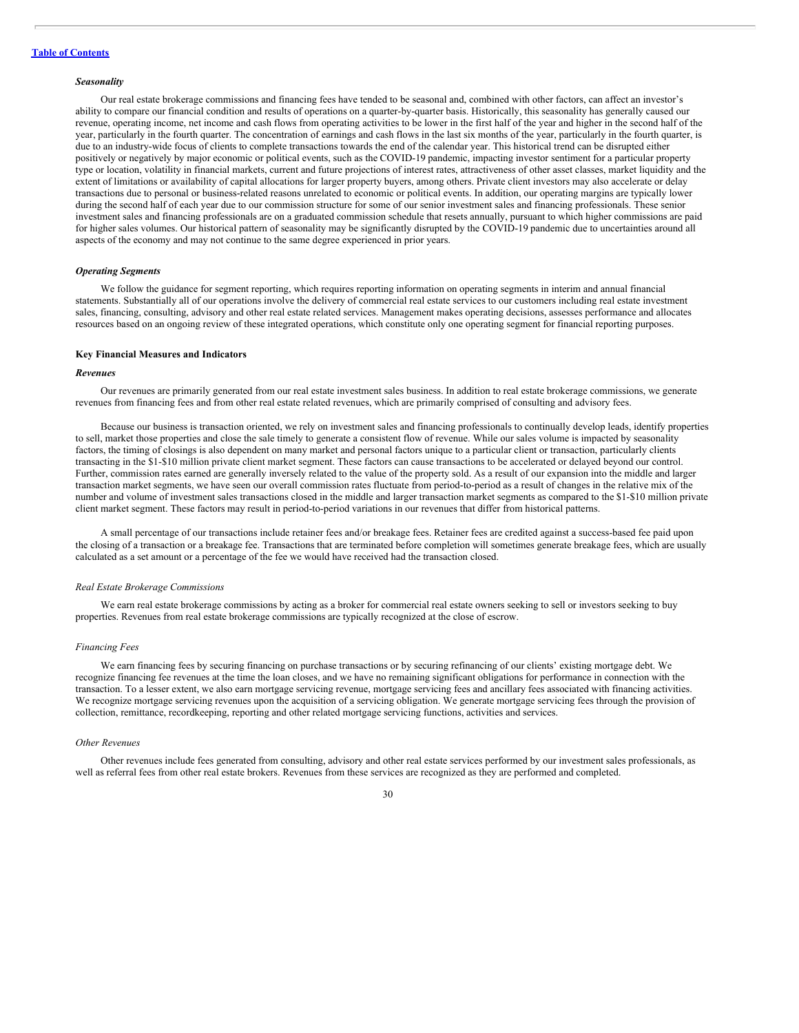#### *Seasonality*

Our real estate brokerage commissions and financing fees have tended to be seasonal and, combined with other factors, can affect an investor's ability to compare our financial condition and results of operations on a quarter-by-quarter basis. Historically, this seasonality has generally caused our revenue, operating income, net income and cash flows from operating activities to be lower in the first half of the year and higher in the second half of the year, particularly in the fourth quarter. The concentration of earnings and cash flows in the last six months of the year, particularly in the fourth quarter, is due to an industry-wide focus of clients to complete transactions towards the end of the calendar year. This historical trend can be disrupted either positively or negatively by major economic or political events, such as the COVID-19 pandemic, impacting investor sentiment for a particular property type or location, volatility in financial markets, current and future projections of interest rates, attractiveness of other asset classes, market liquidity and the extent of limitations or availability of capital allocations for larger property buyers, among others. Private client investors may also accelerate or delay transactions due to personal or business-related reasons unrelated to economic or political events. In addition, our operating margins are typically lower during the second half of each year due to our commission structure for some of our senior investment sales and financing professionals. These senior investment sales and financing professionals are on a graduated commission schedule that resets annually, pursuant to which higher commissions are paid for higher sales volumes. Our historical pattern of seasonality may be significantly disrupted by the COVID-19 pandemic due to uncertainties around all aspects of the economy and may not continue to the same degree experienced in prior years.

#### *Operating Segments*

We follow the guidance for segment reporting, which requires reporting information on operating segments in interim and annual financial statements. Substantially all of our operations involve the delivery of commercial real estate services to our customers including real estate investment sales, financing, consulting, advisory and other real estate related services. Management makes operating decisions, assesses performance and allocates resources based on an ongoing review of these integrated operations, which constitute only one operating segment for financial reporting purposes.

#### **Key Financial Measures and Indicators**

#### *Revenues*

Our revenues are primarily generated from our real estate investment sales business. In addition to real estate brokerage commissions, we generate revenues from financing fees and from other real estate related revenues, which are primarily comprised of consulting and advisory fees.

Because our business is transaction oriented, we rely on investment sales and financing professionals to continually develop leads, identify properties to sell, market those properties and close the sale timely to generate a consistent flow of revenue. While our sales volume is impacted by seasonality factors, the timing of closings is also dependent on many market and personal factors unique to a particular client or transaction, particularly clients transacting in the \$1-\$10 million private client market segment. These factors can cause transactions to be accelerated or delayed beyond our control. Further, commission rates earned are generally inversely related to the value of the property sold. As a result of our expansion into the middle and larger transaction market segments, we have seen our overall commission rates fluctuate from period-to-period as a result of changes in the relative mix of the number and volume of investment sales transactions closed in the middle and larger transaction market segments as compared to the \$1-\$10 million private client market segment. These factors may result in period-to-period variations in our revenues that differ from historical patterns.

A small percentage of our transactions include retainer fees and/or breakage fees. Retainer fees are credited against a success-based fee paid upon the closing of a transaction or a breakage fee. Transactions that are terminated before completion will sometimes generate breakage fees, which are usually calculated as a set amount or a percentage of the fee we would have received had the transaction closed.

#### *Real Estate Brokerage Commissions*

We earn real estate brokerage commissions by acting as a broker for commercial real estate owners seeking to sell or investors seeking to buy properties. Revenues from real estate brokerage commissions are typically recognized at the close of escrow.

#### *Financing Fees*

We earn financing fees by securing financing on purchase transactions or by securing refinancing of our clients' existing mortgage debt. We recognize financing fee revenues at the time the loan closes, and we have no remaining significant obligations for performance in connection with the transaction. To a lesser extent, we also earn mortgage servicing revenue, mortgage servicing fees and ancillary fees associated with financing activities. We recognize mortgage servicing revenues upon the acquisition of a servicing obligation. We generate mortgage servicing fees through the provision of collection, remittance, recordkeeping, reporting and other related mortgage servicing functions, activities and services.

#### *Other Revenues*

Other revenues include fees generated from consulting, advisory and other real estate services performed by our investment sales professionals, as well as referral fees from other real estate brokers. Revenues from these services are recognized as they are performed and completed.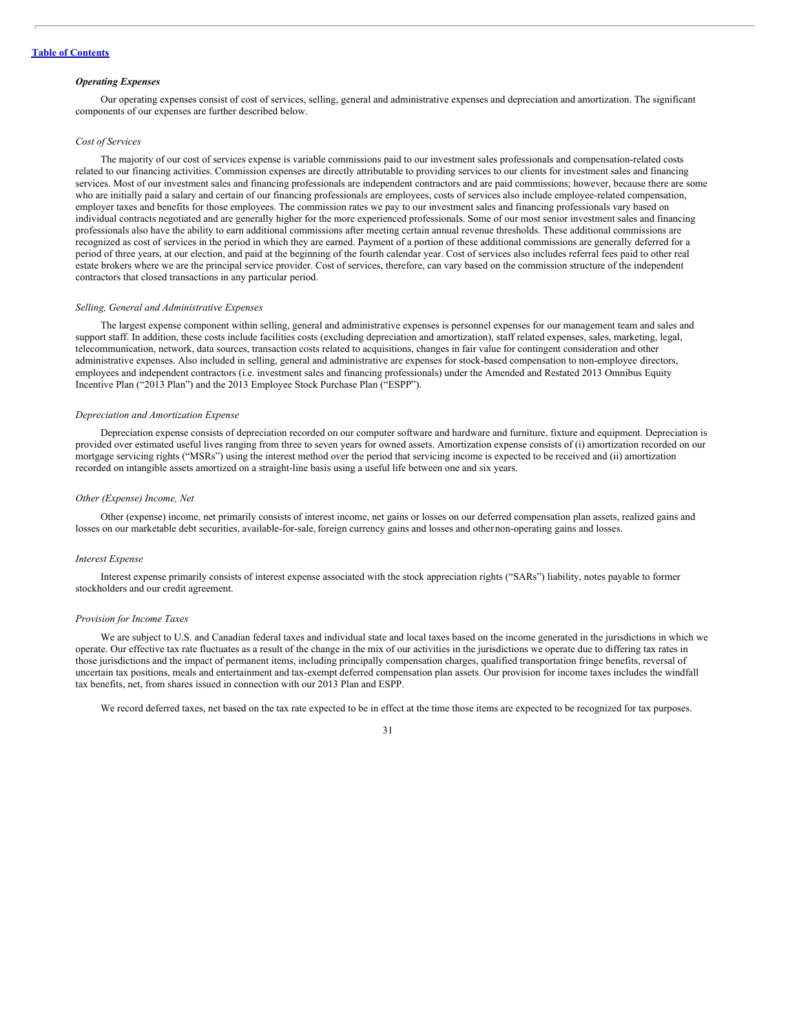#### *Operating Expenses*

Our operating expenses consist of cost of services, selling, general and administrative expenses and depreciation and amortization. The significant components of our expenses are further described below.

#### *Cost of Services*

The majority of our cost of services expense is variable commissions paid to our investment sales professionals and compensation-related costs related to our financing activities. Commission expenses are directly attributable to providing services to our clients for investment sales and financing services. Most of our investment sales and financing professionals are independent contractors and are paid commissions; however, because there are some who are initially paid a salary and certain of our financing professionals are employees, costs of services also include employee-related compensation, employer taxes and benefits for those employees. The commission rates we pay to our investment sales and financing professionals vary based on individual contracts negotiated and are generally higher for the more experienced professionals. Some of our most senior investment sales and financing professionals also have the ability to earn additional commissions after meeting certain annual revenue thresholds. These additional commissions are recognized as cost of services in the period in which they are earned. Payment of a portion of these additional commissions are generally deferred for a period of three years, at our election, and paid at the beginning of the fourth calendar year. Cost of services also includes referral fees paid to other real estate brokers where we are the principal service provider. Cost of services, therefore, can vary based on the commission structure of the independent contractors that closed transactions in any particular period.

#### *Selling, General and Administrative Expenses*

The largest expense component within selling, general and administrative expenses is personnel expenses for our management team and sales and support staff. In addition, these costs include facilities costs (excluding depreciation and amortization), staff related expenses, sales, marketing, legal, telecommunication, network, data sources, transaction costs related to acquisitions, changes in fair value for contingent consideration and other administrative expenses. Also included in selling, general and administrative are expenses for stock-based compensation to non-employee directors, employees and independent contractors (i.e. investment sales and financing professionals) under the Amended and Restated 2013 Omnibus Equity Incentive Plan ("2013 Plan") and the 2013 Employee Stock Purchase Plan ("ESPP").

#### *Depreciation and Amortization Expense*

Depreciation expense consists of depreciation recorded on our computer software and hardware and furniture, fixture and equipment. Depreciation is provided over estimated useful lives ranging from three to seven years for owned assets. Amortization expense consists of (i) amortization recorded on our mortgage servicing rights ("MSRs") using the interest method over the period that servicing income is expected to be received and (ii) amortization recorded on intangible assets amortized on a straight-line basis using a useful life between one and six years.

#### *Other (Expense) Income, Net*

Other (expense) income, net primarily consists of interest income, net gains or losses on our deferred compensation plan assets, realized gains and losses on our marketable debt securities, available-for-sale, foreign currency gains and losses and other non-operating gains and losses.

#### *Interest Expense*

Interest expense primarily consists of interest expense associated with the stock appreciation rights ("SARs") liability, notes payable to former stockholders and our credit agreement.

#### *Provision for Income Taxes*

We are subject to U.S. and Canadian federal taxes and individual state and local taxes based on the income generated in the jurisdictions in which we operate. Our effective tax rate fluctuates as a result of the change in the mix of our activities in the jurisdictions we operate due to differing tax rates in those jurisdictions and the impact of permanent items, including principally compensation charges, qualified transportation fringe benefits, reversal of uncertain tax positions, meals and entertainment and tax-exempt deferred compensation plan assets. Our provision for income taxes includes the windfall tax benefits, net, from shares issued in connection with our 2013 Plan and ESPP.

We record deferred taxes, net based on the tax rate expected to be in effect at the time those items are expected to be recognized for tax purposes.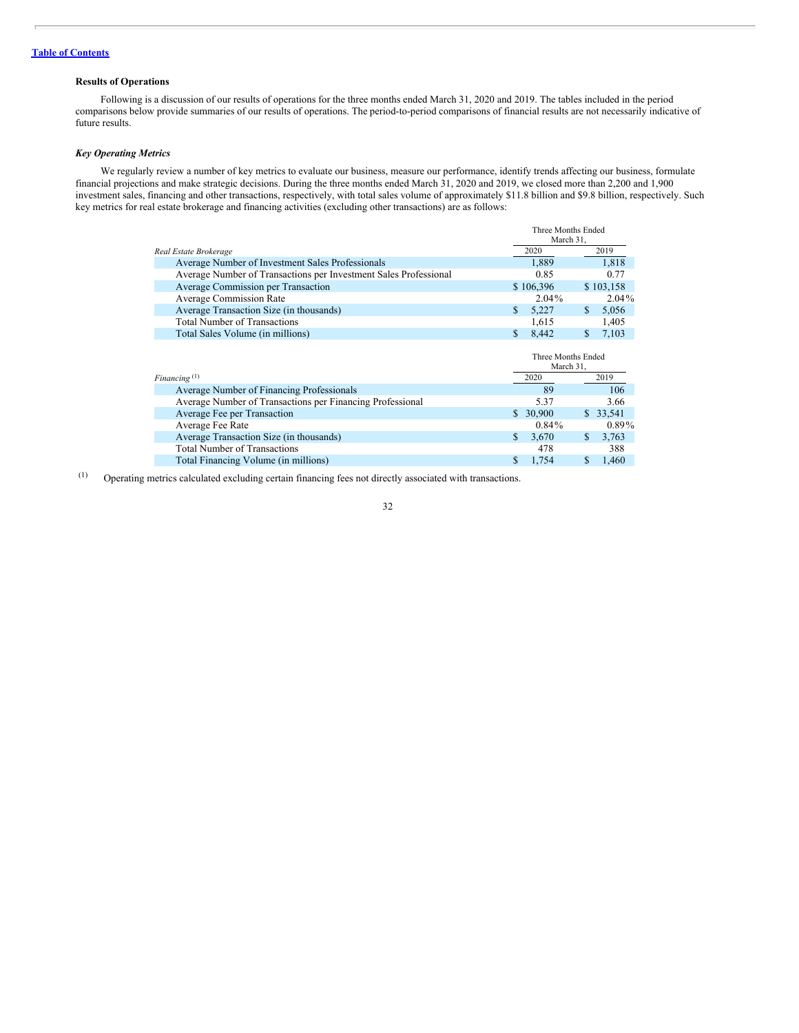#### **Results of Operations**

Following is a discussion of our results of operations for the three months ended March 31, 2020 and 2019. The tables included in the period comparisons below provide summaries of our results of operations. The period-to-period comparisons of financial results are not necessarily indicative of future results.

#### *Key Operating Metrics*

We regularly review a number of key metrics to evaluate our business, measure our performance, identify trends affecting our business, formulate financial projections and make strategic decisions. During the three months ended March 31, 2020 and 2019, we closed more than 2,200 and 1,900 investment sales, financing and other transactions, respectively, with total sales volume of approximately \$11.8 billion and \$9.8 billion, respectively. Such key metrics for real estate brokerage and financing activities (excluding other transactions) are as follows:

|                                                                  | Three Months Ended<br>March 31, |           |
|------------------------------------------------------------------|---------------------------------|-----------|
| Real Estate Brokerage                                            | 2020                            | 2019      |
| Average Number of Investment Sales Professionals                 | 1,889                           | 1,818     |
| Average Number of Transactions per Investment Sales Professional | 0.85                            | 0.77      |
| Average Commission per Transaction                               | \$106,396                       | \$103.158 |
| <b>Average Commission Rate</b>                                   | $2.04\%$                        | $2.04\%$  |
| Average Transaction Size (in thousands)                          | 5.227                           | 5.056     |
| <b>Total Number of Transactions</b>                              | 1.615                           | 1.405     |
| Total Sales Volume (in millions)                                 | 8.442                           | 7.103     |

|                                                           | Three Months Ended<br>March 31, |           |  |           |
|-----------------------------------------------------------|---------------------------------|-----------|--|-----------|
| Financing <sup>(1)</sup>                                  |                                 | 2020      |  | 2019      |
| Average Number of Financing Professionals                 |                                 | 89        |  | 106       |
| Average Number of Transactions per Financing Professional |                                 | 5.37      |  | 3.66      |
| Average Fee per Transaction                               |                                 | \$ 30,900 |  | \$ 33.541 |
| Average Fee Rate                                          |                                 | $0.84\%$  |  | $0.89\%$  |
| Average Transaction Size (in thousands)                   | S.                              | 3.670     |  | 3,763     |
| <b>Total Number of Transactions</b>                       |                                 | 478       |  | 388       |
| Total Financing Volume (in millions)                      |                                 | 1.754     |  | 1.460     |

(1) Operating metrics calculated excluding certain financing fees not directly associated with transactions.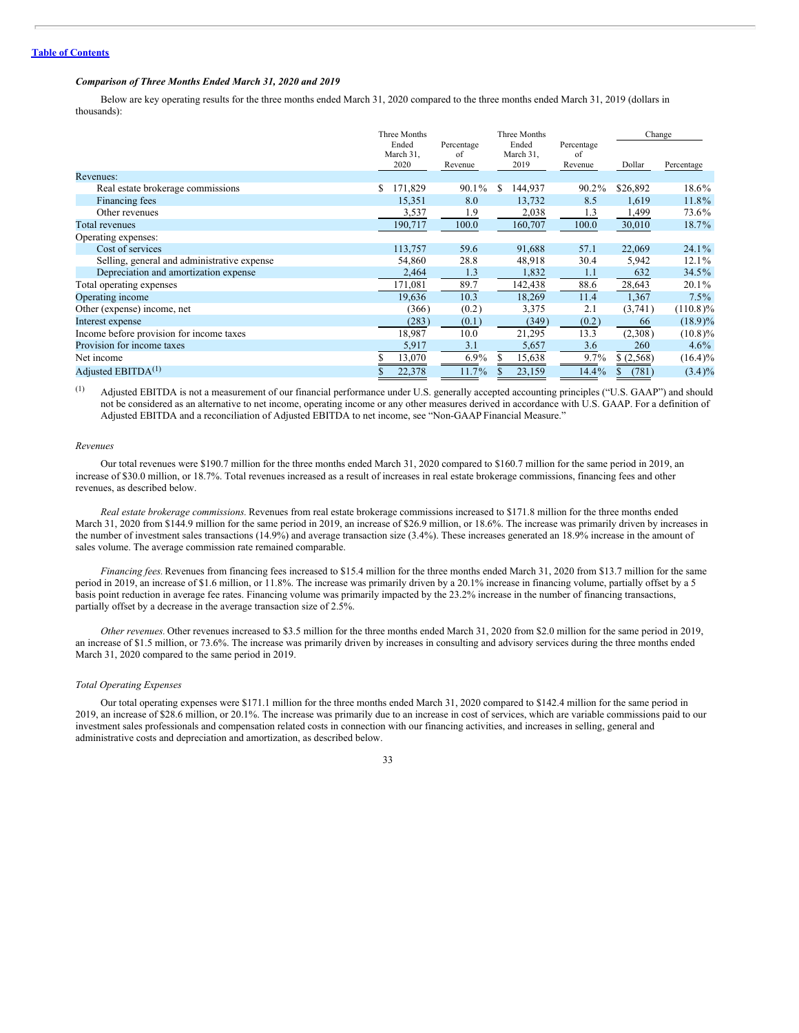#### *Comparison of Three Months Ended March 31, 2020 and 2019*

Below are key operating results for the three months ended March 31, 2020 compared to the three months ended March 31, 2019 (dollars in thousands):

|                                             | Three Months               |                             | Three Months               |                             | Change    |             |
|---------------------------------------------|----------------------------|-----------------------------|----------------------------|-----------------------------|-----------|-------------|
|                                             | Ended<br>March 31,<br>2020 | Percentage<br>of<br>Revenue | Ended<br>March 31,<br>2019 | Percentage<br>of<br>Revenue | Dollar    | Percentage  |
| Revenues:                                   |                            |                             |                            |                             |           |             |
| Real estate brokerage commissions           | S<br>171,829               | 90.1%                       | 144,937<br>S               | 90.2%                       | \$26,892  | 18.6%       |
| Financing fees                              | 15,351                     | 8.0                         | 13,732                     | 8.5                         | 1,619     | $11.8\%$    |
| Other revenues                              | 3,537                      | 1.9                         | 2,038                      | 1.3                         | 1,499     | 73.6%       |
| Total revenues                              | 190,717                    | 100.0                       | 160,707                    | 100.0                       | 30,010    | 18.7%       |
| Operating expenses:                         |                            |                             |                            |                             |           |             |
| Cost of services                            | 113,757                    | 59.6                        | 91,688                     | 57.1                        | 22,069    | $24.1\%$    |
| Selling, general and administrative expense | 54,860                     | 28.8                        | 48,918                     | 30.4                        | 5,942     | 12.1%       |
| Depreciation and amortization expense       | 2,464                      | 1.3                         | 1,832                      | 1.1                         | 632       | $34.5\%$    |
| Total operating expenses                    | 171,081                    | 89.7                        | 142,438                    | 88.6                        | 28,643    | 20.1%       |
| Operating income                            | 19,636                     | 10.3                        | 18,269                     | 11.4                        | 1,367     | $7.5\%$     |
| Other (expense) income, net                 | (366)                      | (0.2)                       | 3,375                      | 2.1                         | (3,741)   | $(110.8)\%$ |
| Interest expense                            | (283)                      | (0.1)                       | (349)                      | (0.2)                       | 66        | $(18.9)\%$  |
| Income before provision for income taxes    | 18,987                     | 10.0                        | 21,295                     | 13.3                        | (2,308)   | $(10.8)\%$  |
| Provision for income taxes                  | 5,917                      | 3.1                         | 5,657                      | 3.6                         | 260       | $4.6\%$     |
| Net income                                  | 13,070                     | $6.9\%$                     | 15,638<br>\$.              | $9.7\%$                     | \$(2,568) | $(16.4)\%$  |
| Adjusted EBITD $A^{(1)}$                    | 22,378                     | 11.7%                       | 23,159                     | 14.4%                       | (781)     | $(3.4)\%$   |

(1) Adjusted EBITDA is not a measurement of our financial performance under U.S. generally accepted accounting principles ("U.S. GAAP") and should not be considered as an alternative to net income, operating income or any other measures derived in accordance with U.S. GAAP. For a definition of Adjusted EBITDA and a reconciliation of Adjusted EBITDA to net income, see "Non-GAAP Financial Measure."

#### *Revenues*

Our total revenues were \$190.7 million for the three months ended March 31, 2020 compared to \$160.7 million for the same period in 2019, an increase of \$30.0 million, or 18.7%. Total revenues increased as a result of increases in real estate brokerage commissions, financing fees and other revenues, as described below.

*Real estate brokerage commissions.* Revenues from real estate brokerage commissions increased to \$171.8 million for the three months ended March 31, 2020 from \$144.9 million for the same period in 2019, an increase of \$26.9 million, or 18.6%. The increase was primarily driven by increases in the number of investment sales transactions (14.9%) and average transaction size (3.4%). These increases generated an 18.9% increase in the amount of sales volume. The average commission rate remained comparable.

*Financing fees.* Revenues from financing fees increased to \$15.4 million for the three months ended March 31, 2020 from \$13.7 million for the same period in 2019, an increase of \$1.6 million, or 11.8%. The increase was primarily driven by a 20.1% increase in financing volume, partially offset by a 5 basis point reduction in average fee rates. Financing volume was primarily impacted by the 23.2% increase in the number of financing transactions, partially offset by a decrease in the average transaction size of 2.5%.

*Other revenues.* Other revenues increased to \$3.5 million for the three months ended March 31, 2020 from \$2.0 million for the same period in 2019, an increase of \$1.5 million, or 73.6%. The increase was primarily driven by increases in consulting and advisory services during the three months ended March 31, 2020 compared to the same period in 2019.

#### *Total Operating Expenses*

Our total operating expenses were \$171.1 million for the three months ended March 31, 2020 compared to \$142.4 million for the same period in 2019, an increase of \$28.6 million, or 20.1%. The increase was primarily due to an increase in cost of services, which are variable commissions paid to our investment sales professionals and compensation related costs in connection with our financing activities, and increases in selling, general and administrative costs and depreciation and amortization, as described below.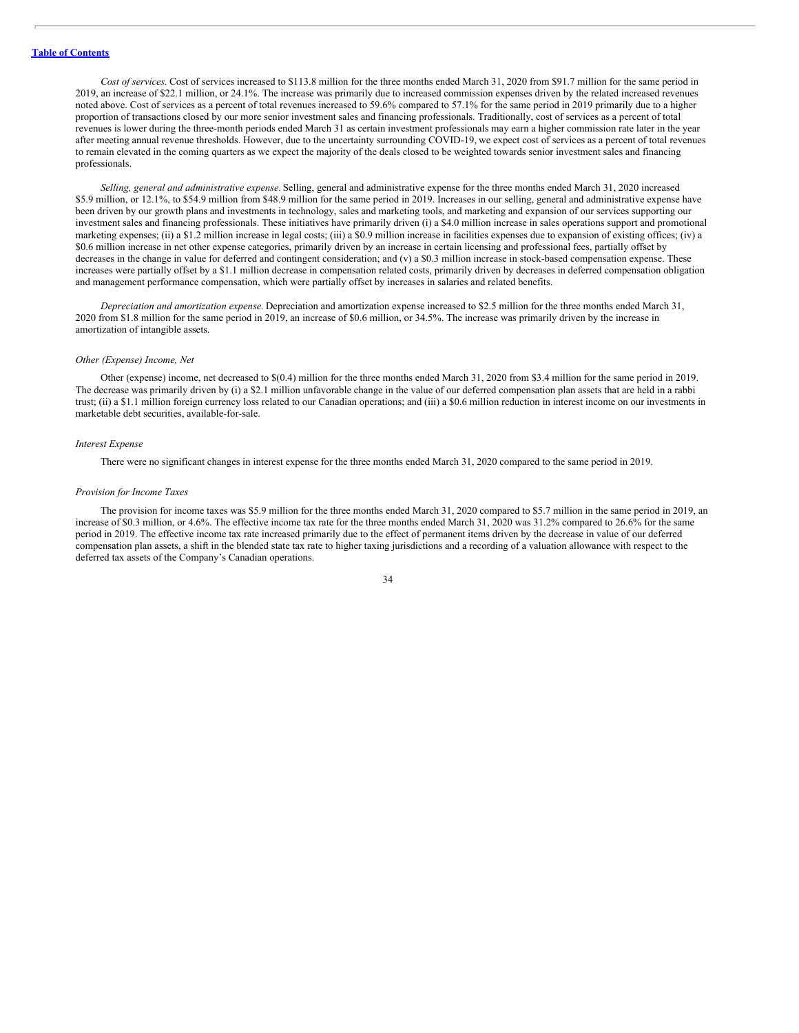*Cost of services.* Cost of services increased to \$113.8 million for the three months ended March 31, 2020 from \$91.7 million for the same period in 2019, an increase of \$22.1 million, or 24.1%. The increase was primarily due to increased commission expenses driven by the related increased revenues noted above. Cost of services as a percent of total revenues increased to 59.6% compared to 57.1% for the same period in 2019 primarily due to a higher proportion of transactions closed by our more senior investment sales and financing professionals. Traditionally, cost of services as a percent of total revenues is lower during the three-month periods ended March 31 as certain investment professionals may earn a higher commission rate later in the year after meeting annual revenue thresholds. However, due to the uncertainty surrounding COVID-19, we expect cost of services as a percent of total revenues to remain elevated in the coming quarters as we expect the majority of the deals closed to be weighted towards senior investment sales and financing professionals.

*Selling, general and administrative expense.* Selling, general and administrative expense for the three months ended March 31, 2020 increased \$5.9 million, or 12.1%, to \$54.9 million from \$48.9 million for the same period in 2019. Increases in our selling, general and administrative expense have been driven by our growth plans and investments in technology, sales and marketing tools, and marketing and expansion of our services supporting our investment sales and financing professionals. These initiatives have primarily driven (i) a \$4.0 million increase in sales operations support and promotional marketing expenses; (ii) a \$1.2 million increase in legal costs; (iii) a \$0.9 million increase in facilities expenses due to expansion of existing offices; (iv) a \$0.6 million increase in net other expense categories, primarily driven by an increase in certain licensing and professional fees, partially offset by decreases in the change in value for deferred and contingent consideration; and (v) a \$0.3 million increase in stock-based compensation expense. These increases were partially offset by a \$1.1 million decrease in compensation related costs, primarily driven by decreases in deferred compensation obligation and management performance compensation, which were partially offset by increases in salaries and related benefits.

*Depreciation and amortization expense.* Depreciation and amortization expense increased to \$2.5 million for the three months ended March 31, 2020 from \$1.8 million for the same period in 2019, an increase of \$0.6 million, or 34.5%. The increase was primarily driven by the increase in amortization of intangible assets.

#### *Other (Expense) Income, Net*

Other (expense) income, net decreased to \$(0.4) million for the three months ended March 31, 2020 from \$3.4 million for the same period in 2019. The decrease was primarily driven by (i) a \$2.1 million unfavorable change in the value of our deferred compensation plan assets that are held in a rabbi trust; (ii) a \$1.1 million foreign currency loss related to our Canadian operations; and (iii) a \$0.6 million reduction in interest income on our investments in marketable debt securities, available-for-sale.

#### *Interest Expense*

There were no significant changes in interest expense for the three months ended March 31, 2020 compared to the same period in 2019.

#### *Provision for Income Taxes*

The provision for income taxes was \$5.9 million for the three months ended March 31, 2020 compared to \$5.7 million in the same period in 2019, an increase of \$0.3 million, or 4.6%. The effective income tax rate for the three months ended March 31, 2020 was 31.2% compared to 26.6% for the same period in 2019. The effective income tax rate increased primarily due to the effect of permanent items driven by the decrease in value of our deferred compensation plan assets, a shift in the blended state tax rate to higher taxing jurisdictions and a recording of a valuation allowance with respect to the deferred tax assets of the Company's Canadian operations.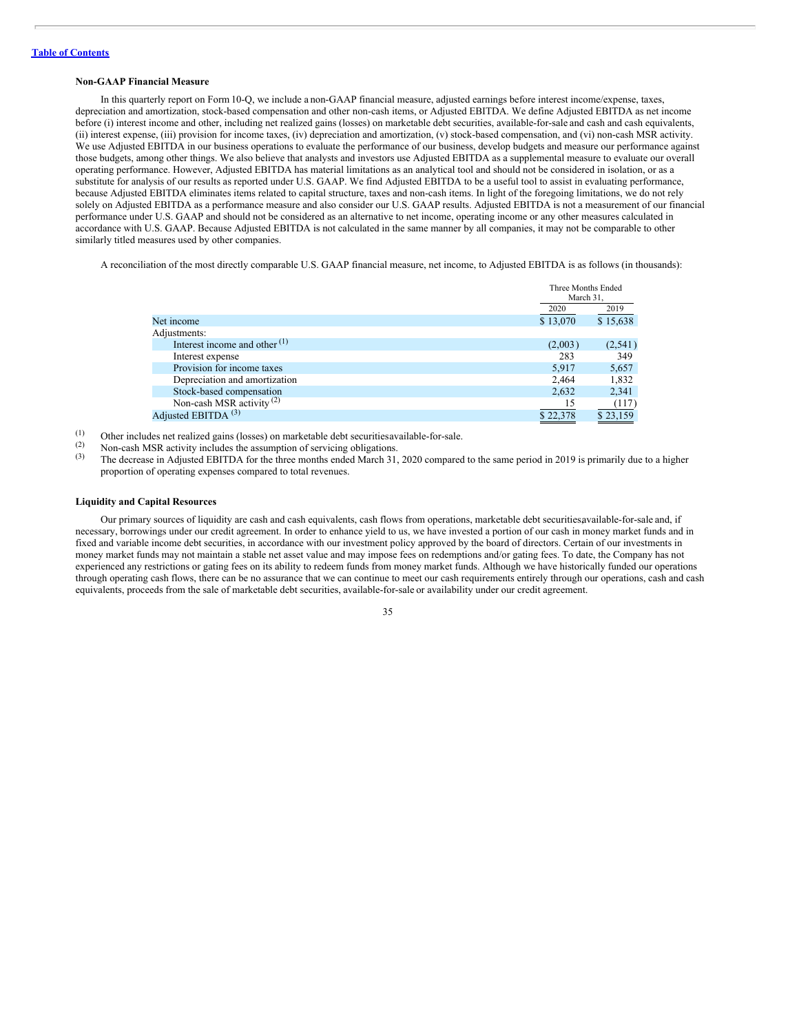#### **Non-GAAP Financial Measure**

In this quarterly report on Form 10-Q, we include a non-GAAP financial measure, adjusted earnings before interest income/expense, taxes, depreciation and amortization, stock-based compensation and other non-cash items, or Adjusted EBITDA. We define Adjusted EBITDA as net income before (i) interest income and other, including net realized gains (losses) on marketable debt securities, available-for-sale and cash and cash equivalents, (ii) interest expense, (iii) provision for income taxes, (iv) depreciation and amortization, (v) stock-based compensation, and (vi) non-cash MSR activity. We use Adjusted EBITDA in our business operations to evaluate the performance of our business, develop budgets and measure our performance against those budgets, among other things. We also believe that analysts and investors use Adjusted EBITDA as a supplemental measure to evaluate our overall operating performance. However, Adjusted EBITDA has material limitations as an analytical tool and should not be considered in isolation, or as a substitute for analysis of our results as reported under U.S. GAAP. We find Adjusted EBITDA to be a useful tool to assist in evaluating performance, because Adjusted EBITDA eliminates items related to capital structure, taxes and non-cash items. In light of the foregoing limitations, we do not rely solely on Adjusted EBITDA as a performance measure and also consider our U.S. GAAP results. Adjusted EBITDA is not a measurement of our financial performance under U.S. GAAP and should not be considered as an alternative to net income, operating income or any other measures calculated in accordance with U.S. GAAP. Because Adjusted EBITDA is not calculated in the same manner by all companies, it may not be comparable to other similarly titled measures used by other companies.

A reconciliation of the most directly comparable U.S. GAAP financial measure, net income, to Adjusted EBITDA is as follows (in thousands):

|                                      | Three Months Ended<br>March 31, |          |
|--------------------------------------|---------------------------------|----------|
|                                      | 2020                            | 2019     |
| Net income                           | \$13,070                        | \$15,638 |
| Adjustments:                         |                                 |          |
| Interest income and other $(1)$      | (2,003)                         | (2, 541) |
| Interest expense                     | 283                             | 349      |
| Provision for income taxes           | 5,917                           | 5,657    |
| Depreciation and amortization        | 2,464                           | 1,832    |
| Stock-based compensation             | 2,632                           | 2,341    |
| Non-cash MSR activity <sup>(2)</sup> | 15                              | (117)    |
| Adjusted EBITDA $(3)$                | \$22,378                        | \$23,159 |

(1) Other includes net realized gains (losses) on marketable debt securities available-for-sale.<br>(2) Non cost MSP octivity includes the assumption of servicing obligations

(2) Non-cash MSR activity includes the assumption of servicing obligations.<br>(3) The decrease in Adjusted EBITDA for the three months ended Marsh 31.

The decrease in Adjusted EBITDA for the three months ended March 31, 2020 compared to the same period in 2019 is primarily due to a higher proportion of operating expenses compared to total revenues.

#### **Liquidity and Capital Resources**

Our primary sources of liquidity are cash and cash equivalents, cash flows from operations, marketable debt securities,available-for-sale and, if necessary, borrowings under our credit agreement. In order to enhance yield to us, we have invested a portion of our cash in money market funds and in fixed and variable income debt securities, in accordance with our investment policy approved by the board of directors. Certain of our investments in money market funds may not maintain a stable net asset value and may impose fees on redemptions and/or gating fees. To date, the Company has not experienced any restrictions or gating fees on its ability to redeem funds from money market funds. Although we have historically funded our operations through operating cash flows, there can be no assurance that we can continue to meet our cash requirements entirely through our operations, cash and cash equivalents, proceeds from the sale of marketable debt securities, available-for-sale or availability under our credit agreement.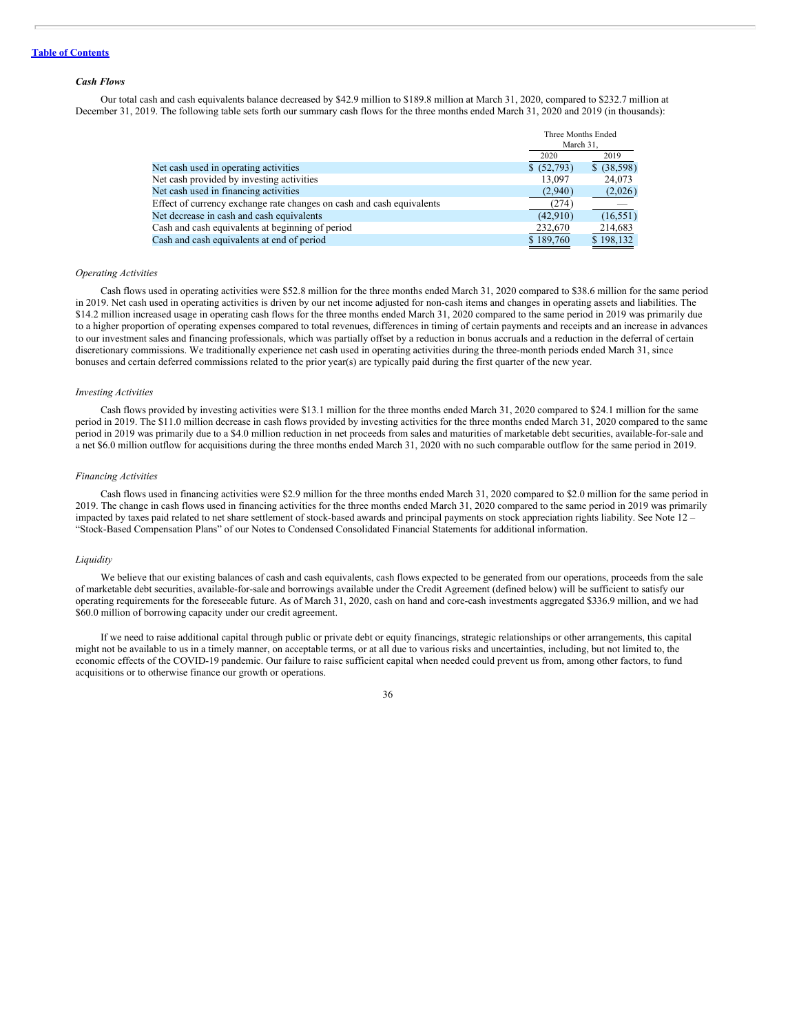#### *Cash Flows*

Our total cash and cash equivalents balance decreased by \$42.9 million to \$189.8 million at March 31, 2020, compared to \$232.7 million at December 31, 2019. The following table sets forth our summary cash flows for the three months ended March 31, 2020 and 2019 (in thousands):

|                                                                       | Three Months Ended<br>March 31. |             |
|-----------------------------------------------------------------------|---------------------------------|-------------|
|                                                                       | 2020                            | 2019        |
| Net cash used in operating activities                                 | \$ (52,793)                     | \$ (38,598) |
| Net cash provided by investing activities                             | 13,097                          | 24,073      |
| Net cash used in financing activities                                 | (2,940)                         | (2,026)     |
| Effect of currency exchange rate changes on cash and cash equivalents | (274)                           |             |
| Net decrease in cash and cash equivalents                             | (42,910)                        | (16, 551)   |
| Cash and cash equivalents at beginning of period                      | 232,670                         | 214,683     |
| Cash and cash equivalents at end of period                            | \$189,760                       | \$198,132   |

#### *Operating Activities*

Cash flows used in operating activities were \$52.8 million for the three months ended March 31, 2020 compared to \$38.6 million for the same period in 2019. Net cash used in operating activities is driven by our net income adjusted for non-cash items and changes in operating assets and liabilities. The \$14.2 million increased usage in operating cash flows for the three months ended March 31, 2020 compared to the same period in 2019 was primarily due to a higher proportion of operating expenses compared to total revenues, differences in timing of certain payments and receipts and an increase in advances to our investment sales and financing professionals, which was partially offset by a reduction in bonus accruals and a reduction in the deferral of certain discretionary commissions. We traditionally experience net cash used in operating activities during the three-month periods ended March 31, since bonuses and certain deferred commissions related to the prior year(s) are typically paid during the first quarter of the new year.

#### *Investing Activities*

Cash flows provided by investing activities were \$13.1 million for the three months ended March 31, 2020 compared to \$24.1 million for the same period in 2019. The \$11.0 million decrease in cash flows provided by investing activities for the three months ended March 31, 2020 compared to the same period in 2019 was primarily due to a \$4.0 million reduction in net proceeds from sales and maturities of marketable debt securities, available-for-sale and a net \$6.0 million outflow for acquisitions during the three months ended March 31, 2020 with no such comparable outflow for the same period in 2019.

#### *Financing Activities*

Cash flows used in financing activities were \$2.9 million for the three months ended March 31, 2020 compared to \$2.0 million for the same period in 2019. The change in cash flows used in financing activities for the three months ended March 31, 2020 compared to the same period in 2019 was primarily impacted by taxes paid related to net share settlement of stock-based awards and principal payments on stock appreciation rights liability. See Note 12 – "Stock-Based Compensation Plans" of our Notes to Condensed Consolidated Financial Statements for additional information.

#### *Liquidity*

We believe that our existing balances of cash and cash equivalents, cash flows expected to be generated from our operations, proceeds from the sale of marketable debt securities, available-for-sale and borrowings available under the Credit Agreement (defined below) will be sufficient to satisfy our operating requirements for the foreseeable future. As of March 31, 2020, cash on hand and core-cash investments aggregated \$336.9 million, and we had \$60.0 million of borrowing capacity under our credit agreement.

If we need to raise additional capital through public or private debt or equity financings, strategic relationships or other arrangements, this capital might not be available to us in a timely manner, on acceptable terms, or at all due to various risks and uncertainties, including, but not limited to, the economic effects of the COVID-19 pandemic. Our failure to raise sufficient capital when needed could prevent us from, among other factors, to fund acquisitions or to otherwise finance our growth or operations.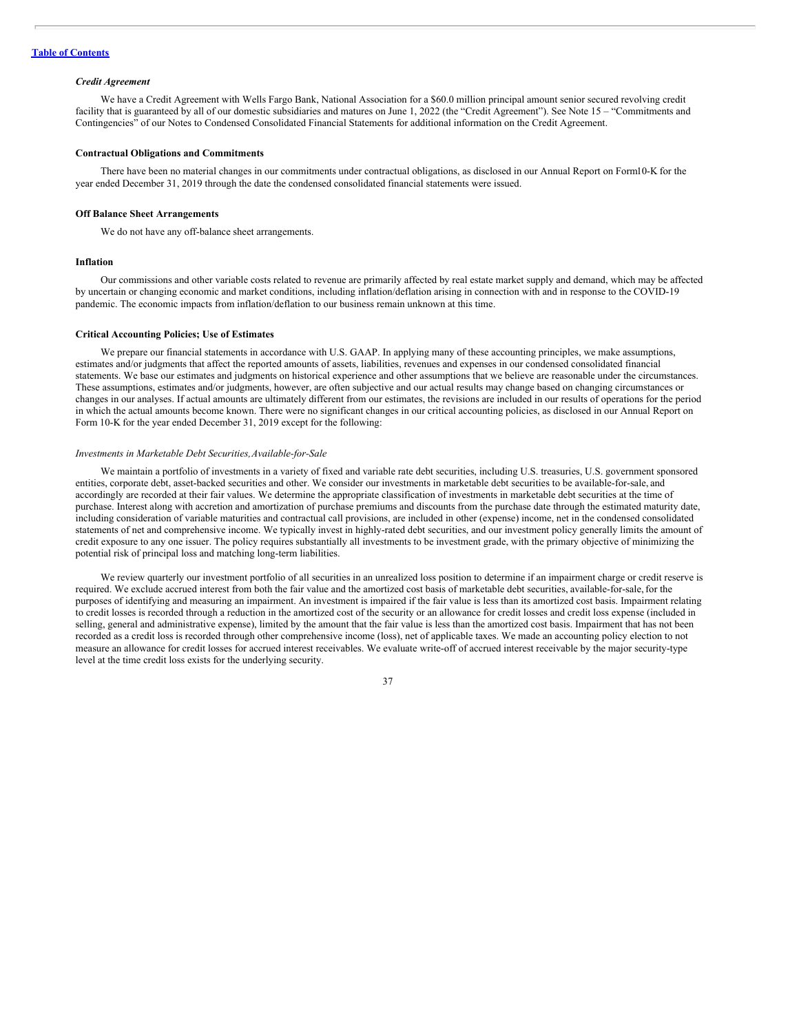#### *Credit Agreement*

We have a Credit Agreement with Wells Fargo Bank, National Association for a \$60.0 million principal amount senior secured revolving credit facility that is guaranteed by all of our domestic subsidiaries and matures on June 1, 2022 (the "Credit Agreement"). See Note 15 – "Commitments and Contingencies" of our Notes to Condensed Consolidated Financial Statements for additional information on the Credit Agreement.

#### **Contractual Obligations and Commitments**

There have been no material changes in our commitments under contractual obligations, as disclosed in our Annual Report on Form10-K for the year ended December 31, 2019 through the date the condensed consolidated financial statements were issued.

#### **Off Balance Sheet Arrangements**

We do not have any off-balance sheet arrangements.

#### **Inflation**

Our commissions and other variable costs related to revenue are primarily affected by real estate market supply and demand, which may be affected by uncertain or changing economic and market conditions, including inflation/deflation arising in connection with and in response to the COVID-19 pandemic. The economic impacts from inflation/deflation to our business remain unknown at this time.

#### **Critical Accounting Policies; Use of Estimates**

We prepare our financial statements in accordance with U.S. GAAP. In applying many of these accounting principles, we make assumptions, estimates and/or judgments that affect the reported amounts of assets, liabilities, revenues and expenses in our condensed consolidated financial statements. We base our estimates and judgments on historical experience and other assumptions that we believe are reasonable under the circumstances. These assumptions, estimates and/or judgments, however, are often subjective and our actual results may change based on changing circumstances or changes in our analyses. If actual amounts are ultimately different from our estimates, the revisions are included in our results of operations for the period in which the actual amounts become known. There were no significant changes in our critical accounting policies, as disclosed in our Annual Report on Form 10-K for the year ended December 31, 2019 except for the following:

#### *Investments in Marketable Debt Securities,Available-for-Sale*

We maintain a portfolio of investments in a variety of fixed and variable rate debt securities, including U.S. treasuries, U.S. government sponsored entities, corporate debt, asset-backed securities and other. We consider our investments in marketable debt securities to be available-for-sale, and accordingly are recorded at their fair values. We determine the appropriate classification of investments in marketable debt securities at the time of purchase. Interest along with accretion and amortization of purchase premiums and discounts from the purchase date through the estimated maturity date, including consideration of variable maturities and contractual call provisions, are included in other (expense) income, net in the condensed consolidated statements of net and comprehensive income. We typically invest in highly-rated debt securities, and our investment policy generally limits the amount of credit exposure to any one issuer. The policy requires substantially all investments to be investment grade, with the primary objective of minimizing the potential risk of principal loss and matching long-term liabilities.

We review quarterly our investment portfolio of all securities in an unrealized loss position to determine if an impairment charge or credit reserve is required. We exclude accrued interest from both the fair value and the amortized cost basis of marketable debt securities, available-for-sale,for the purposes of identifying and measuring an impairment. An investment is impaired if the fair value is less than its amortized cost basis. Impairment relating to credit losses is recorded through a reduction in the amortized cost of the security or an allowance for credit losses and credit loss expense (included in selling, general and administrative expense), limited by the amount that the fair value is less than the amortized cost basis. Impairment that has not been recorded as a credit loss is recorded through other comprehensive income (loss), net of applicable taxes. We made an accounting policy election to not measure an allowance for credit losses for accrued interest receivables. We evaluate write-off of accrued interest receivable by the major security-type level at the time credit loss exists for the underlying security.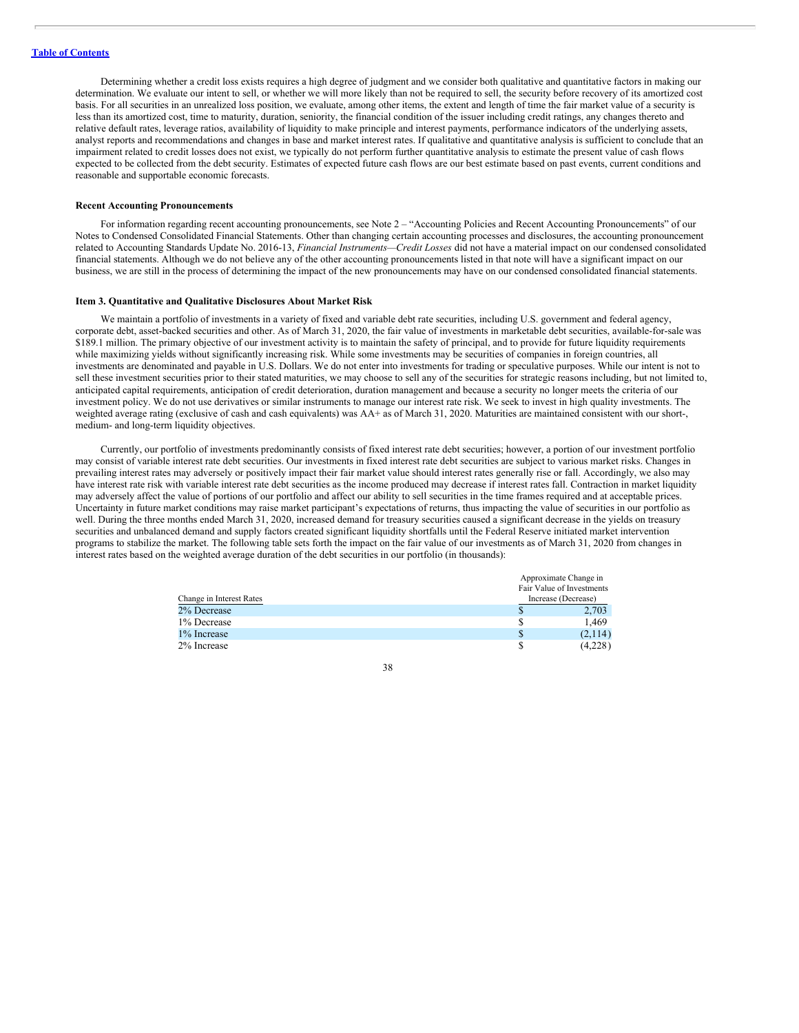Determining whether a credit loss exists requires a high degree of judgment and we consider both qualitative and quantitative factors in making our determination. We evaluate our intent to sell, or whether we will more likely than not be required to sell, the security before recovery of its amortized cost basis. For all securities in an unrealized loss position, we evaluate, among other items, the extent and length of time the fair market value of a security is less than its amortized cost, time to maturity, duration, seniority, the financial condition of the issuer including credit ratings, any changes thereto and relative default rates, leverage ratios, availability of liquidity to make principle and interest payments, performance indicators of the underlying assets, analyst reports and recommendations and changes in base and market interest rates. If qualitative and quantitative analysis is sufficient to conclude that an impairment related to credit losses does not exist, we typically do not perform further quantitative analysis to estimate the present value of cash flows expected to be collected from the debt security. Estimates of expected future cash flows are our best estimate based on past events, current conditions and reasonable and supportable economic forecasts.

#### **Recent Accounting Pronouncements**

For information regarding recent accounting pronouncements, see Note 2 - "Accounting Policies and Recent Accounting Pronouncements" of our Notes to Condensed Consolidated Financial Statements. Other than changing certain accounting processes and disclosures, the accounting pronouncement related to Accounting Standards Update No. 2016-13, *Financial Instruments—Credit Losses* did not have a material impact on our condensed consolidated financial statements. Although we do not believe any of the other accounting pronouncements listed in that note will have a significant impact on our business, we are still in the process of determining the impact of the new pronouncements may have on our condensed consolidated financial statements.

#### **Item 3. Quantitative and Qualitative Disclosures About Market Risk**

We maintain a portfolio of investments in a variety of fixed and variable debt rate securities, including U.S. government and federal agency, corporate debt, asset-backed securities and other. As of March 31, 2020, the fair value of investments in marketable debt securities, available-for-sale was \$189.1 million. The primary objective of our investment activity is to maintain the safety of principal, and to provide for future liquidity requirements while maximizing yields without significantly increasing risk. While some investments may be securities of companies in foreign countries, all investments are denominated and payable in U.S. Dollars. We do not enter into investments for trading or speculative purposes. While our intent is not to sell these investment securities prior to their stated maturities, we may choose to sell any of the securities for strategic reasons including, but not limited to, anticipated capital requirements, anticipation of credit deterioration, duration management and because a security no longer meets the criteria of our investment policy. We do not use derivatives or similar instruments to manage our interest rate risk. We seek to invest in high quality investments. The weighted average rating (exclusive of cash and cash equivalents) was AA+ as of March 31, 2020. Maturities are maintained consistent with our short-, medium- and long-term liquidity objectives.

Currently, our portfolio of investments predominantly consists of fixed interest rate debt securities; however, a portion of our investment portfolio may consist of variable interest rate debt securities. Our investments in fixed interest rate debt securities are subject to various market risks. Changes in prevailing interest rates may adversely or positively impact their fair market value should interest rates generally rise or fall. Accordingly, we also may have interest rate risk with variable interest rate debt securities as the income produced may decrease if interest rates fall. Contraction in market liquidity may adversely affect the value of portions of our portfolio and affect our ability to sell securities in the time frames required and at acceptable prices. Uncertainty in future market conditions may raise market participant's expectations of returns, thus impacting the value of securities in our portfolio as well. During the three months ended March 31, 2020, increased demand for treasury securities caused a significant decrease in the yields on treasury securities and unbalanced demand and supply factors created significant liquidity shortfalls until the Federal Reserve initiated market intervention programs to stabilize the market. The following table sets forth the impact on the fair value of our investments as of March 31, 2020 from changes in interest rates based on the weighted average duration of the debt securities in our portfolio (in thousands):

|                          | дрргодинате спанде ни     |         |
|--------------------------|---------------------------|---------|
|                          | Fair Value of Investments |         |
| Change in Interest Rates | Increase (Decrease)       |         |
| 2% Decrease              |                           | 2,703   |
| 1% Decrease              |                           | 1.469   |
| 1% Increase              |                           | (2,114) |
| 2% Increase              |                           | (4,228) |

Approximate Change in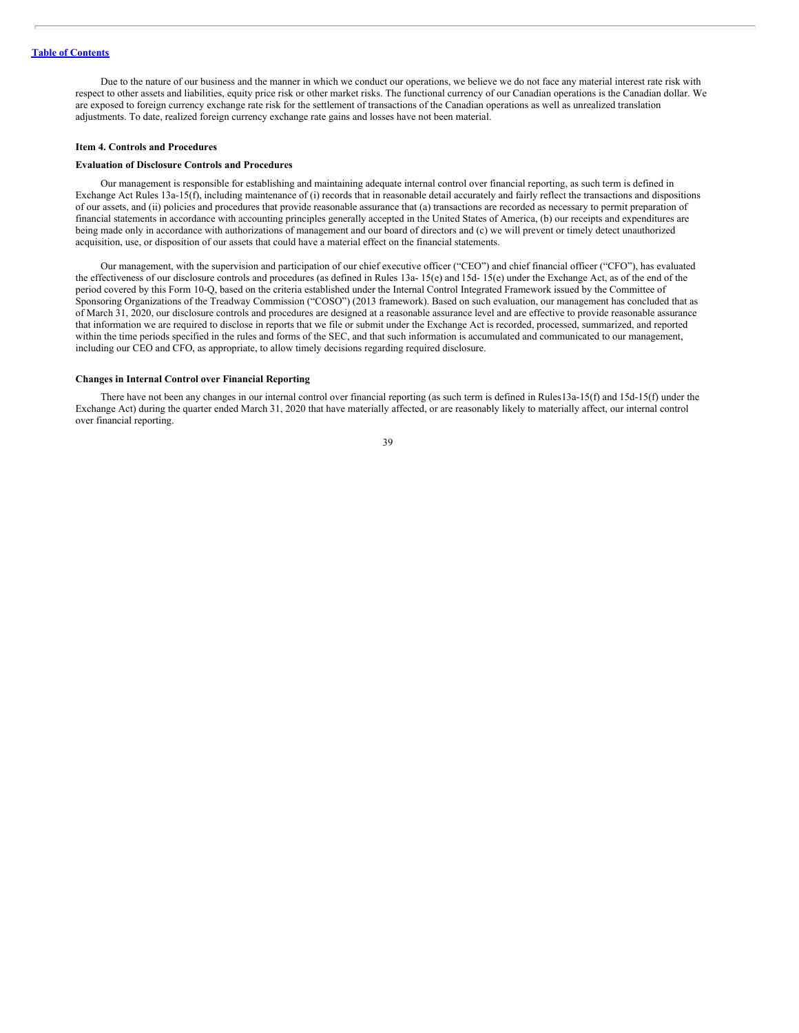Due to the nature of our business and the manner in which we conduct our operations, we believe we do not face any material interest rate risk with respect to other assets and liabilities, equity price risk or other market risks. The functional currency of our Canadian operations is the Canadian dollar. We are exposed to foreign currency exchange rate risk for the settlement of transactions of the Canadian operations as well as unrealized translation adjustments. To date, realized foreign currency exchange rate gains and losses have not been material.

#### **Item 4. Controls and Procedures**

#### **Evaluation of Disclosure Controls and Procedures**

Our management is responsible for establishing and maintaining adequate internal control over financial reporting, as such term is defined in Exchange Act Rules 13a-15(f), including maintenance of (i) records that in reasonable detail accurately and fairly reflect the transactions and dispositions of our assets, and (ii) policies and procedures that provide reasonable assurance that (a) transactions are recorded as necessary to permit preparation of financial statements in accordance with accounting principles generally accepted in the United States of America, (b) our receipts and expenditures are being made only in accordance with authorizations of management and our board of directors and (c) we will prevent or timely detect unauthorized acquisition, use, or disposition of our assets that could have a material effect on the financial statements.

Our management, with the supervision and participation of our chief executive officer ("CEO") and chief financial officer ("CFO"), has evaluated the effectiveness of our disclosure controls and procedures (as defined in Rules 13a- 15(e) and 15d- 15(e) under the Exchange Act, as of the end of the period covered by this Form 10-Q, based on the criteria established under the Internal Control Integrated Framework issued by the Committee of Sponsoring Organizations of the Treadway Commission ("COSO") (2013 framework). Based on such evaluation, our management has concluded that as of March 31, 2020, our disclosure controls and procedures are designed at a reasonable assurance level and are effective to provide reasonable assurance that information we are required to disclose in reports that we file or submit under the Exchange Act is recorded, processed, summarized, and reported within the time periods specified in the rules and forms of the SEC, and that such information is accumulated and communicated to our management, including our CEO and CFO, as appropriate, to allow timely decisions regarding required disclosure.

#### **Changes in Internal Control over Financial Reporting**

There have not been any changes in our internal control over financial reporting (as such term is defined in Rules13a-15(f) and 15d-15(f) under the Exchange Act) during the quarter ended March 31, 2020 that have materially affected, or are reasonably likely to materially affect, our internal control over financial reporting.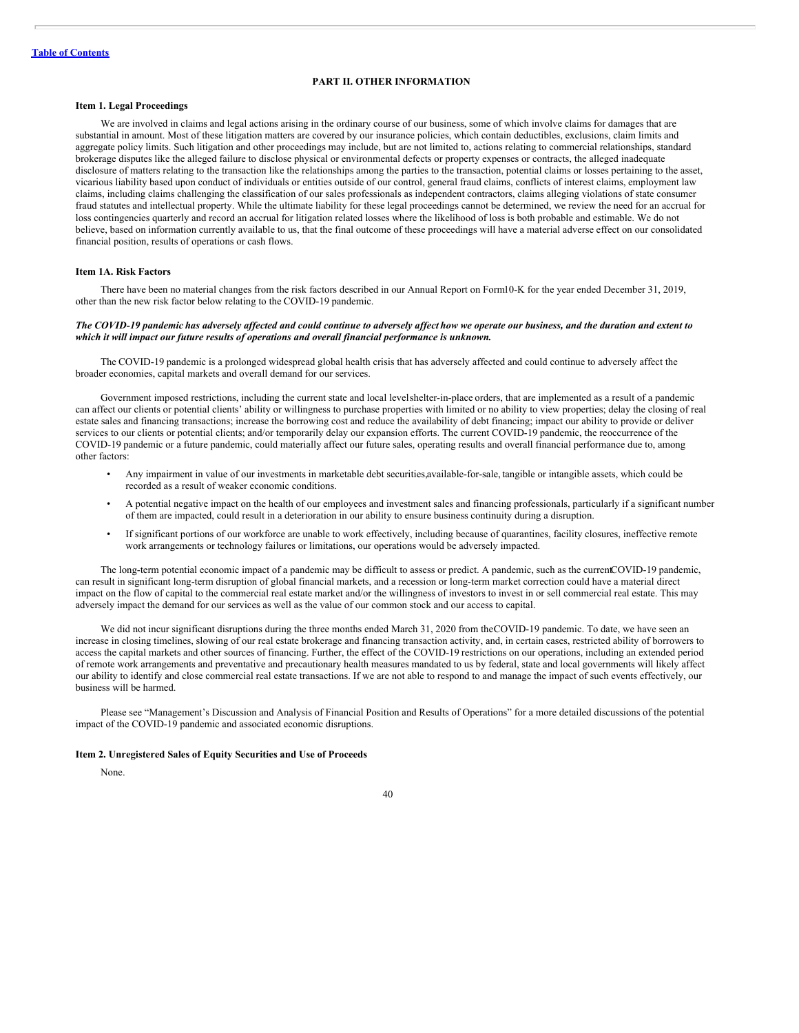#### **PART II. OTHER INFORMATION**

#### <span id="page-39-1"></span><span id="page-39-0"></span>**Item 1. Legal Proceedings**

We are involved in claims and legal actions arising in the ordinary course of our business, some of which involve claims for damages that are substantial in amount. Most of these litigation matters are covered by our insurance policies, which contain deductibles, exclusions, claim limits and aggregate policy limits. Such litigation and other proceedings may include, but are not limited to, actions relating to commercial relationships, standard brokerage disputes like the alleged failure to disclose physical or environmental defects or property expenses or contracts, the alleged inadequate disclosure of matters relating to the transaction like the relationships among the parties to the transaction, potential claims or losses pertaining to the asset, vicarious liability based upon conduct of individuals or entities outside of our control, general fraud claims, conflicts of interest claims, employment law claims, including claims challenging the classification of our sales professionals as independent contractors, claims alleging violations of state consumer fraud statutes and intellectual property. While the ultimate liability for these legal proceedings cannot be determined, we review the need for an accrual for loss contingencies quarterly and record an accrual for litigation related losses where the likelihood of loss is both probable and estimable. We do not believe, based on information currently available to us, that the final outcome of these proceedings will have a material adverse effect on our consolidated financial position, results of operations or cash flows.

#### <span id="page-39-2"></span>**Item 1A. Risk Factors**

There have been no material changes from the risk factors described in our Annual Report on Form10-K for the year ended December 31, 2019, other than the new risk factor below relating to the COVID-19 pandemic.

#### The COVID-19 pandemic has adversely affected and could continue to adversely affect how we operate our business, and the duration and extent to *which it will impact our future results of operations and overall financial performance is unknown.*

The COVID-19 pandemic is a prolonged widespread global health crisis that has adversely affected and could continue to adversely affect the broader economies, capital markets and overall demand for our services.

Government imposed restrictions, including the current state and local levelshelter-in-place orders, that are implemented as a result of a pandemic can affect our clients or potential clients' ability or willingness to purchase properties with limited or no ability to view properties; delay the closing of real estate sales and financing transactions; increase the borrowing cost and reduce the availability of debt financing; impact our ability to provide or deliver services to our clients or potential clients; and/or temporarily delay our expansion efforts. The current COVID-19 pandemic, the reoccurrence of the COVID-19 pandemic or a future pandemic, could materially affect our future sales, operating results and overall financial performance due to, among other factors:

- Any impairment in value of our investments in marketable debt securities,available-for-sale, tangible or intangible assets, which could be recorded as a result of weaker economic conditions.
- A potential negative impact on the health of our employees and investment sales and financing professionals, particularly if a significant number of them are impacted, could result in a deterioration in our ability to ensure business continuity during a disruption.
- If significant portions of our workforce are unable to work effectively, including because of quarantines, facility closures, ineffective remote work arrangements or technology failures or limitations, our operations would be adversely impacted.

The long-term potential economic impact of a pandemic may be difficult to assess or predict. A pandemic, such as the currentCOVID-19 pandemic, can result in significant long-term disruption of global financial markets, and a recession or long-term market correction could have a material direct impact on the flow of capital to the commercial real estate market and/or the willingness of investors to invest in or sell commercial real estate. This may adversely impact the demand for our services as well as the value of our common stock and our access to capital.

We did not incur significant disruptions during the three months ended March 31, 2020 from theCOVID-19 pandemic. To date, we have seen an increase in closing timelines, slowing of our real estate brokerage and financing transaction activity, and, in certain cases, restricted ability of borrowers to access the capital markets and other sources of financing. Further, the effect of the COVID-19 restrictions on our operations, including an extended period of remote work arrangements and preventative and precautionary health measures mandated to us by federal, state and local governments will likely affect our ability to identify and close commercial real estate transactions. If we are not able to respond to and manage the impact of such events effectively, our business will be harmed.

Please see "Management's Discussion and Analysis of Financial Position and Results of Operations" for a more detailed discussions of the potential impact of the COVID-19 pandemic and associated economic disruptions.

#### **Item 2. Unregistered Sales of Equity Securities and Use of Proceeds**

None.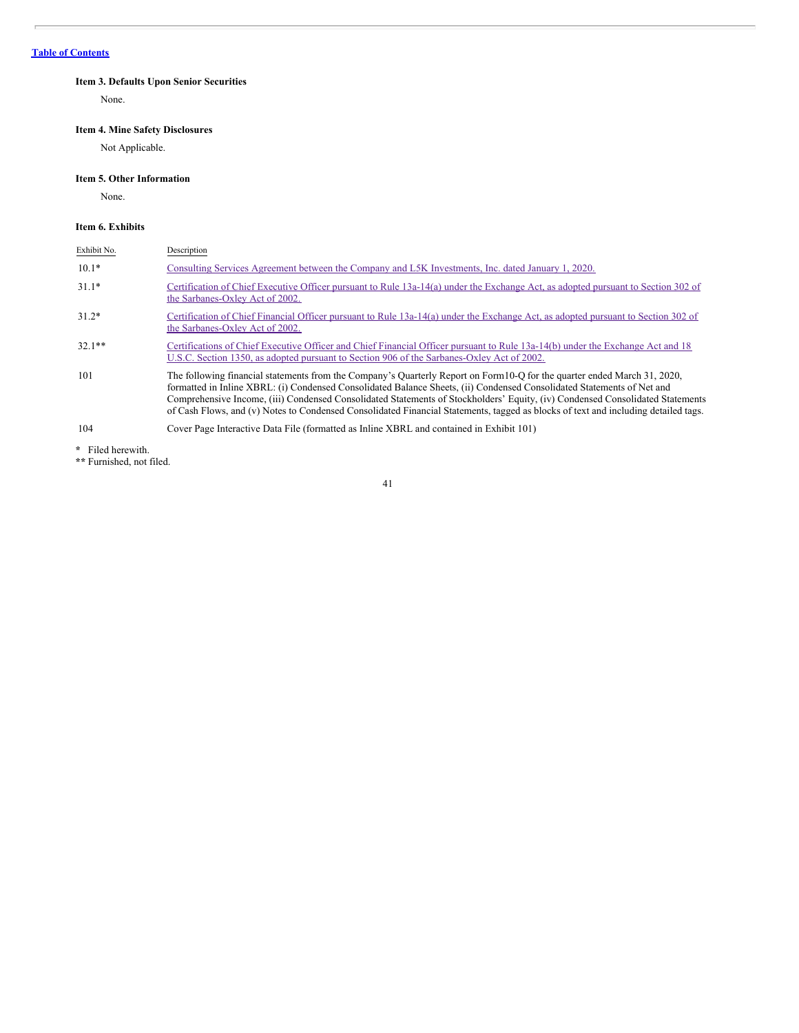# <span id="page-40-0"></span>**Item 3. Defaults Upon Senior Securities**

None.

# <span id="page-40-1"></span>**Item 4. Mine Safety Disclosures**

Not Applicable.

# <span id="page-40-2"></span>**Item 5. Other Information**

None.

#### <span id="page-40-3"></span>**Item 6. Exhibits**

| Exhibit No. | Description                                                                                                                                                                                                                                                                                                                                                                                                                                                                                                               |
|-------------|---------------------------------------------------------------------------------------------------------------------------------------------------------------------------------------------------------------------------------------------------------------------------------------------------------------------------------------------------------------------------------------------------------------------------------------------------------------------------------------------------------------------------|
| $10.1*$     | Consulting Services Agreement between the Company and L5K Investments, Inc. dated January 1, 2020.                                                                                                                                                                                                                                                                                                                                                                                                                        |
| $31.1*$     | Certification of Chief Executive Officer pursuant to Rule 13a-14(a) under the Exchange Act, as adopted pursuant to Section 302 of<br>the Sarbanes-Oxley Act of 2002.                                                                                                                                                                                                                                                                                                                                                      |
| $31.2*$     | Certification of Chief Financial Officer pursuant to Rule 13a-14(a) under the Exchange Act, as adopted pursuant to Section 302 of<br>the Sarbanes-Oxley Act of 2002.                                                                                                                                                                                                                                                                                                                                                      |
| $32.1**$    | Certifications of Chief Executive Officer and Chief Financial Officer pursuant to Rule 13a-14(b) under the Exchange Act and 18<br>U.S.C. Section 1350, as adopted pursuant to Section 906 of the Sarbanes-Oxley Act of 2002.                                                                                                                                                                                                                                                                                              |
| 101         | The following financial statements from the Company's Quarterly Report on Form10-Q for the quarter ended March 31, 2020,<br>formatted in Inline XBRL: (i) Condensed Consolidated Balance Sheets, (ii) Condensed Consolidated Statements of Net and<br>Comprehensive Income, (iii) Condensed Consolidated Statements of Stockholders' Equity, (iv) Condensed Consolidated Statements<br>of Cash Flows, and (v) Notes to Condensed Consolidated Financial Statements, tagged as blocks of text and including detailed tags. |
| 104         | Cover Page Interactive Data File (formatted as Inline XBRL and contained in Exhibit 101)                                                                                                                                                                                                                                                                                                                                                                                                                                  |

**\*** Filed herewith.

**\*\*** Furnished, not filed.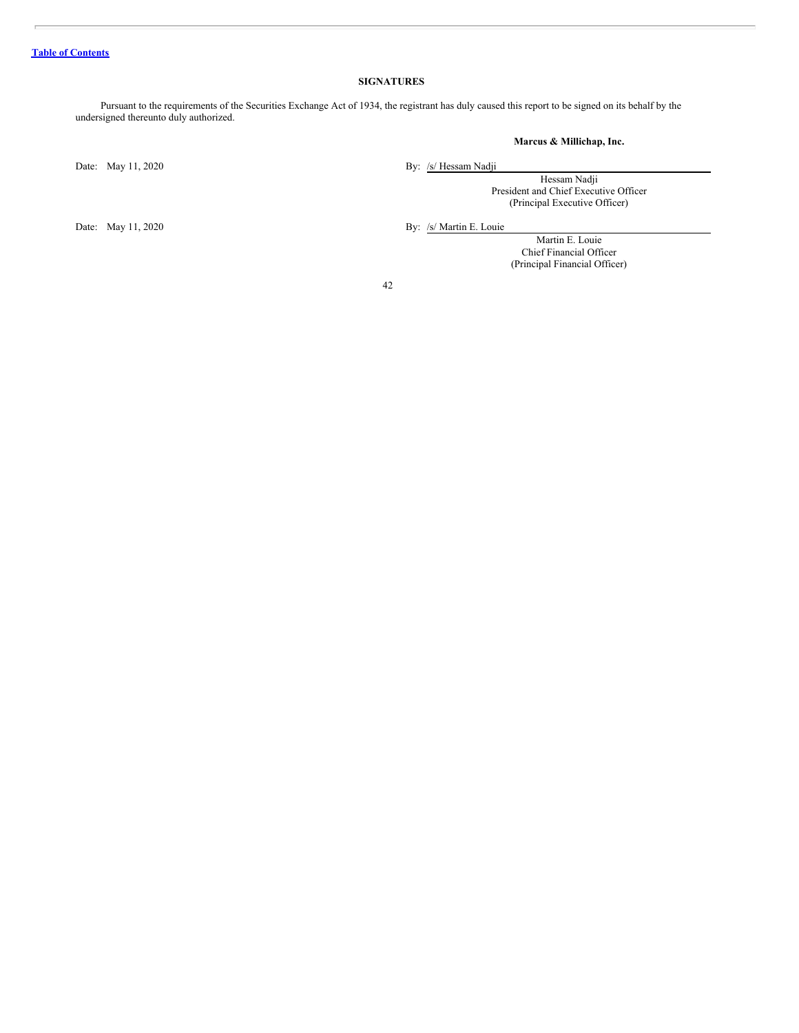#### **SIGNATURES**

<span id="page-41-0"></span>Pursuant to the requirements of the Securities Exchange Act of 1934, the registrant has duly caused this report to be signed on its behalf by the undersigned thereunto duly authorized.

Date: May 11, 2020 By: /s/ Hessam Nadji

Hessam Nadji President and Chief Executive Officer (Principal Executive Officer)

**Marcus & Millichap, Inc.**

Date: May 11, 2020 By: /s/ Martin E. Louie

Martin E. Louie Chief Financial Officer (Principal Financial Officer)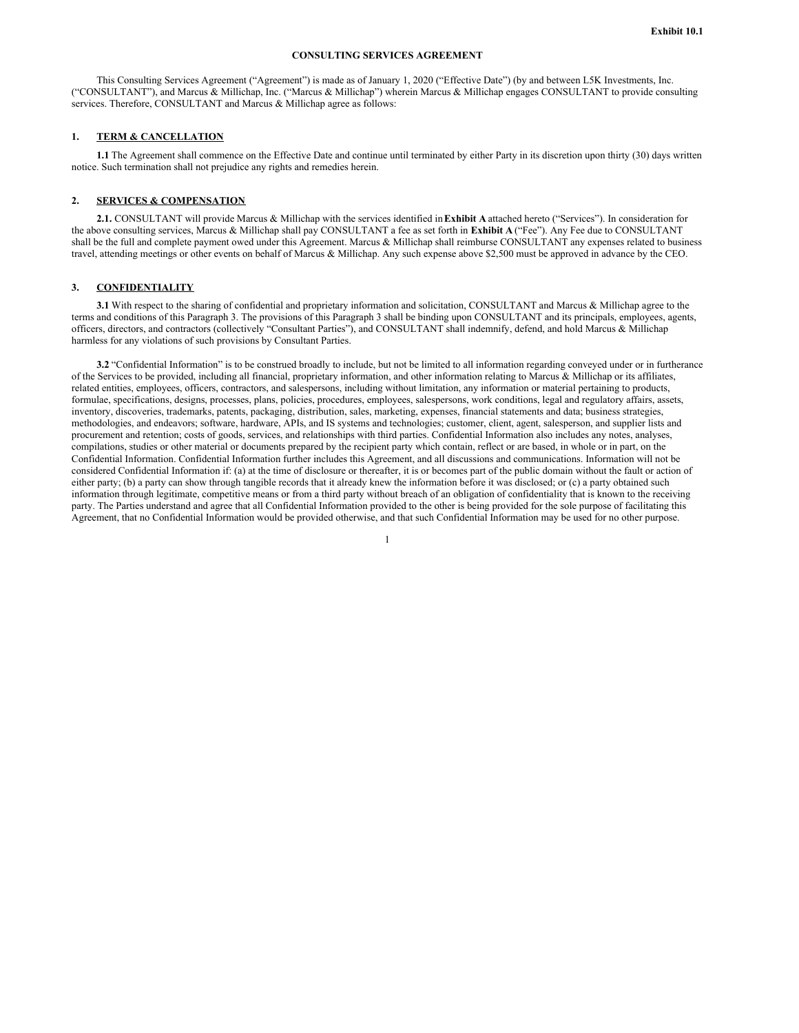#### **CONSULTING SERVICES AGREEMENT**

This Consulting Services Agreement ("Agreement") is made as of January 1, 2020 ("Effective Date") (by and between L5K Investments, Inc. ("CONSULTANT"), and Marcus & Millichap, Inc. ("Marcus & Millichap") wherein Marcus & Millichap engages CONSULTANT to provide consulting services. Therefore, CONSULTANT and Marcus & Millichap agree as follows:

#### **1. TERM & CANCELLATION**

**1.1** The Agreement shall commence on the Effective Date and continue until terminated by either Party in its discretion upon thirty (30) days written notice. Such termination shall not prejudice any rights and remedies herein.

#### **2. SERVICES & COMPENSATION**

**2.1.** CONSULTANT will provide Marcus & Millichap with the services identified in**Exhibit A** attached hereto ("Services"). In consideration for the above consulting services, Marcus & Millichap shall pay CONSULTANT a fee as set forth in **Exhibit A** ("Fee"). Any Fee due to CONSULTANT shall be the full and complete payment owed under this Agreement. Marcus & Millichap shall reimburse CONSULTANT any expenses related to business travel, attending meetings or other events on behalf of Marcus & Millichap. Any such expense above \$2,500 must be approved in advance by the CEO.

### **3. CONFIDENTIALITY**

**3.1** With respect to the sharing of confidential and proprietary information and solicitation, CONSULTANT and Marcus & Millichap agree to the terms and conditions of this Paragraph 3. The provisions of this Paragraph 3 shall be binding upon CONSULTANT and its principals, employees, agents, officers, directors, and contractors (collectively "Consultant Parties"), and CONSULTANT shall indemnify, defend, and hold Marcus & Millichap harmless for any violations of such provisions by Consultant Parties.

**3.2** "Confidential Information" is to be construed broadly to include, but not be limited to all information regarding conveyed under or in furtherance of the Services to be provided, including all financial, proprietary information, and other information relating to Marcus & Millichap or its affiliates, related entities, employees, officers, contractors, and salespersons, including without limitation, any information or material pertaining to products, formulae, specifications, designs, processes, plans, policies, procedures, employees, salespersons, work conditions, legal and regulatory affairs, assets, inventory, discoveries, trademarks, patents, packaging, distribution, sales, marketing, expenses, financial statements and data; business strategies, methodologies, and endeavors; software, hardware, APIs, and IS systems and technologies; customer, client, agent, salesperson, and supplier lists and procurement and retention; costs of goods, services, and relationships with third parties. Confidential Information also includes any notes, analyses, compilations, studies or other material or documents prepared by the recipient party which contain, reflect or are based, in whole or in part, on the Confidential Information. Confidential Information further includes this Agreement, and all discussions and communications. Information will not be considered Confidential Information if: (a) at the time of disclosure or thereafter, it is or becomes part of the public domain without the fault or action of either party; (b) a party can show through tangible records that it already knew the information before it was disclosed; or (c) a party obtained such information through legitimate, competitive means or from a third party without breach of an obligation of confidentiality that is known to the receiving party. The Parties understand and agree that all Confidential Information provided to the other is being provided for the sole purpose of facilitating this Agreement, that no Confidential Information would be provided otherwise, and that such Confidential Information may be used for no other purpose.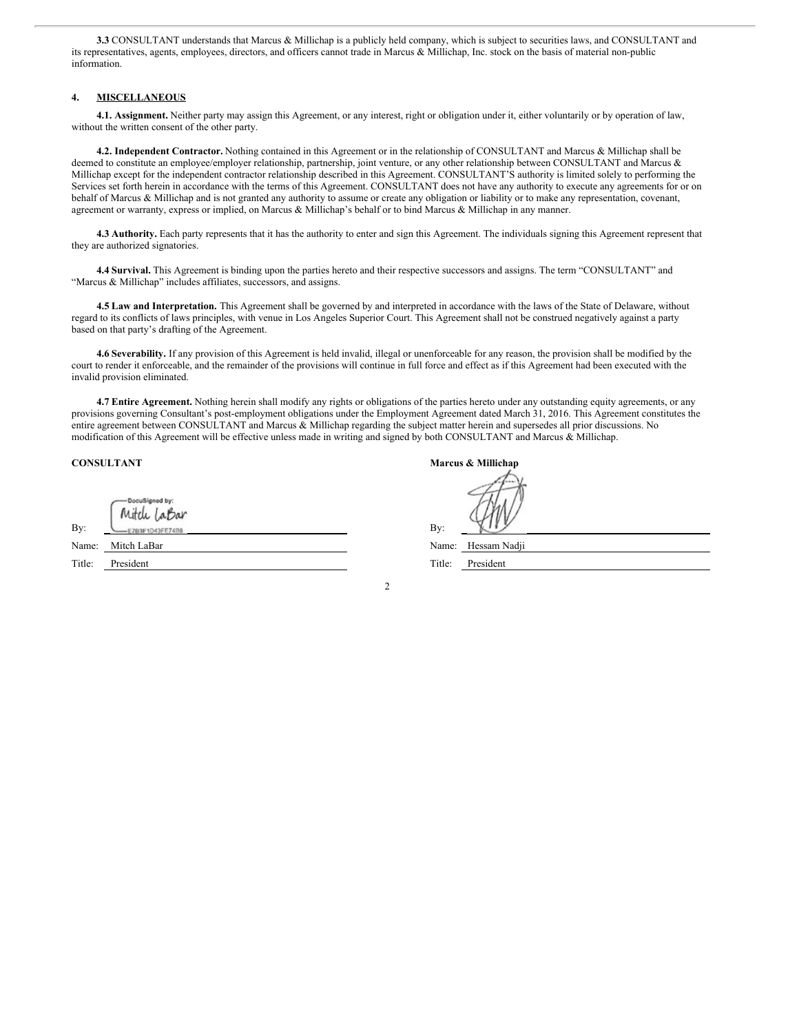<span id="page-43-0"></span>**3.3** CONSULTANT understands that Marcus & Millichap is a publicly held company, which is subject to securities laws, and CONSULTANT and its representatives, agents, employees, directors, and officers cannot trade in Marcus & Millichap, Inc. stock on the basis of material non-public information.

#### **4. MISCELLANEOUS**

**4.1. Assignment.** Neither party may assign this Agreement, or any interest, right or obligation under it, either voluntarily or by operation of law, without the written consent of the other party.

**4.2. Independent Contractor.** Nothing contained in this Agreement or in the relationship of CONSULTANT and Marcus & Millichap shall be deemed to constitute an employee/employer relationship, partnership, joint venture, or any other relationship between CONSULTANT and Marcus & Millichap except for the independent contractor relationship described in this Agreement. CONSULTANT'S authority is limited solely to performing the Services set forth herein in accordance with the terms of this Agreement. CONSULTANT does not have any authority to execute any agreements for or on behalf of Marcus & Millichap and is not granted any authority to assume or create any obligation or liability or to make any representation, covenant, agreement or warranty, express or implied, on Marcus & Millichap's behalf or to bind Marcus & Millichap in any manner.

**4.3 Authority.** Each party represents that it has the authority to enter and sign this Agreement. The individuals signing this Agreement represent that they are authorized signatories.

**4.4 Survival.** This Agreement is binding upon the parties hereto and their respective successors and assigns. The term "CONSULTANT" and "Marcus & Millichap" includes affiliates, successors, and assigns.

**4.5 Law and Interpretation.** This Agreement shall be governed by and interpreted in accordance with the laws of the State of Delaware, without regard to its conflicts of laws principles, with venue in Los Angeles Superior Court. This Agreement shall not be construed negatively against a party based on that party's drafting of the Agreement.

**4.6 Severability.** If any provision of this Agreement is held invalid, illegal or unenforceable for any reason, the provision shall be modified by the court to render it enforceable, and the remainder of the provisions will continue in full force and effect as if this Agreement had been executed with the invalid provision eliminated.

**4.7 Entire Agreement.** Nothing herein shall modify any rights or obligations of the parties hereto under any outstanding equity agreements, or any provisions governing Consultant's post-employment obligations under the Employment Agreement dated March 31, 2016. This Agreement constitutes the entire agreement between CONSULTANT and Marcus & Millichap regarding the subject matter herein and supersedes all prior discussions. No modification of this Agreement will be effective unless made in writing and signed by both CONSULTANT and Marcus & Millichap.

|        | -DocuSigned by:<br>Mitch LaBar |        |                |
|--------|--------------------------------|--------|----------------|
| By:    | A43FE74BB                      | By:    |                |
| Name:  | Mitch LaBar                    |        | Name: Hessam N |
| Title: | President                      | Title: | President      |

**CONSULTANT Marcus & Millichap**

Name: Hessam Nadii

 $\overline{2}$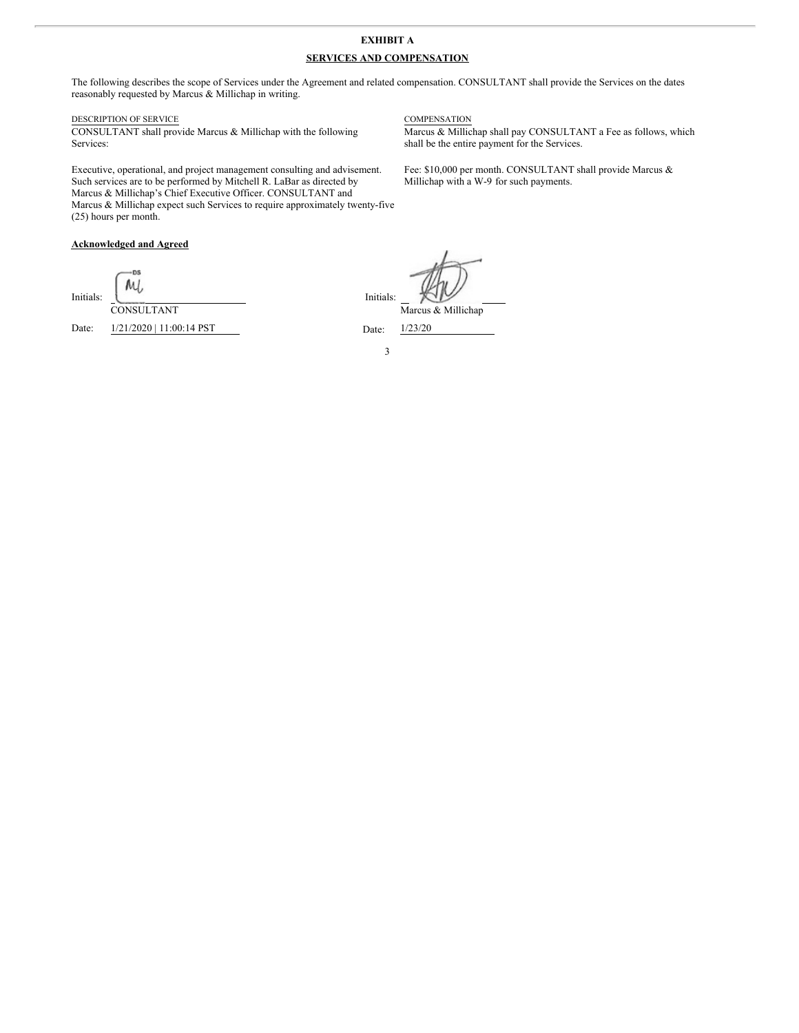# **EXHIBIT A SERVICES AND COMPENSATION**

The following describes the scope of Services under the Agreement and related compensation. CONSULTANT shall provide the Services on the dates reasonably requested by Marcus & Millichap in writing.

#### DESCRIPTION OF SERVICE COMPENSATION

CONSULTANT shall provide Marcus & Millichap with the following Services:

Executive, operational, and project management consulting and advisement. Such services are to be performed by Mitchell R. LaBar as directed by Marcus & Millichap's Chief Executive Officer. CONSULTANT and Marcus & Millichap expect such Services to require approximately twenty-five (25) hours per month.

#### **Acknowledged and Agreed**

·DS M

Initials: Initials:

Date:  $\frac{1}{21/2020}$  | 11:00:14 PST Date:  $\frac{1}{23/20}$ 

Marcus & Millichap shall pay CONSULTANT a Fee as follows, which shall be the entire payment for the Services.

Fee: \$10,000 per month. CONSULTANT shall provide Marcus & Millichap with a W-9 for such payments.

**CONSULTANT** Marcus & Millichap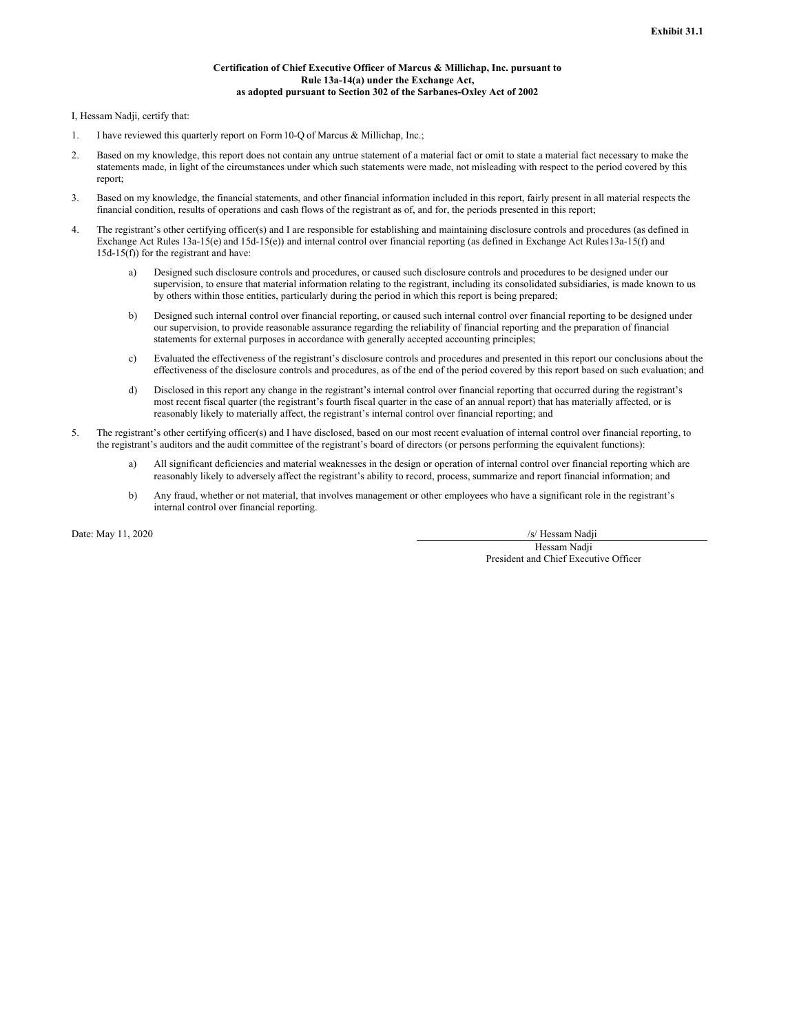#### **Certification of Chief Executive Officer of Marcus & Millichap, Inc. pursuant to Rule 13a-14(a) under the Exchange Act, as adopted pursuant to Section 302 of the Sarbanes-Oxley Act of 2002**

<span id="page-45-0"></span>I, Hessam Nadji, certify that:

- 1. I have reviewed this quarterly report on Form10-Q of Marcus & Millichap, Inc.;
- 2. Based on my knowledge, this report does not contain any untrue statement of a material fact or omit to state a material fact necessary to make the statements made, in light of the circumstances under which such statements were made, not misleading with respect to the period covered by this report;
- 3. Based on my knowledge, the financial statements, and other financial information included in this report, fairly present in all material respects the financial condition, results of operations and cash flows of the registrant as of, and for, the periods presented in this report;
- 4. The registrant's other certifying officer(s) and I are responsible for establishing and maintaining disclosure controls and procedures (as defined in Exchange Act Rules 13a-15(e) and 15d-15(e)) and internal control over financial reporting (as defined in Exchange Act Rules13a-15(f) and 15d-15(f)) for the registrant and have:
	- a) Designed such disclosure controls and procedures, or caused such disclosure controls and procedures to be designed under our supervision, to ensure that material information relating to the registrant, including its consolidated subsidiaries, is made known to us by others within those entities, particularly during the period in which this report is being prepared;
	- b) Designed such internal control over financial reporting, or caused such internal control over financial reporting to be designed under our supervision, to provide reasonable assurance regarding the reliability of financial reporting and the preparation of financial statements for external purposes in accordance with generally accepted accounting principles;
	- c) Evaluated the effectiveness of the registrant's disclosure controls and procedures and presented in this report our conclusions about the effectiveness of the disclosure controls and procedures, as of the end of the period covered by this report based on such evaluation; and
	- d) Disclosed in this report any change in the registrant's internal control over financial reporting that occurred during the registrant's most recent fiscal quarter (the registrant's fourth fiscal quarter in the case of an annual report) that has materially affected, or is reasonably likely to materially affect, the registrant's internal control over financial reporting; and
- 5. The registrant's other certifying officer(s) and I have disclosed, based on our most recent evaluation of internal control over financial reporting, to the registrant's auditors and the audit committee of the registrant's board of directors (or persons performing the equivalent functions):
	- a) All significant deficiencies and material weaknesses in the design or operation of internal control over financial reporting which are reasonably likely to adversely affect the registrant's ability to record, process, summarize and report financial information; and
	- b) Any fraud, whether or not material, that involves management or other employees who have a significant role in the registrant's internal control over financial reporting.

Date: May 11, 2020 /s/ Hessam Nadji

Hessam Nadji President and Chief Executive Officer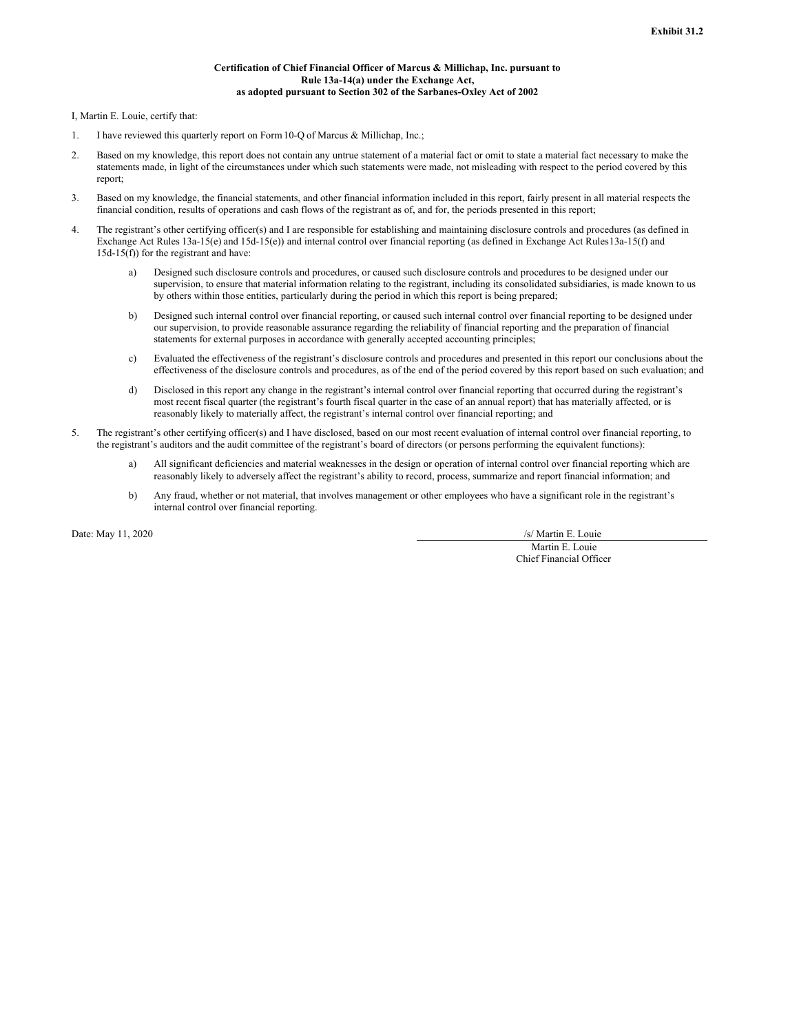#### **Certification of Chief Financial Officer of Marcus & Millichap, Inc. pursuant to Rule 13a-14(a) under the Exchange Act, as adopted pursuant to Section 302 of the Sarbanes-Oxley Act of 2002**

<span id="page-46-0"></span>I, Martin E. Louie, certify that:

- 1. I have reviewed this quarterly report on Form10-Q of Marcus & Millichap, Inc.;
- 2. Based on my knowledge, this report does not contain any untrue statement of a material fact or omit to state a material fact necessary to make the statements made, in light of the circumstances under which such statements were made, not misleading with respect to the period covered by this report;
- 3. Based on my knowledge, the financial statements, and other financial information included in this report, fairly present in all material respects the financial condition, results of operations and cash flows of the registrant as of, and for, the periods presented in this report;
- 4. The registrant's other certifying officer(s) and I are responsible for establishing and maintaining disclosure controls and procedures (as defined in Exchange Act Rules 13a-15(e) and 15d-15(e)) and internal control over financial reporting (as defined in Exchange Act Rules13a-15(f) and 15d-15(f)) for the registrant and have:
	- a) Designed such disclosure controls and procedures, or caused such disclosure controls and procedures to be designed under our supervision, to ensure that material information relating to the registrant, including its consolidated subsidiaries, is made known to us by others within those entities, particularly during the period in which this report is being prepared;
	- b) Designed such internal control over financial reporting, or caused such internal control over financial reporting to be designed under our supervision, to provide reasonable assurance regarding the reliability of financial reporting and the preparation of financial statements for external purposes in accordance with generally accepted accounting principles;
	- c) Evaluated the effectiveness of the registrant's disclosure controls and procedures and presented in this report our conclusions about the effectiveness of the disclosure controls and procedures, as of the end of the period covered by this report based on such evaluation; and
	- d) Disclosed in this report any change in the registrant's internal control over financial reporting that occurred during the registrant's most recent fiscal quarter (the registrant's fourth fiscal quarter in the case of an annual report) that has materially affected, or is reasonably likely to materially affect, the registrant's internal control over financial reporting; and
- 5. The registrant's other certifying officer(s) and I have disclosed, based on our most recent evaluation of internal control over financial reporting, to the registrant's auditors and the audit committee of the registrant's board of directors (or persons performing the equivalent functions):
	- a) All significant deficiencies and material weaknesses in the design or operation of internal control over financial reporting which are reasonably likely to adversely affect the registrant's ability to record, process, summarize and report financial information; and
	- b) Any fraud, whether or not material, that involves management or other employees who have a significant role in the registrant's internal control over financial reporting.

Date: May 11, 2020 /s/ Martin E. Louie

Martin E. Louie Chief Financial Officer